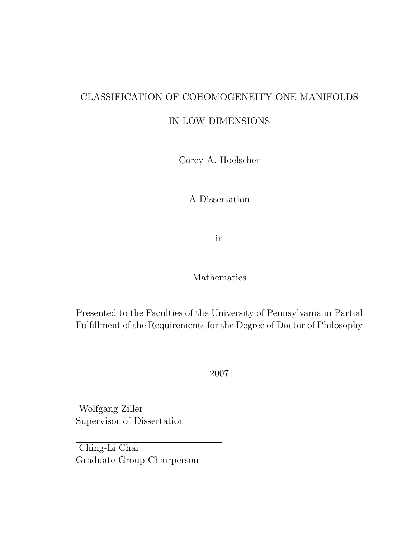### CLASSIFICATION OF COHOMOGENEITY ONE MANIFOLDS

#### IN LOW DIMENSIONS

Corey A. Hoelscher

A Dissertation

in

#### Mathematics

Presented to the Faculties of the University of Pennsylvania in Partial Fulfillment of the Requirements for the Degree of Doctor of Philosophy

2007

Wolfgang Ziller Supervisor of Dissertation

Ching-Li Chai Graduate Group Chairperson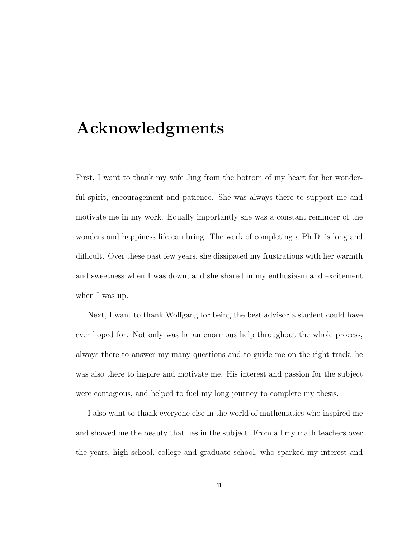## Acknowledgments

First, I want to thank my wife Jing from the bottom of my heart for her wonderful spirit, encouragement and patience. She was always there to support me and motivate me in my work. Equally importantly she was a constant reminder of the wonders and happiness life can bring. The work of completing a Ph.D. is long and difficult. Over these past few years, she dissipated my frustrations with her warmth and sweetness when I was down, and she shared in my enthusiasm and excitement when I was up.

Next, I want to thank Wolfgang for being the best advisor a student could have ever hoped for. Not only was he an enormous help throughout the whole process, always there to answer my many questions and to guide me on the right track, he was also there to inspire and motivate me. His interest and passion for the subject were contagious, and helped to fuel my long journey to complete my thesis.

I also want to thank everyone else in the world of mathematics who inspired me and showed me the beauty that lies in the subject. From all my math teachers over the years, high school, college and graduate school, who sparked my interest and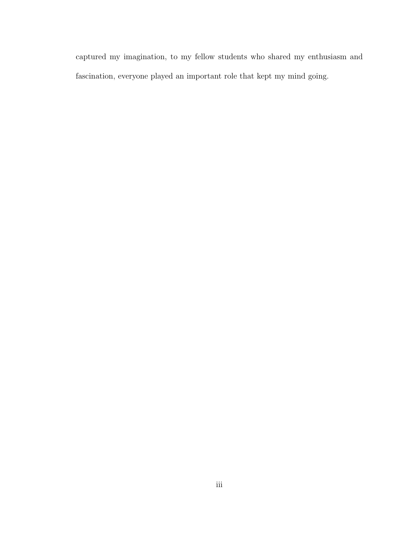captured my imagination, to my fellow students who shared my enthusiasm and fascination, everyone played an important role that kept my mind going.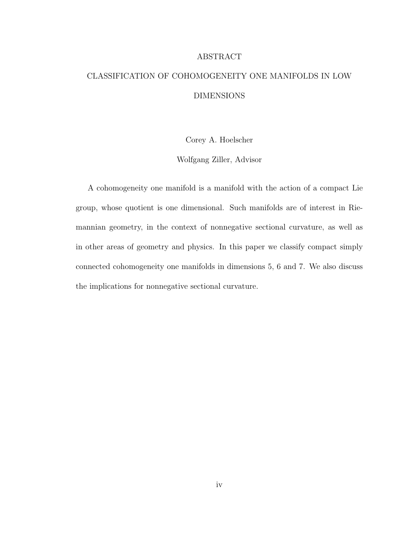#### ABSTRACT

### CLASSIFICATION OF COHOMOGENEITY ONE MANIFOLDS IN LOW DIMENSIONS

Corey A. Hoelscher

Wolfgang Ziller, Advisor

A cohomogeneity one manifold is a manifold with the action of a compact Lie group, whose quotient is one dimensional. Such manifolds are of interest in Riemannian geometry, in the context of nonnegative sectional curvature, as well as in other areas of geometry and physics. In this paper we classify compact simply connected cohomogeneity one manifolds in dimensions 5, 6 and 7. We also discuss the implications for nonnegative sectional curvature.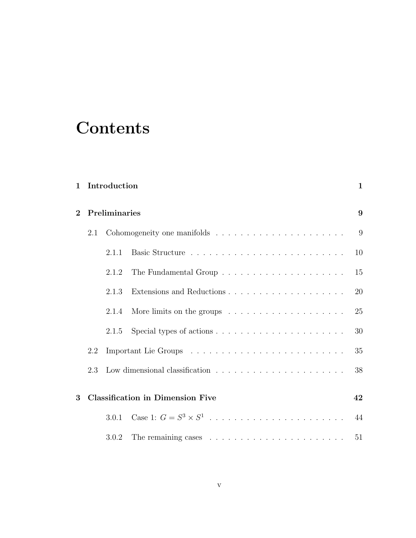# **Contents**

| $\mathbf{1}$ |                                         | Introduction  |                                                                                   | $\mathbf{1}$ |
|--------------|-----------------------------------------|---------------|-----------------------------------------------------------------------------------|--------------|
| $\mathbf{2}$ |                                         | Preliminaries |                                                                                   |              |
|              | 2.1                                     |               |                                                                                   | 9            |
|              |                                         | 2.1.1         |                                                                                   | 10           |
|              |                                         | 2.1.2         |                                                                                   | 15           |
|              |                                         | 2.1.3         |                                                                                   | 20           |
|              |                                         | 2.1.4         |                                                                                   | 25           |
|              |                                         | 2.1.5         |                                                                                   | 30           |
|              | 2.2                                     |               |                                                                                   | 35           |
|              | 2.3                                     |               | Low dimensional classification $\ldots \ldots \ldots \ldots \ldots \ldots \ldots$ | 38           |
| 3            | <b>Classification in Dimension Five</b> |               |                                                                                   | 42           |
|              |                                         | 3.0.1         | Case 1: $G = S^3 \times S^1$                                                      | 44           |
|              |                                         | 3.0.2         |                                                                                   | 51           |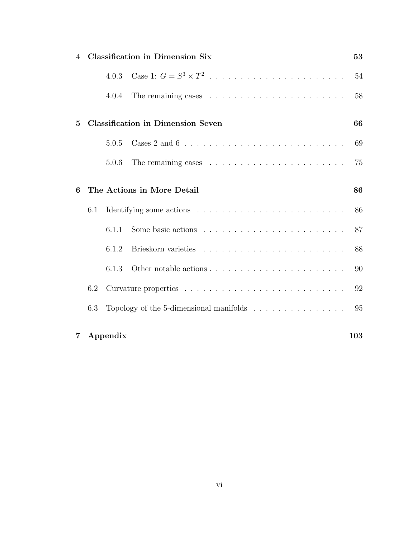| 4              | <b>Classification in Dimension Six</b> |       |                                                                              | 53  |
|----------------|----------------------------------------|-------|------------------------------------------------------------------------------|-----|
|                |                                        | 4.0.3 | Case 1: $G = S^3 \times T^2$                                                 | 54  |
|                |                                        | 4.0.4 | The remaining cases $\ldots \ldots \ldots \ldots \ldots \ldots \ldots$       | 58  |
| $\overline{5}$ |                                        |       | <b>Classification in Dimension Seven</b>                                     | 66  |
|                |                                        | 5.0.5 |                                                                              | 69  |
|                |                                        | 5.0.6 |                                                                              | 75  |
| 6              |                                        |       | The Actions in More Detail                                                   | 86  |
|                | 6.1                                    |       |                                                                              | 86  |
|                |                                        | 6.1.1 |                                                                              | 87  |
|                |                                        | 6.1.2 |                                                                              | 88  |
|                |                                        | 6.1.3 |                                                                              | 90  |
|                | 6.2                                    |       |                                                                              | 92  |
|                | 6.3                                    |       | Topology of the 5-dimensional manifolds $\ldots \ldots \ldots \ldots \ldots$ | 95  |
| 7              | Appendix                               |       |                                                                              | 103 |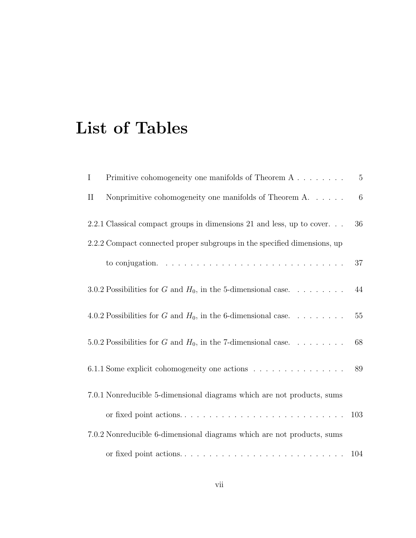# List of Tables

| $\mathbf I$                                                              | Primitive cohomogeneity one manifolds of Theorem $A \dots \dots$                        | $\overline{5}$ |
|--------------------------------------------------------------------------|-----------------------------------------------------------------------------------------|----------------|
| $\rm II$                                                                 | Nonprimitive cohomogeneity one manifolds of Theorem A. $\dots$ .                        | $\,6$          |
|                                                                          | 2.2.1 Classical compact groups in dimensions 21 and less, up to cover                   | 36             |
| 2.2.2 Compact connected proper subgroups in the specified dimensions, up |                                                                                         |                |
|                                                                          | to conjugation. $\ldots \ldots \ldots \ldots \ldots \ldots \ldots \ldots \ldots \ldots$ | 37             |
|                                                                          | 3.0.2 Possibilities for G and $H_0$ , in the 5-dimensional case                         | 44             |
|                                                                          | 4.0.2 Possibilities for G and $H_0$ , in the 6-dimensional case                         | 55             |
|                                                                          | 5.0.2 Possibilities for G and $H_0$ , in the 7-dimensional case                         | 68             |
|                                                                          | 6.1.1 Some explicit cohomogeneity one actions                                           | 89             |
|                                                                          | 7.0.1 Nonreducible 5-dimensional diagrams which are not products, sums                  |                |
|                                                                          |                                                                                         | 103            |
|                                                                          | 7.0.2 Nonreducible 6-dimensional diagrams which are not products, sums                  |                |
|                                                                          |                                                                                         |                |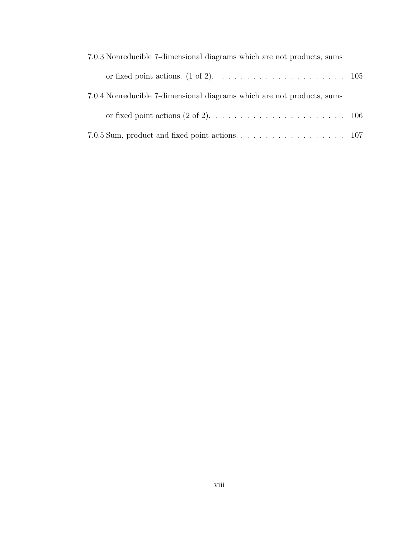| 7.0.3 Nonreducible 7-dimensional diagrams which are not products, sums |  |
|------------------------------------------------------------------------|--|
|                                                                        |  |
| 7.0.4 Nonreducible 7-dimensional diagrams which are not products, sums |  |
|                                                                        |  |
|                                                                        |  |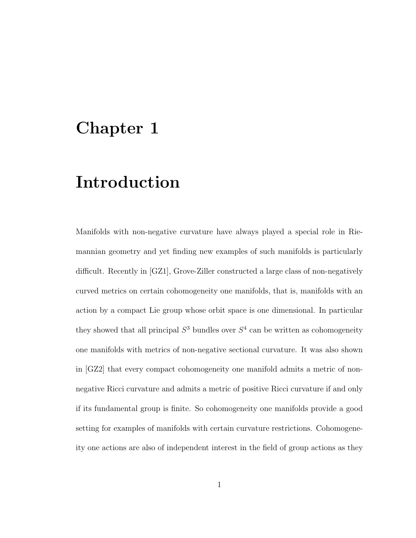### Chapter 1

## Introduction

Manifolds with non-negative curvature have always played a special role in Riemannian geometry and yet finding new examples of such manifolds is particularly difficult. Recently in [GZ1], Grove-Ziller constructed a large class of non-negatively curved metrics on certain cohomogeneity one manifolds, that is, manifolds with an action by a compact Lie group whose orbit space is one dimensional. In particular they showed that all principal  $S^3$  bundles over  $S^4$  can be written as cohomogeneity one manifolds with metrics of non-negative sectional curvature. It was also shown in [GZ2] that every compact cohomogeneity one manifold admits a metric of nonnegative Ricci curvature and admits a metric of positive Ricci curvature if and only if its fundamental group is finite. So cohomogeneity one manifolds provide a good setting for examples of manifolds with certain curvature restrictions. Cohomogeneity one actions are also of independent interest in the field of group actions as they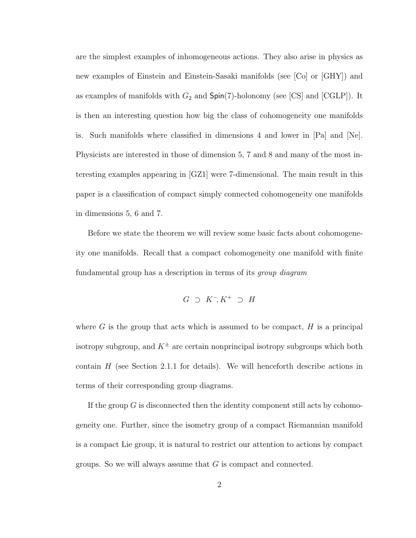are the simplest examples of inhomogeneous actions. They also arise in physics as new examples of Einstein and Einstein-Sasaki manifolds (see [Co] or [GHY]) and as examples of manifolds with  $G_2$  and  $Spin(7)$ -holonomy (see [CS] and [CGLP]). It is then an interesting question how big the class of cohomogeneity one manifolds is. Such manifolds where classified in dimensions 4 and lower in [Pa] and [Ne]. Physicists are interested in those of dimension 5, 7 and 8 and many of the most interesting examples appearing in [GZ1] were 7-dimensional. The main result in this paper is a classification of compact simply connected cohomogeneity one manifolds in dimensions 5, 6 and 7.

Before we state the theorem we will review some basic facts about cohomogeneity one manifolds. Recall that a compact cohomogeneity one manifold with finite fundamental group has a description in terms of its *group diagram* 

$$
G \supset K^-, K^+ \supset H
$$

where  $G$  is the group that acts which is assumed to be compact,  $H$  is a principal isotropy subgroup, and  $K^{\pm}$  are certain nonprincipal isotropy subgroups which both contain  $H$  (see Section 2.1.1 for details). We will henceforth describe actions in terms of their corresponding group diagrams.

If the group  $G$  is disconnected then the identity component still acts by cohomogeneity one. Further, since the isometry group of a compact Riemannian manifold is a compact Lie group, it is natural to restrict our attention to actions by compact groups. So we will always assume that  $G$  is compact and connected.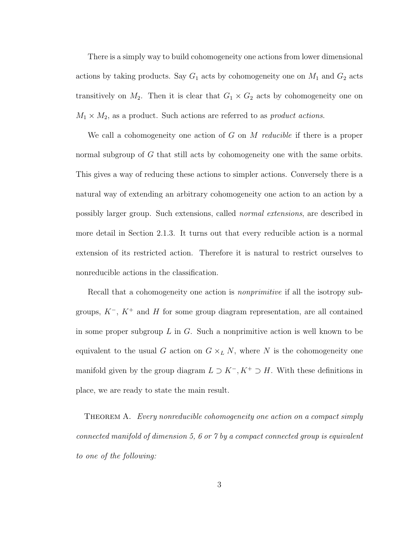There is a simply way to build cohomogeneity one actions from lower dimensional actions by taking products. Say  $G_1$  acts by cohomogeneity one on  $M_1$  and  $G_2$  acts transitively on  $M_2$ . Then it is clear that  $G_1 \times G_2$  acts by cohomogeneity one on  $M_1 \times M_2$ , as a product. Such actions are referred to as *product actions*.

We call a cohomogeneity one action of  $G$  on  $M$  reducible if there is a proper normal subgroup of G that still acts by cohomogeneity one with the same orbits. This gives a way of reducing these actions to simpler actions. Conversely there is a natural way of extending an arbitrary cohomogeneity one action to an action by a possibly larger group. Such extensions, called normal extensions, are described in more detail in Section 2.1.3. It turns out that every reducible action is a normal extension of its restricted action. Therefore it is natural to restrict ourselves to nonreducible actions in the classification.

Recall that a cohomogeneity one action is *nonprimitive* if all the isotropy subgroups,  $K^-$ ,  $K^+$  and H for some group diagram representation, are all contained in some proper subgroup  $L$  in  $G$ . Such a nonprimitive action is well known to be equivalent to the usual G action on  $G \times_L N$ , where N is the cohomogeneity one manifold given by the group diagram  $L \supset K^-$ ,  $K^+ \supset H$ . With these definitions in place, we are ready to state the main result.

Theorem A. Every nonreducible cohomogeneity one action on a compact simply connected manifold of dimension 5, 6 or 7 by a compact connected group is equivalent to one of the following: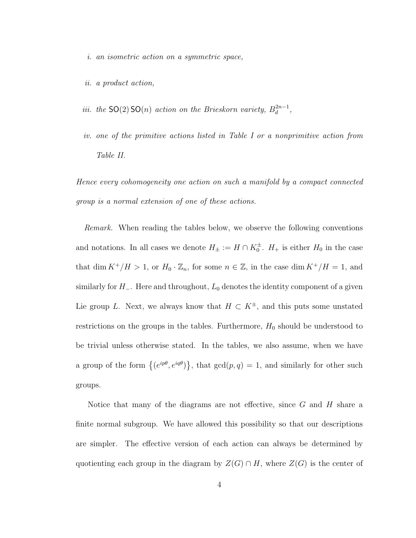i. an isometric action on a symmetric space,

- ii. a product action,
- iii. the  $SO(2)SO(n)$  action on the Brieskorn variety,  $B_d^{2n-1}$  $a^{2n-1}$ ,
- iv. one of the primitive actions listed in Table I or a nonprimitive action from Table II.

Hence every cohomogeneity one action on such a manifold by a compact connected group is a normal extension of one of these actions.

Remark. When reading the tables below, we observe the following conventions and notations. In all cases we denote  $H_{\pm} := H \cap K_0^{\pm}$ .  $H_{+}$  is either  $H_0$  in the case that dim  $K^+/H > 1$ , or  $H_0 \cdot \mathbb{Z}_n$ , for some  $n \in \mathbb{Z}$ , in the case dim  $K^+/H = 1$ , and similarly for  $H_-\$ . Here and throughout,  $L_0$  denotes the identity component of a given Lie group L. Next, we always know that  $H \subset K^{\pm}$ , and this puts some unstated restrictions on the groups in the tables. Furthermore,  $H_0$  should be understood to be trivial unless otherwise stated. In the tables, we also assume, when we have a group of the form  $\{(e^{ip\theta}, e^{iq\theta})\}$ ª , that  $gcd(p, q) = 1$ , and similarly for other such groups.

Notice that many of the diagrams are not effective, since  $G$  and  $H$  share a finite normal subgroup. We have allowed this possibility so that our descriptions are simpler. The effective version of each action can always be determined by quotienting each group in the diagram by  $Z(G) \cap H$ , where  $Z(G)$  is the center of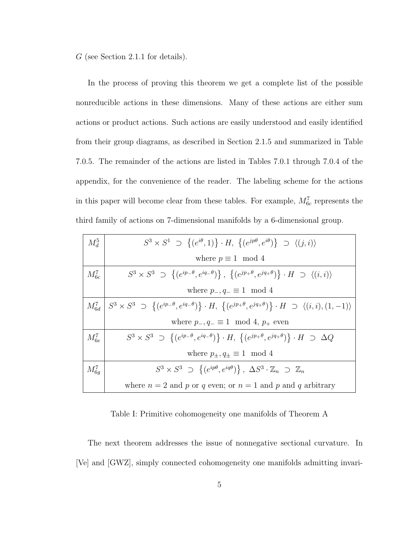G (see Section 2.1.1 for details).

In the process of proving this theorem we get a complete list of the possible nonreducible actions in these dimensions. Many of these actions are either sum actions or product actions. Such actions are easily understood and easily identified from their group diagrams, as described in Section 2.1.5 and summarized in Table 7.0.5. The remainder of the actions are listed in Tables 7.0.1 through 7.0.4 of the appendix, for the convenience of the reader. The labeling scheme for the actions in this paper will become clear from these tables. For example,  $M_{6c}^7$  represents the third family of actions on 7-dimensional manifolds by a 6-dimensional group.

| $M_d^5$         | $S^3 \times S^1 \supset \{(e^{i\theta}, 1)\} \cdot H, \{(e^{jp\theta}, e^{i\theta})\} \supset \langle (j, i) \rangle$                                 |
|-----------------|-------------------------------------------------------------------------------------------------------------------------------------------------------|
|                 | where $p \equiv 1 \mod 4$                                                                                                                             |
| $M_{6c}^7$      | $S^3 \times S^3 \supset \{(e^{ip-\theta}, e^{iq-\theta})\}, \{(e^{jp+\theta}, e^{jq+\theta})\} \cdot H \supset \langle (i,i) \rangle$                 |
|                 | where $p_-, q_- \equiv 1 \mod 4$                                                                                                                      |
| $M_{6d}^{\tau}$ | $\{S^3 \times S^3 \supset \{(e^{ip-\theta}, e^{iq-\theta})\}\cdot H, \{(e^{jp+\theta}, e^{jq+\theta})\}\cdot H \supset \langle (i,i), (1,-1) \rangle$ |
|                 | where $p_-, q_- \equiv 1 \mod 4$ , $p_+$ even                                                                                                         |
| $M_{6e}^7$      | $S^3 \times S^3 \supset \{(e^{ip-\theta}, e^{iq-\theta})\}\cdot H$ , $\{(e^{jp+\theta}, e^{jq+\theta})\}\cdot H \supset \Delta Q$                     |
|                 | where $p_{\pm}, q_{\pm} \equiv 1 \mod 4$                                                                                                              |
| $M_{6a}^7$      | $S^3 \times S^3 \supset \{(e^{ip\theta}, e^{iq\theta})\}, \ \Delta S^3 \cdot \mathbb{Z}_n \supset \mathbb{Z}_n$                                       |
|                 | where $n = 2$ and p or q even; or $n = 1$ and p and q arbitrary                                                                                       |

Table I: Primitive cohomogeneity one manifolds of Theorem A

The next theorem addresses the issue of nonnegative sectional curvature. In [Ve] and [GWZ], simply connected cohomogeneity one manifolds admitting invari-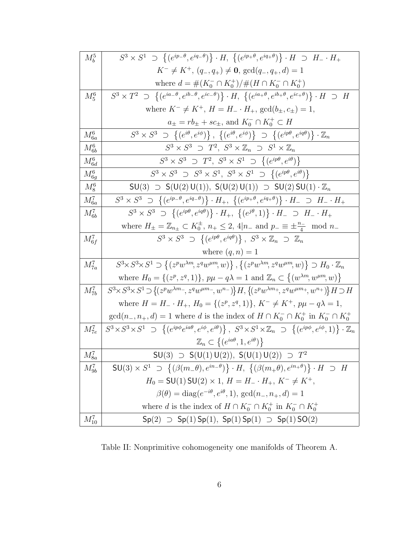| $M_h^5$    | $S^3 \times S^1 \supset \{ (e^{ip_-\theta}, e^{iq_-\theta}) \} \cdot H, \ \{ (e^{ip_+\theta}, e^{iq_+\theta}) \} \cdot H \supset H_- \cdot H_+$                                       |
|------------|---------------------------------------------------------------------------------------------------------------------------------------------------------------------------------------|
|            | $K^- \neq K^+$ , $(q_-, q_+) \neq \mathbf{0}$ , $\gcd(q_-, q_+, d) = 1$                                                                                                               |
|            | where $d = \#(K_0^- \cap K_0^+)/\#(H \cap K_0^- \cap K_0^+)$                                                                                                                          |
| $M_5^6$    | $S^3 \times T^2 \supset \{ (e^{ia_-\theta}, e^{ib_-\theta}, e^{ic_-\theta}) \} \cdot H, \ \{ (e^{ia_+\theta}, e^{ib_+\theta}, e^{ic_+\theta}) \} \cdot H \supset H$                   |
|            | where $K^- \neq K^+$ , $H = H_- \cdot H_+$ , $gcd(b_\pm, c_\pm) = 1$ ,                                                                                                                |
|            | $a_{\pm} = rb_{\pm} + sc_{\pm}$ , and $K_0^- \cap K_0^+ \subset H$                                                                                                                    |
| $M_{6a}^6$ | $S^3 \times S^3 \supset \{(e^{i\theta}, e^{i\phi})\}, \{(e^{i\theta}, e^{i\phi})\} \supset \{(e^{ip\theta}, e^{iq\theta})\}\cdot \mathbb{Z}_n$                                        |
| $M_{6b}^6$ | $S^3 \times S^3 \supset T^2$ , $S^3 \times \mathbb{Z}_n \supset S^1 \times \mathbb{Z}_n$                                                                                              |
| $M_{6d}^6$ | $S^3 \times S^3 \supset T^2$ , $S^3 \times S^1 \supset \{(e^{ip\theta}, e^{i\theta})\}$                                                                                               |
| $M_{6q}^6$ | $S^3 \times S^3 \supset S^3 \times S^1$ , $S^3 \times S^1 \supset \{(e^{ip\theta}, e^{i\theta})\}$                                                                                    |
| $M_8^6$    | $SU(3)$ $\supset$ $S(U(2) U(1))$ , $S(U(2) U(1))$ $\supset$ $SU(2) SU(1) \cdot \mathbb{Z}_n$                                                                                          |
| $M_{6a}^7$ | $S^3 \times S^3 \supset \{(e^{ip_-\theta}, e^{iq_-\theta})\} \cdot H_+, \{ (e^{ip_+\theta}, e^{iq_+\theta}) \} \cdot H_- \supset H_- \cdot H_+$                                       |
| $M_{6b}^7$ | $S^3 \times S^3 \supset \{(e^{ip\theta}, e^{iq\theta})\}\cdot H_+$ , $\{(e^{j\theta}, 1)\}\cdot H_- \supset H_- \cdot H_+$                                                            |
|            | where $H_{\pm} = \mathbb{Z}_{n_{\pm}} \subset K_0^{\pm}, n_{+} \leq 2, 4 n_{-} \text{ and } p_{-} \equiv \pm \frac{n_{-}}{4} \mod n_{-}$                                              |
| $M_{6f}^7$ | $S^3 \times S^3 \supset \{(e^{ip\theta}, e^{iq\theta})\}, S^3 \times \mathbb{Z}_n \supset \mathbb{Z}_n$                                                                               |
|            | where $(q, n) = 1$                                                                                                                                                                    |
| $M_{7a}^7$ | $S^3 \times S^3 \times S^1 \supset \{(z^p w^{\lambda m}, z^q w^{\mu m}, w)\}, \{(z^p w^{\lambda m}, z^q w^{\mu m}, w)\} \supset H_0 \cdot \mathbb{Z}_n$                               |
|            | where $H_0 = \{(z^p, z^q, 1)\}, p\mu - q\lambda = 1$ and $\mathbb{Z}_n \subset \{(w^{\lambda m}, w^{\mu m}, w)\}\$                                                                    |
| $M_{7b}^7$ | $S^3 \times S^3 \times S^1 \supset \{(z^p w^{\lambda m-}, z^q w^{\mu m-}, w^{n-})\} H, \{(z^p w^{\lambda m+}, z^q w^{\mu m+}, w^{n+})\} H \supset H$                                  |
|            | where $H = H_{-} \cdot H_{+}$ , $H_{0} = \{(z^{p}, z^{q}, 1)\}, K^{-} \neq K^{+}$ , $p\mu - q\lambda = 1$ ,                                                                           |
|            | $gcd(n_-, n_+, d) = 1$ where d is the index of $H \cap K_0^- \cap K_0^+$ in $K_0^- \cap K_0^+$                                                                                        |
| $M_{7e}^7$ | $S^3 \times S^3 \times S^1 \supset \{(e^{ip\phi}e^{ia\theta}, e^{i\phi}, e^{i\theta})\}, S^3 \times S^1 \times \mathbb{Z}_n \supset \{(e^{ip\phi}, e^{i\phi}, 1)\}\cdot \mathbb{Z}_n$ |
|            | $\mathbb{Z}_n \subset \{(e^{ia\theta}, 1, e^{i\theta})\}\$                                                                                                                            |
| $M^7_{8a}$ | $SU(3) \supset SU(1) U(2)$ , $S(U(1) U(2)) \supset T^2$                                                                                                                               |
| $M_{9b}^7$ | $SU(3) \times S^1 \supset \{(\beta(m_-\theta), e^{in_-\theta})\} \cdot H, \{(\beta(m_+\theta), e^{in_+\theta})\} \cdot H \supset H$                                                   |
|            | $H_0 = SU(1) SU(2) \times 1, H = H_-. H_+, K^- \neq K^+,$                                                                                                                             |
|            | $\beta(\theta) = \text{diag}(e^{-i\theta}, e^{i\theta}, 1), \text{gcd}(n_-, n_+, d) = 1$                                                                                              |
|            | where d is the index of $H \cap K_0^- \cap K_0^+$ in $K_0^- \cap K_0^+$                                                                                                               |
| $M_{10}^7$ | $Sp(2) \supset Sp(1)$ $Sp(1)$ , $Sp(1)$ $Sp(1) \supset Sp(1)$ $SO(2)$                                                                                                                 |

Table II: Nonprimitive cohomogeneity one manifolds of Theorem A.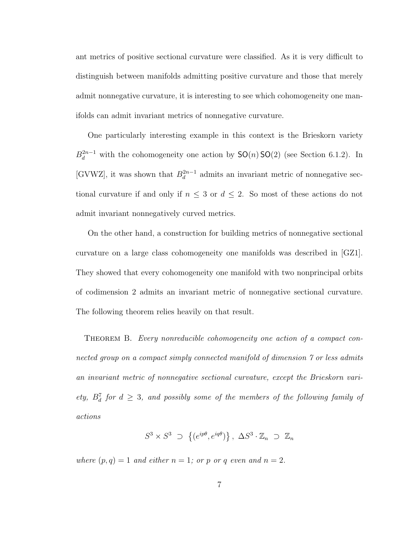ant metrics of positive sectional curvature were classified. As it is very difficult to distinguish between manifolds admitting positive curvature and those that merely admit nonnegative curvature, it is interesting to see which cohomogeneity one manifolds can admit invariant metrics of nonnegative curvature.

One particularly interesting example in this context is the Brieskorn variety  $B_d^{2n-1}$  with the cohomogeneity one action by  $SO(n)SO(2)$  (see Section 6.1.2). In [GVWZ], it was shown that  $B_d^{2n-1}$  $a_d^{2n-1}$  admits an invariant metric of nonnegative sectional curvature if and only if  $n \leq 3$  or  $d \leq 2$ . So most of these actions do not admit invariant nonnegatively curved metrics.

On the other hand, a construction for building metrics of nonnegative sectional curvature on a large class cohomogeneity one manifolds was described in [GZ1]. They showed that every cohomogeneity one manifold with two nonprincipal orbits of codimension 2 admits an invariant metric of nonnegative sectional curvature. The following theorem relies heavily on that result.

THEOREM B. Every nonreducible cohomogeneity one action of a compact connected group on a compact simply connected manifold of dimension 7 or less admits an invariant metric of nonnegative sectional curvature, except the Brieskorn variety,  $B_d^7$  for  $d \geq 3$ , and possibly some of the members of the following family of actions

$$
S^3 \times S^3 \supset \{(e^{ip\theta}, e^{iq\theta})\}, \ \Delta S^3 \cdot \mathbb{Z}_n \supset \mathbb{Z}_n
$$

where  $(p, q) = 1$  and either  $n = 1$ ; or p or q even and  $n = 2$ .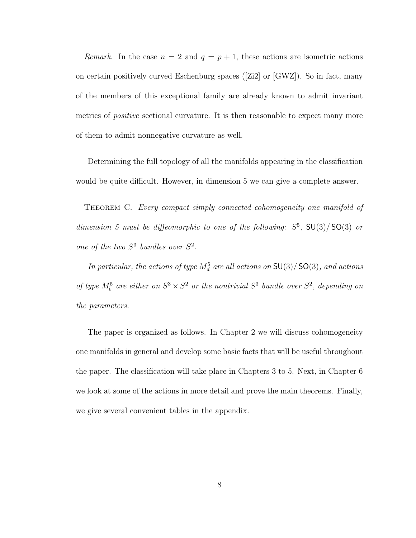Remark. In the case  $n = 2$  and  $q = p + 1$ , these actions are isometric actions on certain positively curved Eschenburg spaces ([Zi2] or [GWZ]). So in fact, many of the members of this exceptional family are already known to admit invariant metrics of *positive* sectional curvature. It is then reasonable to expect many more of them to admit nonnegative curvature as well.

Determining the full topology of all the manifolds appearing in the classification would be quite difficult. However, in dimension 5 we can give a complete answer.

Theorem C. Every compact simply connected cohomogeneity one manifold of dimension 5 must be diffeomorphic to one of the following:  $S^5$ ,  $SU(3)/SO(3)$  or one of the two  $S^3$  bundles over  $S^2$ .

In particular, the actions of type  $M_d^5$  are all actions on  $\mathsf{SU}(3)/\mathsf{SO}(3)$ , and actions of type  $M_b^5$  are either on  $S^3 \times S^2$  or the nontrivial  $S^3$  bundle over  $S^2$ , depending on the parameters.

The paper is organized as follows. In Chapter 2 we will discuss cohomogeneity one manifolds in general and develop some basic facts that will be useful throughout the paper. The classification will take place in Chapters 3 to 5. Next, in Chapter 6 we look at some of the actions in more detail and prove the main theorems. Finally, we give several convenient tables in the appendix.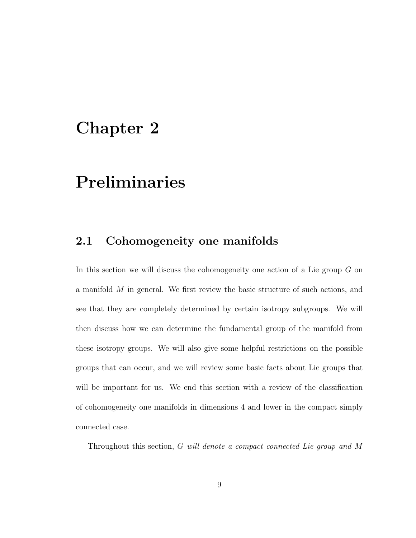### Chapter 2

# Preliminaries

### 2.1 Cohomogeneity one manifolds

In this section we will discuss the cohomogeneity one action of a Lie group G on a manifold M in general. We first review the basic structure of such actions, and see that they are completely determined by certain isotropy subgroups. We will then discuss how we can determine the fundamental group of the manifold from these isotropy groups. We will also give some helpful restrictions on the possible groups that can occur, and we will review some basic facts about Lie groups that will be important for us. We end this section with a review of the classification of cohomogeneity one manifolds in dimensions 4 and lower in the compact simply connected case.

Throughout this section, G will denote a compact connected Lie group and M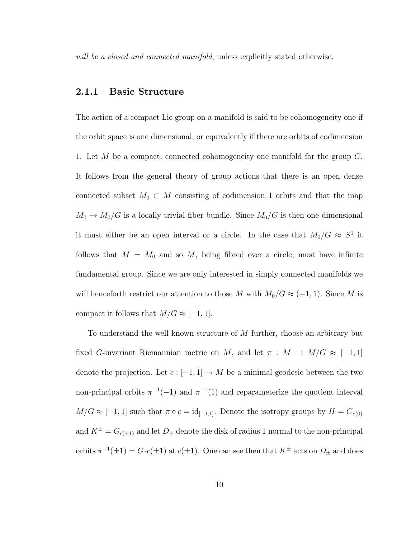will be a closed and connected manifold, unless explicitly stated otherwise.

#### 2.1.1 Basic Structure

The action of a compact Lie group on a manifold is said to be cohomogeneity one if the orbit space is one dimensional, or equivalently if there are orbits of codimension 1. Let  $M$  be a compact, connected cohomogeneity one manifold for the group  $G$ . It follows from the general theory of group actions that there is an open dense connected subset  $M_0 \subset M$  consisting of codimension 1 orbits and that the map  $M_0 \to M_0/G$  is a locally trivial fiber bundle. Since  $M_0/G$  is then one dimensional it must either be an open interval or a circle. In the case that  $M_0/G \approx S^1$  it follows that  $M = M_0$  and so M, being fibred over a circle, must have infinite fundamental group. Since we are only interested in simply connected manifolds we will henceforth restrict our attention to those M with  $M_0/G \approx (-1, 1)$ . Since M is compact it follows that  $M/G \approx [-1, 1].$ 

To understand the well known structure of M further, choose an arbitrary but fixed G-invariant Riemannian metric on M, and let  $\pi$  :  $M \rightarrow M/G \approx [-1,1]$ denote the projection. Let  $c : [-1,1] \to M$  be a minimal geodesic between the two non-principal orbits  $\pi^{-1}(-1)$  and  $\pi^{-1}(1)$  and reparameterize the quotient interval  $M/G \approx [-1, 1]$  such that  $\pi \circ c = \text{id}_{[-1,1]}$ . Denote the isotropy groups by  $H = G_{c(0)}$ and  $K^{\pm} = G_{c(\pm 1)}$  and let  $D_{\pm}$  denote the disk of radius 1 normal to the non-principal orbits  $\pi^{-1}(\pm 1) = G \cdot c(\pm 1)$  at  $c(\pm 1)$ . One can see then that  $K^{\pm}$  acts on  $D_{\pm}$  and does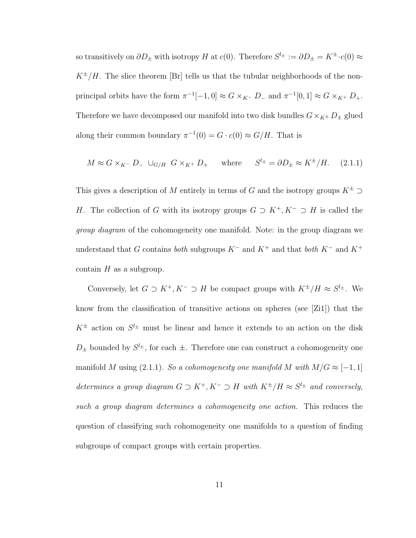so transitively on  $\partial D_{\pm}$  with isotropy H at  $c(0)$ . Therefore  $S^{l_{\pm}} := \partial D_{\pm} = K^{\pm} \cdot c(0) \approx$  $K^{\pm}/H$ . The slice theorem [Br] tells us that the tubular neighborhoods of the nonprincipal orbits have the form  $\pi^{-1}[-1,0] \approx G \times_{K^-} D_-$  and  $\pi^{-1}[0,1] \approx G \times_{K^+} D_+$ . Therefore we have decomposed our manifold into two disk bundles  $G\times_{K^\pm}D_\pm$  glued along their common boundary  $\pi^{-1}(0) = G \cdot c(0) \approx G/H$ . That is

$$
M \approx G \times_{K^-} D_- \cup_{G/H} G \times_{K^+} D_+
$$
 where  $S^{l_{\pm}} = \partial D_{\pm} \approx K^{\pm}/H.$  (2.1.1)

This gives a description of  $M$  entirely in terms of  $G$  and the isotropy groups  $K^\pm \supset$ H. The collection of G with its isotropy groups  $G \supset K^+, K^- \supset H$  is called the group diagram of the cohomogeneity one manifold. Note: in the group diagram we understand that G contains both subgroups  $K^-$  and  $K^+$  and that both  $K^-$  and  $K^+$ contain  $H$  as a subgroup.

Conversely, let  $G \supset K^+, K^- \supset H$  be compact groups with  $K^{\pm}/H \approx S^{l_{\pm}}$ . We know from the classification of transitive actions on spheres (see [Zi1]) that the  $K^{\pm}$  action on  $S^{l_{\pm}}$  must be linear and hence it extends to an action on the disk  $D_{\pm}$  bounded by  $S^{l_{\pm}}$ , for each  $\pm$ . Therefore one can construct a cohomogeneity one manifold M using (2.1.1). So a cohomogeneity one manifold M with  $M/G \approx [-1,1]$ determines a group diagram  $G \supset K^+, K^- \supset H$  with  $K^{\pm}/H \approx S^{l_{\pm}}$  and conversely, such a group diagram determines a cohomogeneity one action. This reduces the question of classifying such cohomogeneity one manifolds to a question of finding subgroups of compact groups with certain properties.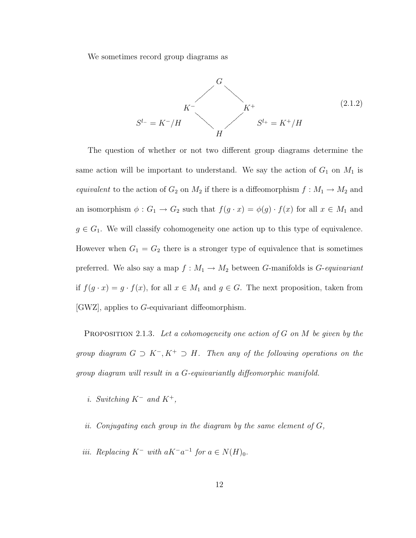We sometimes record group diagrams as

$$
S^{l-} = K^- / H
$$
\n
$$
S^{l-} = K^- / H
$$
\n
$$
S^{l+} = K^+ / H
$$
\n(2.1.2)

The question of whether or not two different group diagrams determine the same action will be important to understand. We say the action of  $G_1$  on  $M_1$  is equivalent to the action of  $G_2$  on  $M_2$  if there is a diffeomorphism  $f : M_1 \to M_2$  and an isomorphism  $\phi: G_1 \to G_2$  such that  $f(g \cdot x) = \phi(g) \cdot f(x)$  for all  $x \in M_1$  and  $g \in G_1$ . We will classify cohomogeneity one action up to this type of equivalence. However when  $G_1 = G_2$  there is a stronger type of equivalence that is sometimes preferred. We also say a map  $f : M_1 \to M_2$  between G-manifolds is G-equivariant if  $f(g \cdot x) = g \cdot f(x)$ , for all  $x \in M_1$  and  $g \in G$ . The next proposition, taken from [GWZ], applies to G-equivariant diffeomorphism.

**PROPOSITION** 2.1.3. Let a cohomogeneity one action of G on M be given by the group diagram  $G \supset K^-$ ,  $K^+ \supset H$ . Then any of the following operations on the group diagram will result in a G-equivariantly diffeomorphic manifold.

- i. Switching  $K^-$  and  $K^+$ ,
- ii. Conjugating each group in the diagram by the same element of  $G$ ,
- *iii.* Replacing  $K^-$  with a $K^-a^{-1}$  for  $a \in N(H)_0$ .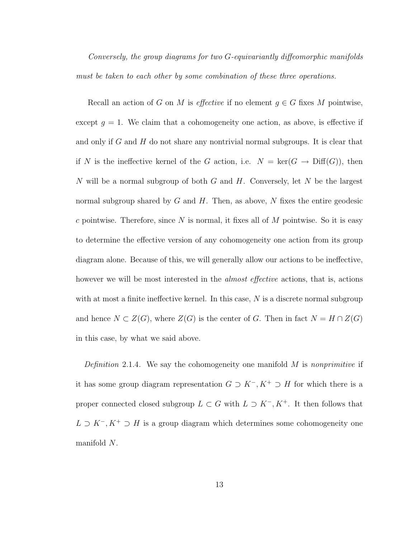Conversely, the group diagrams for two G-equivariantly diffeomorphic manifolds must be taken to each other by some combination of these three operations.

Recall an action of G on M is effective if no element  $g \in G$  fixes M pointwise, except  $g = 1$ . We claim that a cohomogeneity one action, as above, is effective if and only if G and H do not share any nontrivial normal subgroups. It is clear that if N is the ineffective kernel of the G action, i.e.  $N = \text{ker}(G \to \text{Diff}(G))$ , then N will be a normal subgroup of both G and H. Conversely, let N be the largest normal subgroup shared by  $G$  and  $H$ . Then, as above,  $N$  fixes the entire geodesic c pointwise. Therefore, since  $N$  is normal, it fixes all of  $M$  pointwise. So it is easy to determine the effective version of any cohomogeneity one action from its group diagram alone. Because of this, we will generally allow our actions to be ineffective, however we will be most interested in the *almost effective* actions, that is, actions with at most a finite ineffective kernel. In this case,  $N$  is a discrete normal subgroup and hence  $N \subset Z(G)$ , where  $Z(G)$  is the center of G. Then in fact  $N = H \cap Z(G)$ in this case, by what we said above.

Definition 2.1.4. We say the cohomogeneity one manifold  $M$  is nonprimitive if it has some group diagram representation  $G \supset K^-$ ,  $K^+ \supset H$  for which there is a proper connected closed subgroup  $L \subset G$  with  $L \supset K^-$ ,  $K^+$ . It then follows that  $L \supset K^-$ ,  $K^+ \supset H$  is a group diagram which determines some cohomogeneity one manifold N.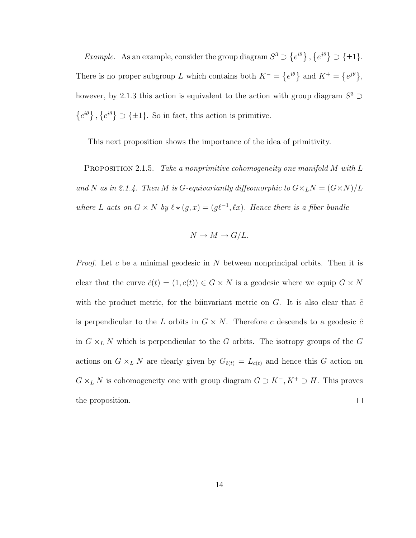*Example.* As an example, consider the group diagram  $S^3$ ©  $e^{i\theta}$ , ©  $e^{j\theta}\} \supset \{\pm 1\}.$ There is no proper subgroup L which contains both  $K^-$  = ©  $e^{i\theta}$  and  $K^+$  = ©  $e^{j\theta}$ , however, by 2.1.3 this action is equivalent to the action with group diagram  $S^3$  $\overline{a}$  $e^{i\theta}\},\,$  $\overline{a}$  $e^{i\theta}$   $\supset$  { $\pm 1$ }. So in fact, this action is primitive.

This next proposition shows the importance of the idea of primitivity.

PROPOSITION 2.1.5. Take a nonprimitive cohomogeneity one manifold M with L and N as in 2.1.4. Then M is G-equivariantly diffeomorphic to  $G\times_L N=(G\times N)/L$ where L acts on  $G \times N$  by  $\ell \star (g, x) = (g\ell^{-1}, \ell x)$ . Hence there is a fiber bundle

$$
N \to M \to G/L.
$$

*Proof.* Let c be a minimal geodesic in N between nonprincipal orbits. Then it is clear that the curve  $\tilde{c}(t) = (1, c(t)) \in G \times N$  is a geodesic where we equip  $G \times N$ with the product metric, for the biinvariant metric on  $G$ . It is also clear that  $\tilde{c}$ is perpendicular to the L orbits in  $G \times N$ . Therefore c descends to a geodesic  $\hat{c}$ in  $G \times_L N$  which is perpendicular to the G orbits. The isotropy groups of the G actions on  $G \times_L N$  are clearly given by  $G_{\hat{c}(t)} = L_{c(t)}$  and hence this G action on  $G \times_L N$  is cohomogeneity one with group diagram  $G \supset K^-$ ,  $K^+ \supset H$ . This proves the proposition.  $\Box$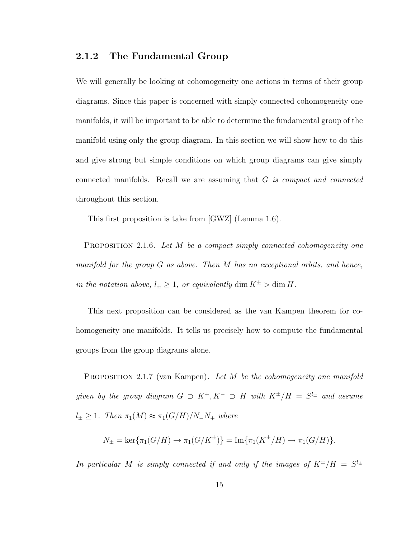#### 2.1.2 The Fundamental Group

We will generally be looking at cohomogeneity one actions in terms of their group diagrams. Since this paper is concerned with simply connected cohomogeneity one manifolds, it will be important to be able to determine the fundamental group of the manifold using only the group diagram. In this section we will show how to do this and give strong but simple conditions on which group diagrams can give simply connected manifolds. Recall we are assuming that G is compact and connected throughout this section.

This first proposition is take from [GWZ] (Lemma 1.6).

PROPOSITION 2.1.6. Let M be a compact simply connected cohomogeneity one manifold for the group G as above. Then M has no exceptional orbits, and hence, in the notation above,  $l_{\pm} \geq 1$ , or equivalently  $\dim K^{\pm} > \dim H$ .

This next proposition can be considered as the van Kampen theorem for cohomogeneity one manifolds. It tells us precisely how to compute the fundamental groups from the group diagrams alone.

**PROPOSITION** 2.1.7 (van Kampen). Let M be the cohomogeneity one manifold given by the group diagram  $G \supset K^+, K^- \supset H$  with  $K^{\pm}/H = S^{l_{\pm}}$  and assume  $l_{\pm} \geq 1$ . Then  $\pi_1(M) \approx \pi_1(G/H)/N_N$  where

$$
N_{\pm} = \ker \{ \pi_1(G/H) \to \pi_1(G/K^{\pm}) \} = \text{Im} \{ \pi_1(K^{\pm}/H) \to \pi_1(G/H) \}.
$$

In particular M is simply connected if and only if the images of  $K^{\pm}/H = S^{l_{\pm}}$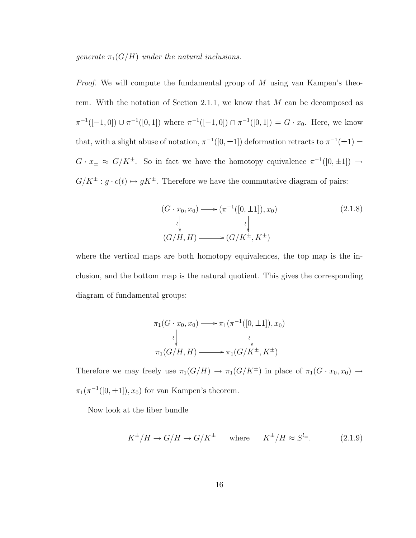generate  $\pi_1(G/H)$  under the natural inclusions.

*Proof.* We will compute the fundamental group of  $M$  using van Kampen's theorem. With the notation of Section 2.1.1, we know that  $M$  can be decomposed as  $\pi^{-1}([-1,0]) \cup \pi^{-1}([0,1])$  where  $\pi^{-1}([-1,0]) \cap \pi^{-1}([0,1]) = G \cdot x_0$ . Here, we know that, with a slight abuse of notation,  $\pi^{-1}([0, \pm 1])$  deformation retracts to  $\pi^{-1}(\pm 1)$  =  $G \cdot x_{\pm} \approx G/K^{\pm}$ . So in fact we have the homotopy equivalence  $\pi^{-1}([0, \pm 1]) \rightarrow$  $G/K^{\pm}: g\cdot c(t)\mapsto gK^{\pm}.$  Therefore we have the commutative diagram of pairs:

$$
(G \cdot x_0, x_0) \longrightarrow (\pi^{-1}([0, \pm 1]), x_0)
$$
  
\n
$$
\downarrow \qquad \qquad \downarrow
$$
  
\n
$$
(G/H, H) \longrightarrow (G/K^{\pm}, K^{\pm})
$$
\n
$$
(2.1.8)
$$

where the vertical maps are both homotopy equivalences, the top map is the inclusion, and the bottom map is the natural quotient. This gives the corresponding diagram of fundamental groups:

$$
\pi_1(G \cdot x_0, x_0) \longrightarrow \pi_1(\pi^{-1}([0, \pm 1]), x_0)
$$
\n
$$
\downarrow \qquad \qquad \downarrow
$$
\n
$$
\pi_1(G/H, H) \longrightarrow \pi_1(G/K^{\pm}, K^{\pm})
$$

Therefore we may freely use  $\pi_1(G/H) \to \pi_1(G/K^{\pm})$  in place of  $\pi_1(G \cdot x_0, x_0) \to$  $\pi_1(\pi^{-1}([0, \pm 1]), x_0)$  for van Kampen's theorem.

Now look at the fiber bundle

$$
K^{\pm}/H \to G/H \to G/K^{\pm} \quad \text{where} \quad K^{\pm}/H \approx S^{l_{\pm}}.
$$
 (2.1.9)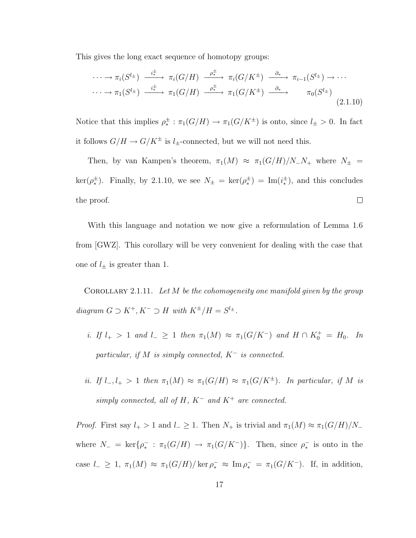This gives the long exact sequence of homotopy groups:

$$
\cdots \to \pi_i(S^{l_\pm}) \xrightarrow{i_\pm^{\pm}} \pi_i(G/H) \xrightarrow{\rho_\pm^{\pm}} \pi_i(G/K^{\pm}) \xrightarrow{\partial_*} \pi_{i-1}(S^{l_\pm}) \to \cdots
$$
  

$$
\cdots \to \pi_1(S^{l_\pm}) \xrightarrow{i_\pm^{\pm}} \pi_1(G/H) \xrightarrow{\rho_\pm^{\pm}} \pi_1(G/K^{\pm}) \xrightarrow{\partial_*} \pi_0(S^{l_\pm})
$$
  

$$
(2.1.10)
$$

Notice that this implies  $\rho^{\pm}_* : \pi_1(G/H) \to \pi_1(G/K^{\pm})$  is onto, since  $l_{\pm} > 0$ . In fact it follows  $G/H \to G/K^{\pm}$  is  $l_{\pm}$ -connected, but we will not need this.

Then, by van Kampen's theorem,  $\pi_1(M) \approx \pi_1(G/H)/N_N$  where  $N_{\pm}$ ker( $\rho_*^{\pm}$ ). Finally, by 2.1.10, we see  $N_{\pm} = \text{ker}(\rho_*^{\pm}) = \text{Im}(i_*^{\pm})$ , and this concludes the proof.  $\Box$ 

With this language and notation we now give a reformulation of Lemma 1.6 from [GWZ]. This corollary will be very convenient for dealing with the case that one of  $l_{\pm}$  is greater than 1.

COROLLARY 2.1.11. Let  $M$  be the cohomogeneity one manifold given by the group diagram  $G \supset K^+, K^- \supset H$  with  $K^{\pm}/H = S^{l_{\pm}}$ .

- i. If  $l_+ > 1$  and  $l_- \geq 1$  then  $\pi_1(M) \approx \pi_1(G/K^-)$  and  $H \cap K_0^+ = H_0$ . In particular, if M is simply connected,  $K^-$  is connected.
- ii. If  $l_-, l_+ > 1$  then  $\pi_1(M) \approx \pi_1(G/H) \approx \pi_1(G/K^{\pm})$ . In particular, if M is simply connected, all of H,  $K^-$  and  $K^+$  are connected.

*Proof.* First say  $l_{+} > 1$  and  $l_{-} \geq 1$ . Then  $N_{+}$  is trivial and  $\pi_1(M) \approx \pi_1(G/H)/N_{-}$ where  $N_- = \text{ker}\{\rho_*^- : \pi_1(G/H) \to \pi_1(G/K^-)\}\$ . Then, since  $\rho_*^-$  is onto in the case  $l_- \geq 1$ ,  $\pi_1(M) \approx \pi_1(G/H)/\ker \rho_*^- \approx \mathrm{Im} \rho_*^- = \pi_1(G/K^-)$ . If, in addition,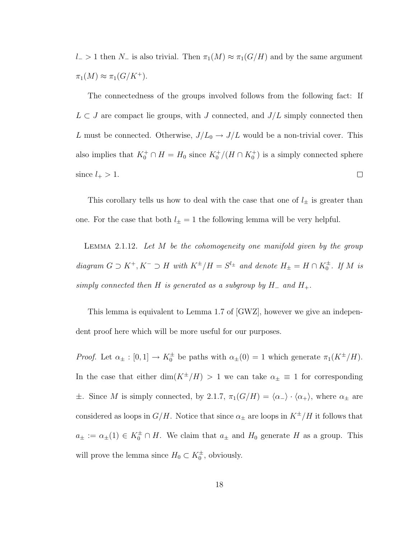l− > 1 then  $N_$  is also trivial. Then  $\pi_1(M) \approx \pi_1(G/H)$  and by the same argument  $\pi_1(M) \approx \pi_1(G/K^+).$ 

The connectedness of the groups involved follows from the following fact: If  $L \subset J$  are compact lie groups, with J connected, and  $J/L$  simply connected then L must be connected. Otherwise,  $J/L_0 \rightarrow J/L$  would be a non-trivial cover. This also implies that  $K_0^+ \cap H = H_0$  since  $K_0^+ / (H \cap K_0^+)$  is a simply connected sphere  $\Box$ since  $l_{+} > 1$ .

This corollary tells us how to deal with the case that one of  $l_{\pm}$  is greater than one. For the case that both  $l_{\pm} = 1$  the following lemma will be very helpful.

LEMMA 2.1.12. Let  $M$  be the cohomogeneity one manifold given by the group diagram  $G \supset K^+, K^- \supset H$  with  $K^{\pm}/H = S^{l_{\pm}}$  and denote  $H_{\pm} = H \cap K_0^{\pm}$ . If M is simply connected then H is generated as a subgroup by  $H_-\,$  and  $H_+\,$ .

This lemma is equivalent to Lemma 1.7 of [GWZ], however we give an independent proof here which will be more useful for our purposes.

*Proof.* Let  $\alpha_{\pm} : [0,1] \to K_0^{\pm}$  be paths with  $\alpha_{\pm}(0) = 1$  which generate  $\pi_1(K^{\pm}/H)$ . In the case that either dim( $K^{\pm}/H$ ) > 1 we can take  $\alpha_{\pm} \equiv 1$  for corresponding  $\pm$ . Since M is simply connected, by 2.1.7,  $\pi_1(G/H) = \langle \alpha_-\rangle \cdot \langle \alpha_+\rangle$ , where  $\alpha_{\pm}$  are considered as loops in  $G/H$ . Notice that since  $\alpha_{\pm}$  are loops in  $K^{\pm}/H$  it follows that  $a_{\pm} := \alpha_{\pm}(1) \in K_0^{\pm} \cap H$ . We claim that  $a_{\pm}$  and  $H_0$  generate H as a group. This will prove the lemma since  $H_0 \subset K_0^{\pm}$ , obviously.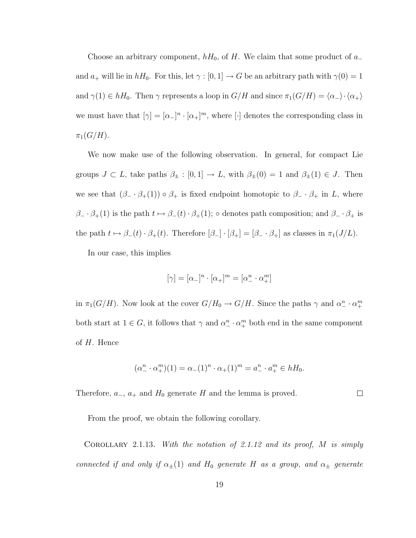Choose an arbitrary component,  $hH_0$ , of H. We claim that some product of  $a_-\$ and  $a_+$  will lie in  $hH_0$ . For this, let  $\gamma : [0, 1] \to G$  be an arbitrary path with  $\gamma(0) = 1$ and  $\gamma(1) \in hH_0$ . Then  $\gamma$  represents a loop in  $G/H$  and since  $\pi_1(G/H) = \langle \alpha_-\rangle \cdot \langle \alpha_+\rangle$ we must have that  $[\gamma] = [\alpha_-]^n \cdot [\alpha_+]^m$ , where  $[\cdot]$  denotes the corresponding class in  $\pi_1(G/H)$ .

We now make use of the following observation. In general, for compact Lie groups  $J \subset L$ , take paths  $\beta_{\pm} : [0,1] \to L$ , with  $\beta_{\pm}(0) = 1$  and  $\beta_{\pm}(1) \in J$ . Then we see that  $(\beta_-\cdot\beta_+(1))\circ\beta_+$  is fixed endpoint homotopic to  $\beta_-\cdot\beta_+$  in L, where  $\beta_-\cdot \beta_+(1)$  is the path  $t\mapsto \beta_-(t)\cdot \beta_+(1)$ ; ∘ denotes path composition; and  $\beta_-\cdot \beta_+$  is the path  $t \mapsto \beta_-(t) \cdot \beta_+(t)$ . Therefore  $[\beta_-] \cdot [\beta_+] = [\beta_- \cdot \beta_+]$  as classes in  $\pi_1(J/L)$ .

In our case, this implies

$$
[\gamma]=[\alpha_-]^n\cdot[\alpha_+]^m=[\alpha_-^n\cdot\alpha_+^m]
$$

in  $\pi_1(G/H)$ . Now look at the cover  $G/H_0 \to G/H$ . Since the paths  $\gamma$  and  $\alpha_\perp^n \cdot \alpha_\perp^m$ both start at  $1 \in G$ , it follows that  $\gamma$  and  $\alpha_{-}^{n} \cdot \alpha_{+}^{m}$  both end in the same component of  $H$ . Hence

$$
(\alpha_-^n \cdot \alpha_+^m)(1) = \alpha_-(1)^n \cdot \alpha_+(1)^m = a_-^n \cdot a_+^m \in hH_0.
$$

Therefore,  $a_-, a_+$  and  $H_0$  generate H and the lemma is proved.  $\Box$ 

From the proof, we obtain the following corollary.

COROLLARY 2.1.13. With the notation of 2.1.12 and its proof,  $M$  is simply connected if and only if  $\alpha_{\pm}(1)$  and  $H_0$  generate H as a group, and  $\alpha_{\pm}$  generate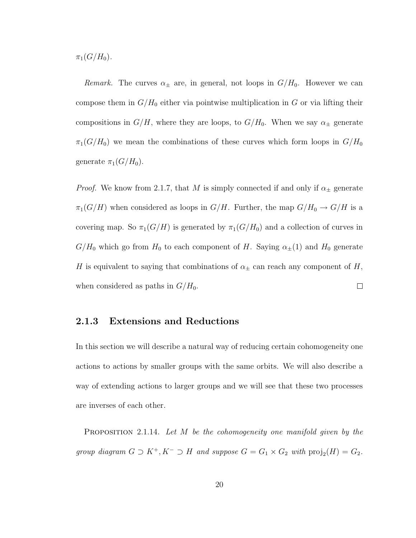$\pi_1(G/H_0)$ .

*Remark*. The curves  $\alpha_{\pm}$  are, in general, not loops in  $G/H_0$ . However we can compose them in  $G/H_0$  either via pointwise multiplication in G or via lifting their compositions in  $G/H$ , where they are loops, to  $G/H_0$ . When we say  $\alpha_{\pm}$  generate  $\pi_1(G/H_0)$  we mean the combinations of these curves which form loops in  $G/H_0$ generate  $\pi_1(G/H_0)$ .

*Proof.* We know from 2.1.7, that M is simply connected if and only if  $\alpha_{\pm}$  generate  $\pi_1(G/H)$  when considered as loops in  $G/H$ . Further, the map  $G/H_0 \to G/H$  is a covering map. So  $\pi_1(G/H)$  is generated by  $\pi_1(G/H_0)$  and a collection of curves in  $G/H_0$  which go from  $H_0$  to each component of H. Saying  $\alpha_{\pm}(1)$  and  $H_0$  generate H is equivalent to saying that combinations of  $\alpha_{\pm}$  can reach any component of H,  $\Box$ when considered as paths in  $G/H_0$ .

#### 2.1.3 Extensions and Reductions

In this section we will describe a natural way of reducing certain cohomogeneity one actions to actions by smaller groups with the same orbits. We will also describe a way of extending actions to larger groups and we will see that these two processes are inverses of each other.

PROPOSITION 2.1.14. Let M be the cohomogeneity one manifold given by the group diagram  $G \supset K^+, K^- \supset H$  and suppose  $G = G_1 \times G_2$  with  $\text{proj}_2(H) = G_2$ .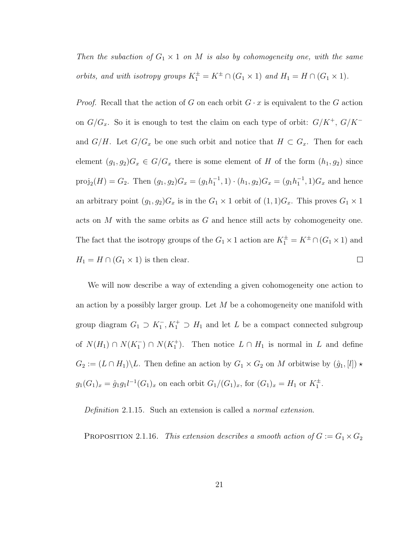Then the subaction of  $G_1 \times 1$  on M is also by cohomogeneity one, with the same orbits, and with isotropy groups  $K_1^{\pm} = K^{\pm} \cap (G_1 \times 1)$  and  $H_1 = H \cap (G_1 \times 1)$ .

*Proof.* Recall that the action of G on each orbit  $G \cdot x$  is equivalent to the G action on  $G/G_x$ . So it is enough to test the claim on each type of orbit:  $G/K^+$ ,  $G/K^$ and  $G/H$ . Let  $G/G_x$  be one such orbit and notice that  $H \subset G_x$ . Then for each element  $(g_1, g_2)G_x \in G/G_x$  there is some element of H of the form  $(h_1, g_2)$  since proj<sub>2</sub> $(H) = G_2$ . Then  $(g_1, g_2)G_x = (g_1h_1^{-1}, 1) \cdot (h_1, g_2)G_x = (g_1h_1^{-1}, 1)G_x$  and hence an arbitrary point  $(g_1, g_2)G_x$  is in the  $G_1 \times 1$  orbit of  $(1, 1)G_x$ . This proves  $G_1 \times 1$ acts on M with the same orbits as G and hence still acts by cohomogeneity one. The fact that the isotropy groups of the  $G_1 \times 1$  action are  $K_1^{\pm} = K^{\pm} \cap (G_1 \times 1)$  and  $H_1 = H \cap (G_1 \times 1)$  is then clear.  $\Box$ 

We will now describe a way of extending a given cohomogeneity one action to an action by a possibly larger group. Let  $M$  be a cohomogeneity one manifold with group diagram  $G_1 \supset K_1^-, K_1^+ \supset H_1$  and let L be a compact connected subgroup of  $N(H_1) \cap N(K_1^-) \cap N(K_1^+)$ . Then notice  $L \cap H_1$  is normal in L and define  $G_2 := (L \cap H_1) \backslash L$ . Then define an action by  $G_1 \times G_2$  on M orbitwise by  $(\hat{g}_1, [l]) \star$  $g_1(G_1)_x = \hat{g}_1 g_1 l^{-1}(G_1)_x$  on each orbit  $G_1/(G_1)_x$ , for  $(G_1)_x = H_1$  or  $K_1^{\pm}$ .

Definition 2.1.15. Such an extension is called a normal extension.

PROPOSITION 2.1.16. This extension describes a smooth action of  $G := G_1 \times G_2$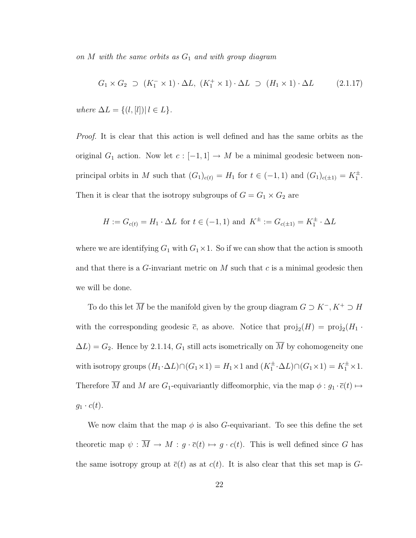on  $M$  with the same orbits as  $G_1$  and with group diagram

$$
G_1 \times G_2 \supset (K_1^- \times 1) \cdot \Delta L, (K_1^+ \times 1) \cdot \Delta L \supset (H_1 \times 1) \cdot \Delta L \tag{2.1.17}
$$

where  $\Delta L = \{(l, [l]) | l \in L\}.$ 

Proof. It is clear that this action is well defined and has the same orbits as the original  $G_1$  action. Now let  $c : [-1,1] \to M$  be a minimal geodesic between nonprincipal orbits in M such that  $(G_1)_{c(t)} = H_1$  for  $t \in (-1,1)$  and  $(G_1)_{c(t)} = K_1^{\pm}$ . Then it is clear that the isotropy subgroups of  $G = G_1 \times G_2$  are

$$
H := G_{c(t)} = H_1 \cdot \Delta L
$$
 for  $t \in (-1, 1)$  and  $K^{\pm} := G_{c(\pm 1)} = K_1^{\pm} \cdot \Delta L$ 

where we are identifying  $G_1$  with  $G_1 \times 1$ . So if we can show that the action is smooth and that there is a  $G$ -invariant metric on  $M$  such that  $c$  is a minimal geodesic then we will be done.

To do this let  $\overline{M}$  be the manifold given by the group diagram  $G\supset K^-, K^+\supset H$ with the corresponding geodesic  $\bar{c}$ , as above. Notice that  $\text{proj}_2(H) = \text{proj}_2(H_1 \cdot$  $\Delta L$ ) =  $G_2$ . Hence by 2.1.14,  $G_1$  still acts isometrically on  $\overline{M}$  by cohomogeneity one with isotropy groups  $(H_1 \cdot \Delta L) \cap (G_1 \times 1) = H_1 \times 1$  and  $(K_1^{\pm} \cdot \Delta L) \cap (G_1 \times 1) = K_1^{\pm} \times 1$ . Therefore  $\overline{M}$  and  $M$  are  $G_1$ -equivariantly diffeomorphic, via the map  $\phi : g_1 \cdot \overline{c}(t) \mapsto$  $g_1 \cdot c(t)$ .

We now claim that the map  $\phi$  is also G-equivariant. To see this define the set theoretic map  $\psi : \overline{M} \to M : g \cdot \overline{c}(t) \mapsto g \cdot c(t)$ . This is well defined since G has the same isotropy group at  $\bar{c}(t)$  as at  $c(t)$ . It is also clear that this set map is G-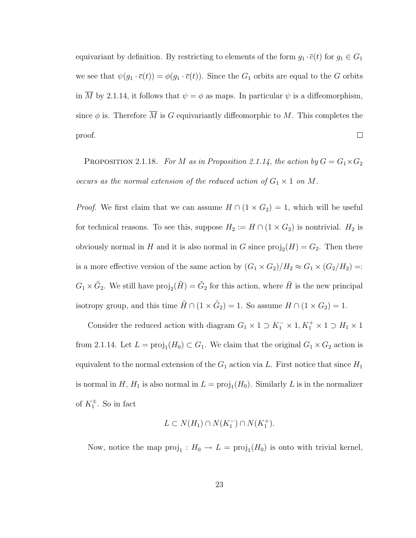equivariant by definition. By restricting to elements of the form  $g_1 \cdot \overline{c}(t)$  for  $g_1 \in G_1$ we see that  $\psi(g_1 \cdot \overline{c}(t)) = \phi(g_1 \cdot \overline{c}(t))$ . Since the  $G_1$  orbits are equal to the G orbits in M by 2.1.14, it follows that  $\psi = \phi$  as maps. In particular  $\psi$  is a diffeomorphism, since  $\phi$  is. Therefore M is G equivariantly diffeomorphic to M. This completes the  $\Box$ proof.

PROPOSITION 2.1.18. For M as in Proposition 2.1.14, the action by  $G = G_1 \times G_2$ occurs as the normal extension of the reduced action of  $G_1 \times 1$  on M.

*Proof.* We first claim that we can assume  $H \cap (1 \times G_2) = 1$ , which will be useful for technical reasons. To see this, suppose  $H_2 := H \cap (1 \times G_2)$  is nontrivial.  $H_2$  is obviously normal in H and it is also normal in G since  $\text{proj}_2(H) = G_2$ . Then there is a more effective version of the same action by  $(G_1 \times G_2)/H_2 \approx G_1 \times (G_2/H_2) =$ :  $G_1 \times \tilde{G}_2$ . We still have  $\text{proj}_2(\tilde{H}) = \tilde{G}_2$  for this action, where  $\tilde{H}$  is the new principal isotropy group, and this time  $\tilde{H} \cap (1 \times \tilde{G}_2) = 1$ . So assume  $H \cap (1 \times G_2) = 1$ .

Consider the reduced action with diagram  $G_1 \times 1 \supset K_1^- \times 1, K_1^+ \times 1 \supset H_1 \times 1$ from 2.1.14. Let  $L = \text{proj}_1(H_0) \subset G_1$ . We claim that the original  $G_1 \times G_2$  action is equivalent to the normal extension of the  $G_1$  action via L. First notice that since  $H_1$ is normal in H,  $H_1$  is also normal in  $L = \text{proj}_1(H_0)$ . Similarly L is in the normalizer of  $K_1^{\pm}$ . So in fact

$$
L \subset N(H_1) \cap N(K_1^-) \cap N(K_1^+).
$$

Now, notice the map  $proj_1: H_0 \to L = proj_1(H_0)$  is onto with trivial kernel,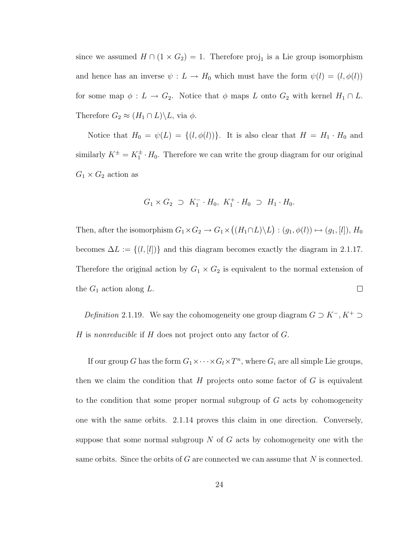since we assumed  $H \cap (1 \times G_2) = 1$ . Therefore proj<sub>1</sub> is a Lie group isomorphism and hence has an inverse  $\psi : L \to H_0$  which must have the form  $\psi(l) = (l, \phi(l))$ for some map  $\phi : L \to G_2$ . Notice that  $\phi$  maps L onto  $G_2$  with kernel  $H_1 \cap L$ . Therefore  $G_2 \approx (H_1 \cap L) \backslash L$ , via  $\phi$ .

Notice that  $H_0 = \psi(L) = \{(l, \phi(l))\}$ . It is also clear that  $H = H_1 \cdot H_0$  and similarly  $K^{\pm} = K_1^{\pm} \cdot H_0$ . Therefore we can write the group diagram for our original  $G_1 \times G_2$  action as

$$
G_1 \times G_2 \supset K_1^- \cdot H_0, \ K_1^+ \cdot H_0 \supset H_1 \cdot H_0.
$$

¡ ¢ Then, after the isomorphism  $G_1 \times G_2 \to G_1 \times$  $(H_1 \cap L)\backslash L$  $: (g_1, \phi(l)) \mapsto (g_1, [l]), H_0$ becomes  $\Delta L := \{(l, [l])\}$  and this diagram becomes exactly the diagram in 2.1.17. Therefore the original action by  $G_1 \times G_2$  is equivalent to the normal extension of the  $G_1$  action along  $L$ .  $\Box$ 

Definition 2.1.19. We say the cohomogeneity one group diagram  $G \supset K^-$ ,  $K^+ \supset$ H is nonreducible if H does not project onto any factor of  $G$ .

If our group G has the form  $G_1 \times \cdots \times G_l \times T^n$ , where  $G_i$  are all simple Lie groups, then we claim the condition that  $H$  projects onto some factor of  $G$  is equivalent to the condition that some proper normal subgroup of  $G$  acts by cohomogeneity one with the same orbits. 2.1.14 proves this claim in one direction. Conversely, suppose that some normal subgroup  $N$  of  $G$  acts by cohomogeneity one with the same orbits. Since the orbits of  $G$  are connected we can assume that  $N$  is connected.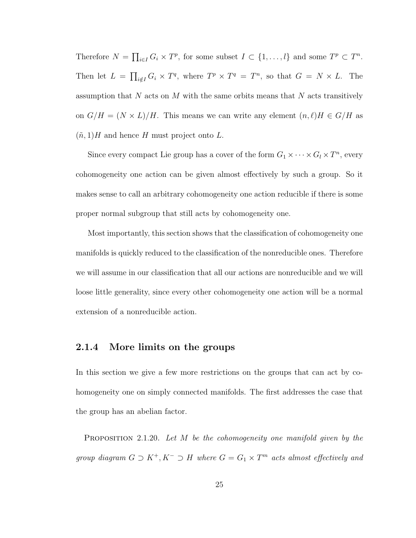Therefore  $N =$  $\overline{a}$  $_{i\in I} G_i \times T^p$ , for some subset  $I \subset \{1, ..., l\}$  and some  $T^p \subset T^n$ . Then let  $L =$  $\overline{a}$  $\lim_{i \notin I} G_i \times T^q$ , where  $T^p \times T^q = T^n$ , so that  $G = N \times L$ . The assumption that  $N$  acts on  $M$  with the same orbits means that  $N$  acts transitively on  $G/H = (N \times L)/H$ . This means we can write any element  $(n, \ell)H \in G/H$  as  $(\tilde{n}, 1)H$  and hence H must project onto L.

Since every compact Lie group has a cover of the form  $G_1 \times \cdots \times G_l \times T^n$ , every cohomogeneity one action can be given almost effectively by such a group. So it makes sense to call an arbitrary cohomogeneity one action reducible if there is some proper normal subgroup that still acts by cohomogeneity one.

Most importantly, this section shows that the classification of cohomogeneity one manifolds is quickly reduced to the classification of the nonreducible ones. Therefore we will assume in our classification that all our actions are nonreducible and we will loose little generality, since every other cohomogeneity one action will be a normal extension of a nonreducible action.

#### 2.1.4 More limits on the groups

In this section we give a few more restrictions on the groups that can act by cohomogeneity one on simply connected manifolds. The first addresses the case that the group has an abelian factor.

**PROPOSITION** 2.1.20. Let M be the cohomogeneity one manifold given by the group diagram  $G \supset K^+, K^- \supset H$  where  $G = G_1 \times T^m$  acts almost effectively and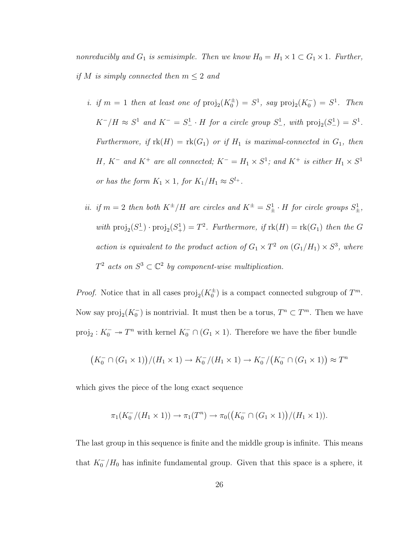nonreducibly and  $G_1$  is semisimple. Then we know  $H_0 = H_1 \times 1 \subset G_1 \times 1$ . Further, if M is simply connected then  $m \leq 2$  and

- i. if  $m = 1$  then at least one of  $\text{proj}_2(K_0^{\pm}) = S^1$ , say  $\text{proj}_2(K_0^{-}) = S^1$ . Then  $K^-/H \approx S^1$  and  $K^- = S^1_- \cdot H$  for a circle group  $S^1_-$ , with  $\text{proj}_2(S^1_-) = S^1$ . Furthermore, if  $rk(H) = rk(G_1)$  or if  $H_1$  is maximal-connected in  $G_1$ , then H, K<sup>-</sup> and K<sup>+</sup> are all connected; K<sup>-</sup> = H<sub>1</sub> × S<sup>1</sup>; and K<sup>+</sup> is either H<sub>1</sub> × S<sup>1</sup> or has the form  $K_1 \times 1$ , for  $K_1/H_1 \approx S^{l_+}$ .
- ii. if  $m = 2$  then both  $K^{\pm}/H$  are circles and  $K^{\pm} = S_{\pm}^1 \cdot H$  for circle groups  $S_{\pm}^1$ , with  $\text{proj}_2(S^1_{-}) \cdot \text{proj}_2(S^1_{+}) = T^2$ . Furthermore, if  $\text{rk}(H) = \text{rk}(G_1)$  then the G action is equivalent to the product action of  $G_1 \times T^2$  on  $(G_1/H_1) \times S^3$ , where  $T^2$  acts on  $S^3 \subset \mathbb{C}^2$  by component-wise multiplication.

*Proof.* Notice that in all cases  $proj_2(K_0^{\pm})$  is a compact connected subgroup of  $T^m$ . Now say  $\text{proj}_2(K_0^-)$  is nontrivial. It must then be a torus,  $T^n \subset T^m$ . Then we have  $proj_2: K_0^- \to T^n$  with kernel  $K_0^- \cap (G_1 \times 1)$ . Therefore we have the fiber bundle

$$
(K_0^- \cap (G_1 \times 1))/(H_1 \times 1) \to K_0^-/(H_1 \times 1) \to K_0^-/(K_0^- \cap (G_1 \times 1)) \approx T^n
$$

which gives the piece of the long exact sequence

$$
\pi_1(K_0^-/(H_1 \times 1)) \to \pi_1(T^n) \to \pi_0((K_0^- \cap (G_1 \times 1))/(H_1 \times 1)).
$$

The last group in this sequence is finite and the middle group is infinite. This means that  $K_0^-/H_0$  has infinite fundamental group. Given that this space is a sphere, it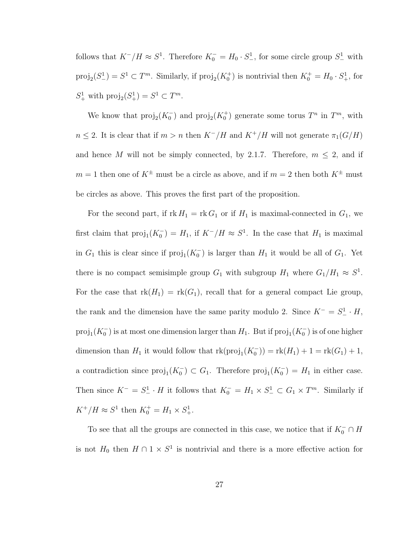follows that  $K^-/H \approx S^1$ . Therefore  $K_0^- = H_0 \cdot S^1$ , for some circle group  $S^1$  with  $\text{proj}_2(S^1) = S^1 \subset T^m$ . Similarly, if  $\text{proj}_2(K_0^+)$  is nontrivial then  $K_0^+ = H_0 \cdot S^1_+$ , for  $S^1_+$  with  $\text{proj}_2(S^1_+) = S^1 \subset T^m$ .

We know that  $\text{proj}_2(K_0^-)$  and  $\text{proj}_2(K_0^+)$  generate some torus  $T^n$  in  $T^m$ , with  $n \leq 2$ . It is clear that if  $m > n$  then  $K^-/H$  and  $K^+/H$  will not generate  $\pi_1(G/H)$ and hence M will not be simply connected, by 2.1.7. Therefore,  $m \leq 2$ , and if  $m = 1$  then one of  $K^{\pm}$  must be a circle as above, and if  $m = 2$  then both  $K^{\pm}$  must be circles as above. This proves the first part of the proposition.

For the second part, if  $rk H_1 = rk G_1$  or if  $H_1$  is maximal-connected in  $G_1$ , we first claim that  $proj_1(K_0^-) = H_1$ , if  $K^-/H \approx S^1$ . In the case that  $H_1$  is maximal in  $G_1$  this is clear since if  $proj_1(K_0^-)$  is larger than  $H_1$  it would be all of  $G_1$ . Yet there is no compact semisimple group  $G_1$  with subgroup  $H_1$  where  $G_1/H_1 \approx S^1$ . For the case that  $rk(H_1) = rk(G_1)$ , recall that for a general compact Lie group, the rank and the dimension have the same parity modulo 2. Since  $K^- = S^1 - H$ ,  $\text{proj}_1(K_0^-)$  is at most one dimension larger than  $H_1$ . But if  $\text{proj}_1(K_0^-)$  is of one higher dimension than  $H_1$  it would follow that  $\text{rk}(\text{proj}_1(K_0^-)) = \text{rk}(H_1) + 1 = \text{rk}(G_1) + 1$ , a contradiction since  $proj_1(K_0^-) \subset G_1$ . Therefore  $proj_1(K_0^-) = H_1$  in either case. Then since  $K^- = S^1_- \cdot H$  it follows that  $K_0^- = H_1 \times S^1_- \subset G_1 \times T^m$ . Similarly if  $K^+/H \approx S^1$  then  $K_0^+ = H_1 \times S^1_+$ .

To see that all the groups are connected in this case, we notice that if  $K_0^- \cap H$ is not  $H_0$  then  $H \cap 1 \times S^1$  is nontrivial and there is a more effective action for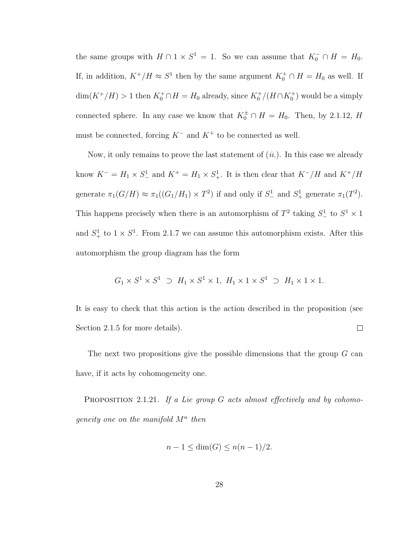the same groups with  $H \cap 1 \times S^1 = 1$ . So we can assume that  $K_0^- \cap H = H_0$ . If, in addition,  $K^+/H \approx S^1$  then by the same argument  $K_0^+ \cap H = H_0$  as well. If  $\dim(K^+/H) > 1$  then  $K_0^+ \cap H = H_0$  already, since  $K_0^+ / (H \cap K_0^+)$  would be a simply connected sphere. In any case we know that  $K_0^{\pm} \cap H = H_0$ . Then, by 2.1.12, H must be connected, forcing  $K^-$  and  $K^+$  to be connected as well.

Now, it only remains to prove the last statement of  $(ii)$ . In this case we already know  $K^- = H_1 \times S^1$  and  $K^+ = H_1 \times S^1$ . It is then clear that  $K^-/H$  and  $K^+/H$ generate  $\pi_1(G/H) \approx \pi_1((G_1/H_1) \times T^2)$  if and only if  $S^1$  and  $S^1$  generate  $\pi_1(T^2)$ . This happens precisely when there is an automorphism of  $T^2$  taking  $S^1$  to  $S^1 \times 1$ and  $S^1_+$  to  $1 \times S^1$ . From 2.1.7 we can assume this automorphism exists. After this automorphism the group diagram has the form

$$
G_1 \times S^1 \times S^1 \supset H_1 \times S^1 \times 1, H_1 \times 1 \times S^1 \supset H_1 \times 1 \times 1.
$$

It is easy to check that this action is the action described in the proposition (see Section 2.1.5 for more details).  $\Box$ 

The next two propositions give the possible dimensions that the group  $G$  can have, if it acts by cohomogeneity one.

PROPOSITION 2.1.21. If a Lie group G acts almost effectively and by cohomogeneity one on the manifold  $M^n$  then

$$
n-1 \le \dim(G) \le n(n-1)/2.
$$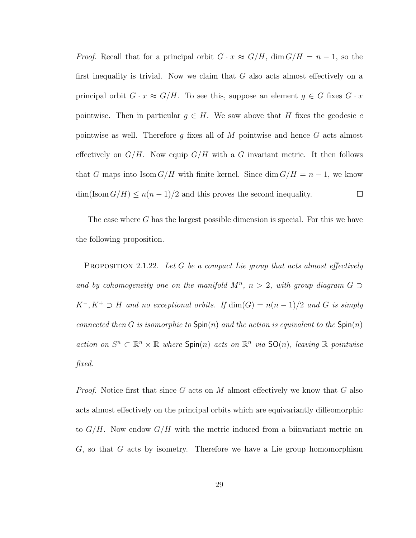*Proof.* Recall that for a principal orbit  $G \cdot x \approx G/H$ , dim  $G/H = n - 1$ , so the first inequality is trivial. Now we claim that  $G$  also acts almost effectively on a principal orbit  $G \cdot x \approx G/H$ . To see this, suppose an element  $g \in G$  fixes  $G \cdot x$ pointwise. Then in particular  $g \in H$ . We saw above that H fixes the geodesic c pointwise as well. Therefore q fixes all of M pointwise and hence  $G$  acts almost effectively on  $G/H$ . Now equip  $G/H$  with a G invariant metric. It then follows that G maps into  $\text{Isom } G/H$  with finite kernel. Since  $\dim G/H = n - 1$ , we know  $\dim(\text{Isom } G/H) \leq n(n-1)/2$  and this proves the second inequality.  $\Box$ 

The case where G has the largest possible dimension is special. For this we have the following proposition.

**PROPOSITION** 2.1.22. Let G be a compact Lie group that acts almost effectively and by cohomogeneity one on the manifold  $M^n$ ,  $n > 2$ , with group diagram  $G \supset$  $K^-, K^+ \supset H$  and no exceptional orbits. If  $\dim(G) = n(n-1)/2$  and G is simply connected then G is isomorphic to  $\text{Spin}(n)$  and the action is equivalent to the  $\text{Spin}(n)$ action on  $S^n \subset \mathbb{R}^n \times \mathbb{R}$  where  $\text{Spin}(n)$  acts on  $\mathbb{R}^n$  via  $\text{SO}(n)$ , leaving  $\mathbb{R}$  pointwise fixed.

*Proof.* Notice first that since G acts on M almost effectively we know that G also acts almost effectively on the principal orbits which are equivariantly diffeomorphic to  $G/H$ . Now endow  $G/H$  with the metric induced from a biinvariant metric on  $G$ , so that  $G$  acts by isometry. Therefore we have a Lie group homomorphism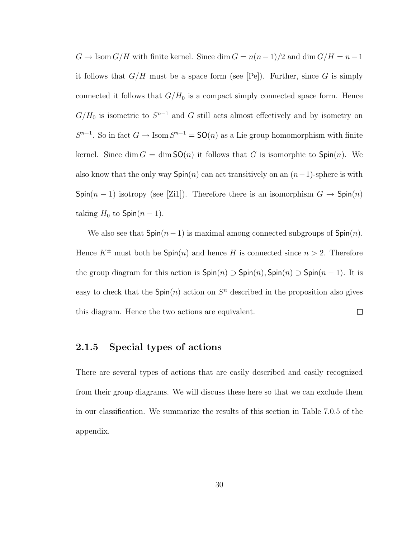$G \to \text{Isom } G/H$  with finite kernel. Since  $\dim G = n(n-1)/2$  and  $\dim G/H = n-1$ it follows that  $G/H$  must be a space form (see [Pe]). Further, since G is simply connected it follows that  $G/H_0$  is a compact simply connected space form. Hence  $G/H_0$  is isometric to  $S^{n-1}$  and G still acts almost effectively and by isometry on  $S^{n-1}$ . So in fact  $G \to \text{Isom } S^{n-1} = \text{SO}(n)$  as a Lie group homomorphism with finite kernel. Since dim  $G = \dim SO(n)$  it follows that G is isomorphic to  $Spin(n)$ . We also know that the only way  $\text{Spin}(n)$  can act transitively on an  $(n-1)$ -sphere is with Spin(n − 1) isotropy (see [Zi1]). Therefore there is an isomorphism  $G \to Spin(n)$ taking  $H_0$  to  $\textsf{Spin}(n-1)$ .

We also see that  $Spin(n-1)$  is maximal among connected subgroups of  $Spin(n)$ . Hence  $K^{\pm}$  must both be  $Spin(n)$  and hence H is connected since  $n > 2$ . Therefore the group diagram for this action is  $Spin(n) \supset Spin(n)$ ,  $Spin(n) \supset Spin(n-1)$ . It is easy to check that the  $Spin(n)$  action on  $S<sup>n</sup>$  described in the proposition also gives this diagram. Hence the two actions are equivalent.  $\Box$ 

### 2.1.5 Special types of actions

There are several types of actions that are easily described and easily recognized from their group diagrams. We will discuss these here so that we can exclude them in our classification. We summarize the results of this section in Table 7.0.5 of the appendix.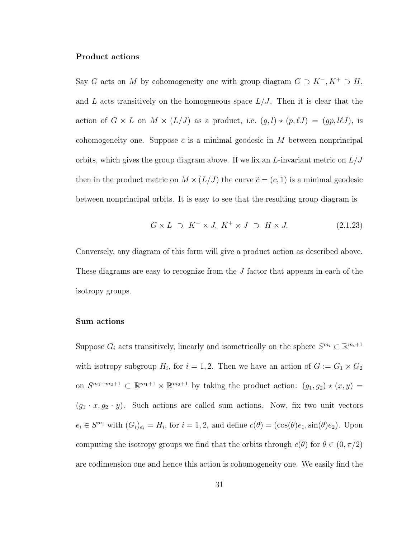### Product actions

Say G acts on M by cohomogeneity one with group diagram  $G \supset K^-$ ,  $K^+ \supset H$ , and L acts transitively on the homogeneous space  $L/J$ . Then it is clear that the action of  $G \times L$  on  $M \times (L/J)$  as a product, i.e.  $(g, l) \star (p, \ell J) = (gp, \ell J)$ , is cohomogeneity one. Suppose c is a minimal geodesic in  $M$  between nonprincipal orbits, which gives the group diagram above. If we fix an  $L$ -invariant metric on  $L/J$ then in the product metric on  $M \times (L/J)$  the curve  $\tilde{c} = (c, 1)$  is a minimal geodesic between nonprincipal orbits. It is easy to see that the resulting group diagram is

$$
G \times L \supset K^- \times J, \ K^+ \times J \supset H \times J. \tag{2.1.23}
$$

Conversely, any diagram of this form will give a product action as described above. These diagrams are easy to recognize from the J factor that appears in each of the isotropy groups.

### Sum actions

Suppose  $G_i$  acts transitively, linearly and isometrically on the sphere  $S^{m_i} \subset \mathbb{R}^{m_i+1}$ with isotropy subgroup  $H_i$ , for  $i = 1, 2$ . Then we have an action of  $G := G_1 \times G_2$ on  $S^{m_1+m_2+1} \subset \mathbb{R}^{m_1+1} \times \mathbb{R}^{m_2+1}$  by taking the product action:  $(g_1, g_2) \star (x, y) =$  $(g_1 \cdot x, g_2 \cdot y)$ . Such actions are called sum actions. Now, fix two unit vectors  $e_i \in S^{m_i}$  with  $(G_i)_{e_i} = H_i$ , for  $i = 1, 2$ , and define  $c(\theta) = (\cos(\theta)e_1, \sin(\theta)e_2)$ . Upon computing the isotropy groups we find that the orbits through  $c(\theta)$  for  $\theta \in (0, \pi/2)$ are codimension one and hence this action is cohomogeneity one. We easily find the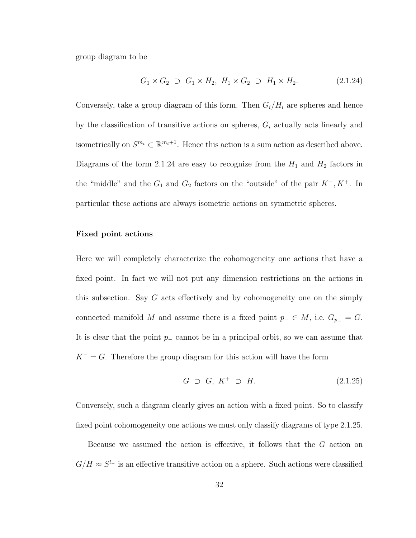group diagram to be

$$
G_1 \times G_2 \supset G_1 \times H_2, H_1 \times G_2 \supset H_1 \times H_2. \tag{2.1.24}
$$

Conversely, take a group diagram of this form. Then  $G_i/H_i$  are spheres and hence by the classification of transitive actions on spheres,  $G_i$  actually acts linearly and isometrically on  $S^{m_i} \subset \mathbb{R}^{m_i+1}$ . Hence this action is a sum action as described above. Diagrams of the form 2.1.24 are easy to recognize from the  $H_1$  and  $H_2$  factors in the "middle" and the  $G_1$  and  $G_2$  factors on the "outside" of the pair  $K^-, K^+$ . In particular these actions are always isometric actions on symmetric spheres.

### Fixed point actions

Here we will completely characterize the cohomogeneity one actions that have a fixed point. In fact we will not put any dimension restrictions on the actions in this subsection. Say  $G$  acts effectively and by cohomogeneity one on the simply connected manifold M and assume there is a fixed point  $p_-\in M$ , i.e.  $G_{p_-}=G$ . It is clear that the point  $p_$  cannot be in a principal orbit, so we can assume that  $K^- = G$ . Therefore the group diagram for this action will have the form

$$
G \supset G, K^+ \supset H. \tag{2.1.25}
$$

Conversely, such a diagram clearly gives an action with a fixed point. So to classify fixed point cohomogeneity one actions we must only classify diagrams of type 2.1.25.

Because we assumed the action is effective, it follows that the G action on  $G/H \approx S^{l-1}$  is an effective transitive action on a sphere. Such actions were classified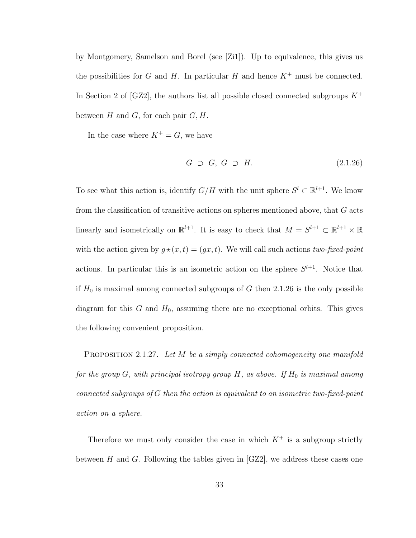by Montgomery, Samelson and Borel (see [Zi1]). Up to equivalence, this gives us the possibilities for G and H. In particular H and hence  $K^+$  must be connected. In Section 2 of [GZ2], the authors list all possible closed connected subgroups  $K^+$ between  $H$  and  $G$ , for each pair  $G, H$ .

In the case where  $K^+ = G$ , we have

$$
G \supset G, G \supset H. \tag{2.1.26}
$$

To see what this action is, identify  $G/H$  with the unit sphere  $S^l \subset \mathbb{R}^{l+1}$ . We know from the classification of transitive actions on spheres mentioned above, that  $G$  acts linearly and isometrically on  $\mathbb{R}^{l+1}$ . It is easy to check that  $M = S^{l+1} \subset \mathbb{R}^{l+1} \times \mathbb{R}$ with the action given by  $g \star (x, t) = (gx, t)$ . We will call such actions two-fixed-point actions. In particular this is an isometric action on the sphere  $S^{l+1}$ . Notice that if  $H_0$  is maximal among connected subgroups of G then 2.1.26 is the only possible diagram for this  $G$  and  $H_0$ , assuming there are no exceptional orbits. This gives the following convenient proposition.

PROPOSITION 2.1.27. Let M be a simply connected cohomogeneity one manifold for the group  $G$ , with principal isotropy group  $H$ , as above. If  $H_0$  is maximal among connected subgroups of G then the action is equivalent to an isometric two-fixed-point action on a sphere.

Therefore we must only consider the case in which  $K^+$  is a subgroup strictly between  $H$  and  $G$ . Following the tables given in  $[GZ2]$ , we address these cases one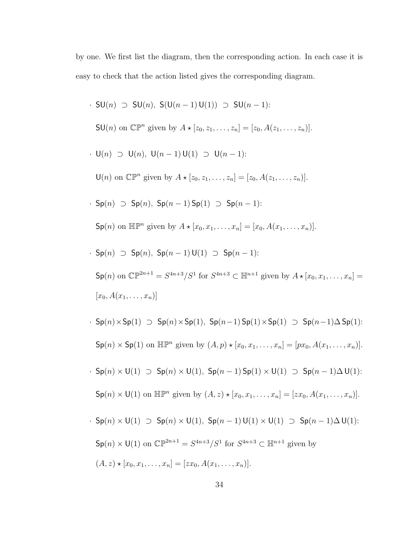by one. We first list the diagram, then the corresponding action. In each case it is easy to check that the action listed gives the corresponding diagram.

\n- \n
$$
SU(n) \supset SU(n)
$$
,  $S(U(n-1)U(1)) \supset SU(n-1)$ :\n
\n- \n $SU(n)$  on  $\mathbb{CP}^n$  given by  $A \star [z_0, z_1, \ldots, z_n] = [z_0, A(z_1, \ldots, z_n)]$ .\n
\n- \n $U(n) \supset U(n)$ ,  $U(n-1)U(1) \supset U(n-1)$ :\n
\n- \n $U(n)$  on  $\mathbb{CP}^n$  given by  $A \star [z_0, z_1, \ldots, z_n] = [z_0, A(z_1, \ldots, z_n)]$ .\n
\n- \n $Sp(n) \supset Sp(n)$ ,  $Sp(n-1)Sp(1) \supset Sp(n-1)$ :\n
\n- \n $Sp(n)$  on  $\mathbb{HP}^n$  given by  $A \star [x_0, x_1, \ldots, x_n] = [x_0, A(x_1, \ldots, x_n)]$ .\n
\n- \n $Sp(n) \supset Sp(n)$ ,  $Sp(n-1)U(1) \supset Sp(n-1)$ :\n
\n- \n $Sp(n)$  on  $\mathbb{CP}^{2n+1} = S^{4n+3}/S^1$  for  $S^{4n+3} \subset \mathbb{H}^{n+1}$  given by  $A \star [x_0, x_1, \ldots, x_n] = [x_0, A(x_1, \ldots, x_n)]$ .\n
\n- \n $Sp(n) \times Sp(1) \supset Sp(n) \times Sp(1)$ ,  $Sp(n-1)Sp(1) \times Sp(1) \supset Sp(n-1) \Delta Sp(1)$ :\n
\n- \n $Sp(n) \times Sp(1)$  on  $\mathbb{HP}^n$  given by  $(A, p) \star [x_0, x_1, \ldots, x_n] = [px_0, A(x_1, \ldots, x_n)]$

$$
\mathsf{Sp}(n) \times \mathsf{U}(1) \text{ on } \mathbb{CP}^{2n+1} = S^{4n+3}/S^1 \text{ for } S^{4n+3} \subset \mathbb{H}^{n+1} \text{ given by}
$$

$$
(A, z) \star [x_0, x_1, \ldots, x_n] = [zx_0, A(x_1, \ldots, x_n)].
$$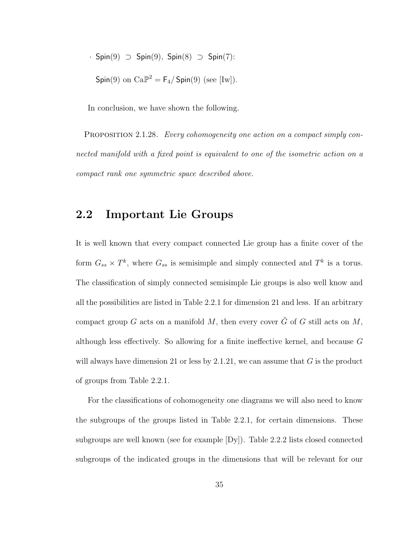$$
\text{Spin}(9) \supset \text{Spin}(9), \text{Spin}(8) \supset \text{Spin}(7):
$$

$$
\text{Spin}(9) \text{ on } \text{Ca}\mathbb{P}^2 = \mathsf{F}_4 / \text{Spin}(9) \text{ (see [Iw]).}
$$

In conclusion, we have shown the following.

PROPOSITION 2.1.28. Every cohomogeneity one action on a compact simply connected manifold with a fixed point is equivalent to one of the isometric action on a compact rank one symmetric space described above.

## 2.2 Important Lie Groups

It is well known that every compact connected Lie group has a finite cover of the form  $G_{ss} \times T^k$ , where  $G_{ss}$  is semisimple and simply connected and  $T^k$  is a torus. The classification of simply connected semisimple Lie groups is also well know and all the possibilities are listed in Table 2.2.1 for dimension 21 and less. If an arbitrary compact group G acts on a manifold M, then every cover  $\tilde{G}$  of G still acts on M, although less effectively. So allowing for a finite ineffective kernel, and because G will always have dimension 21 or less by  $2.1.21$ , we can assume that G is the product of groups from Table 2.2.1.

For the classifications of cohomogeneity one diagrams we will also need to know the subgroups of the groups listed in Table 2.2.1, for certain dimensions. These subgroups are well known (see for example [Dy]). Table 2.2.2 lists closed connected subgroups of the indicated groups in the dimensions that will be relevant for our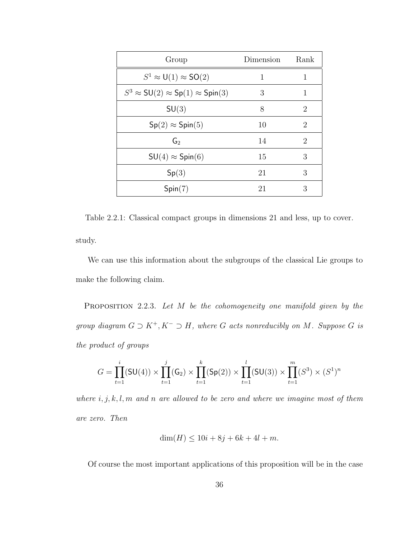| Group                                             | Dimension | Rank                        |
|---------------------------------------------------|-----------|-----------------------------|
| $S^1 \approx U(1) \approx SO(2)$                  | 1         | 1                           |
| $S^3 \approx SU(2) \approx Sp(1) \approx Spin(3)$ | 3         | 1                           |
| SU(3)                                             | 8         | $\mathcal{D}_{\mathcal{A}}$ |
| $Sp(2) \approx Spin(5)$                           | 10        | 2                           |
| G <sub>2</sub>                                    | 14        | 2                           |
| $SU(4) \approx Spin(6)$                           | 15        | 3                           |
| Sp(3)                                             | 21        | 3                           |
| Spin(7)                                           | 21        | 3                           |

Table 2.2.1: Classical compact groups in dimensions 21 and less, up to cover. study.

We can use this information about the subgroups of the classical Lie groups to make the following claim.

PROPOSITION 2.2.3. Let M be the cohomogeneity one manifold given by the group diagram  $G \supset K^+, K^- \supset H$ , where  $G$  acts nonreducibly on  $M$ . Suppose  $G$  is the product of groups

$$
G = \prod_{t=1}^{i} (\mathsf{SU}(4)) \times \prod_{t=1}^{j} (\mathsf{G}_2) \times \prod_{t=1}^{k} (\mathsf{Sp}(2)) \times \prod_{t=1}^{l} (\mathsf{SU}(3)) \times \prod_{t=1}^{m} (S^3) \times (S^1)^n
$$

where  $i, j, k, l, m$  and n are allowed to be zero and where we imagine most of them are zero. Then

$$
\dim(H) \le 10i + 8j + 6k + 4l + m.
$$

Of course the most important applications of this proposition will be in the case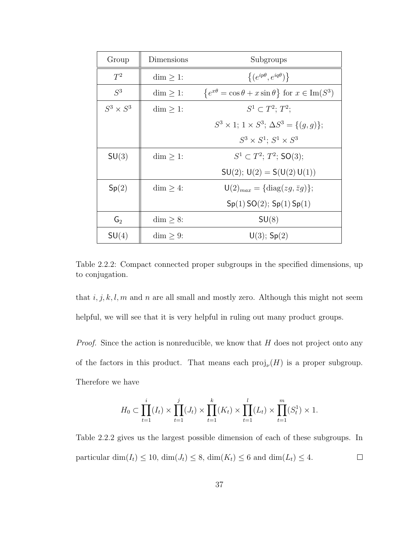| Group           | Dimensions      | Subgroups                                                                  |
|-----------------|-----------------|----------------------------------------------------------------------------|
| $T^2$           | $\dim \geq 1$ : | $\{(e^{ip\theta}, e^{iq\theta})\}$                                         |
| $S^3$           | $\dim \geq 1$ : | $\{e^{x\theta} = \cos \theta + x \sin \theta\}$ for $x \in \text{Im}(S^3)$ |
| $S^3\times S^3$ | $\dim$ > 1:     | $S^1 \subset T^2$ ; $T^2$ ;                                                |
|                 |                 | $S^3 \times 1$ ; $1 \times S^3$ ; $\Delta S^3 = \{(q, q)\};$               |
|                 |                 | $S^3 \times S^1$ ; $S^1 \times S^3$                                        |
| SU(3)           | $\dim \geq 1$ : | $S^1 \subset T^2$ ; $T^2$ ; SO(3);                                         |
|                 |                 | $SU(2)$ ; $U(2) = S(U(2) U(1))$                                            |
| Sp(2)           | $\dim$ > 4:     | $\mathsf{U}(2)_{max} = {\text{diag}(zg,\bar{z}g)};$                        |
|                 |                 | Sp(1)SO(2); Sp(1)Sp(1)                                                     |
| $G_2$           | $\dim \geq 8$ : | SU(8)                                                                      |
| SU(4)           | $\dim$ > 9:     | $U(3)$ ; Sp $(2)$                                                          |

Table 2.2.2: Compact connected proper subgroups in the specified dimensions, up to conjugation.

that  $i, j, k, l, m$  and n are all small and mostly zero. Although this might not seem helpful, we will see that it is very helpful in ruling out many product groups.

Proof. Since the action is nonreducible, we know that H does not project onto any of the factors in this product. That means each  $\text{proj}_{\nu}(H)$  is a proper subgroup. Therefore we have

$$
H_0 \subset \prod_{t=1}^i (I_t) \times \prod_{t=1}^j (J_t) \times \prod_{t=1}^k (K_t) \times \prod_{t=1}^l (L_t) \times \prod_{t=1}^m (S_t^1) \times 1.
$$

Table 2.2.2 gives us the largest possible dimension of each of these subgroups. In particular  $\dim(I_t) \leq 10$ ,  $\dim(J_t) \leq 8$ ,  $\dim(K_t) \leq 6$  and  $\dim(L_t) \leq 4$ .  $\Box$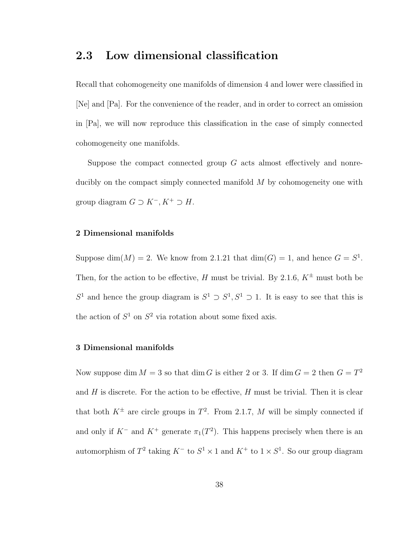## 2.3 Low dimensional classification

Recall that cohomogeneity one manifolds of dimension 4 and lower were classified in [Ne] and [Pa]. For the convenience of the reader, and in order to correct an omission in [Pa], we will now reproduce this classification in the case of simply connected cohomogeneity one manifolds.

Suppose the compact connected group  $G$  acts almost effectively and nonreducibly on the compact simply connected manifold  $M$  by cohomogeneity one with group diagram  $G \supset K^-, K^+ \supset H$ .

### 2 Dimensional manifolds

Suppose dim(M) = 2. We know from 2.1.21 that  $\dim(G) = 1$ , and hence  $G = S^1$ . Then, for the action to be effective, H must be trivial. By 2.1.6,  $K^{\pm}$  must both be S<sup>1</sup> and hence the group diagram is  $S^1 \supset S^1$ ,  $S^1 \supset 1$ . It is easy to see that this is the action of  $S^1$  on  $S^2$  via rotation about some fixed axis.

### 3 Dimensional manifolds

Now suppose dim  $M = 3$  so that dim G is either 2 or 3. If dim  $G = 2$  then  $G = T^2$ and  $H$  is discrete. For the action to be effective,  $H$  must be trivial. Then it is clear that both  $K^{\pm}$  are circle groups in  $T^2$ . From 2.1.7, M will be simply connected if and only if  $K^-$  and  $K^+$  generate  $\pi_1(T^2)$ . This happens precisely when there is an automorphism of  $T^2$  taking  $K^-$  to  $S^1 \times 1$  and  $K^+$  to  $1 \times S^1$ . So our group diagram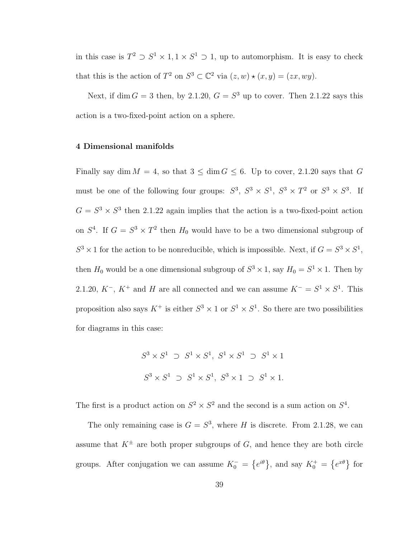in this case is  $T^2 \supset S^1 \times 1, 1 \times S^1 \supset 1$ , up to automorphism. It is easy to check that this is the action of  $T^2$  on  $S^3 \subset \mathbb{C}^2$  via  $(z, w) \star (x, y) = (zx, wy)$ .

Next, if dim  $G = 3$  then, by 2.1.20,  $G = S<sup>3</sup>$  up to cover. Then 2.1.22 says this action is a two-fixed-point action on a sphere.

#### 4 Dimensional manifolds

Finally say dim  $M = 4$ , so that  $3 \leq \dim G \leq 6$ . Up to cover, 2.1.20 says that G must be one of the following four groups:  $S^3$ ,  $S^3 \times S^1$ ,  $S^3 \times T^2$  or  $S^3 \times S^3$ . If  $G = S<sup>3</sup> \times S<sup>3</sup>$  then 2.1.22 again implies that the action is a two-fixed-point action on  $S<sup>4</sup>$ . If  $G = S<sup>3</sup> \times T<sup>2</sup>$  then  $H<sub>0</sub>$  would have to be a two dimensional subgroup of  $S^3 \times 1$  for the action to be nonreducible, which is impossible. Next, if  $G = S^3 \times S^1$ , then  $H_0$  would be a one dimensional subgroup of  $S^3 \times 1$ , say  $H_0 = S^1 \times 1$ . Then by 2.1.20,  $K^-$ ,  $K^+$  and H are all connected and we can assume  $K^- = S^1 \times S^1$ . This proposition also says  $K^+$  is either  $S^3 \times 1$  or  $S^1 \times S^1$ . So there are two possibilities for diagrams in this case:

$$
S^3 \times S^1 \supset S^1 \times S^1, S^1 \times S^1 \supset S^1 \times 1
$$
  

$$
S^3 \times S^1 \supset S^1 \times S^1, S^3 \times 1 \supset S^1 \times 1.
$$

The first is a product action on  $S^2 \times S^2$  and the second is a sum action on  $S^4$ .

The only remaining case is  $G = S^3$ , where H is discrete. From 2.1.28, we can assume that  $K^{\pm}$  are both proper subgroups of G, and hence they are both circle groups. After conjugation we can assume  $K_0^-$  =  $\overline{a}$  $e^{i\theta}$ , and say  $K_0^+$  =  $\overline{a}$  $e^{x\theta}$  for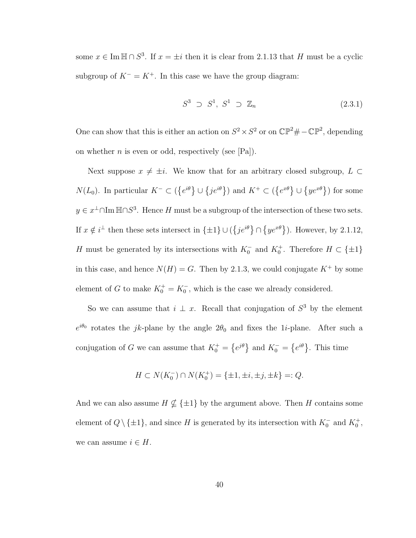some  $x \in \text{Im } \mathbb{H} \cap S^3$ . If  $x = \pm i$  then it is clear from 2.1.13 that H must be a cyclic subgroup of  $K^- = K^+$ . In this case we have the group diagram:

$$
S^3 \supset S^1, S^1 \supset \mathbb{Z}_n \tag{2.3.1}
$$

One can show that this is either an action on  $S^2 \times S^2$  or on  $\mathbb{CP}^2 \# -\mathbb{CP}^2$ , depending on whether *n* is even or odd, respectively (see [Pa]).

Next suppose  $x \neq \pm i$ . We know that for an arbitrary closed subgroup,  $L \subset$  $N(L_0)$ . In particular  $K^- \subset ($  $\overline{a}$  $e^{i\theta}$ }∪  $\{je^{i\theta}\}\}\)$  and  $K^+\subset\mathcal{O}$  $\overline{a}$  $e^{x\theta}$ }∪  $\{ye^{x\theta}\}\)$  for some  $y \in x^{\perp} \cap \text{Im } \mathbb{H} \cap S^3$ . Hence H must be a subgroup of the intersection of these two sets. If  $x \notin i^{\perp}$  then these sets intersect in  $\{\pm 1\} \cup ($  $\{je^{i\theta}\}\cap$  $\{ye^{x\theta}\}\)$ . However, by 2.1.12, H must be generated by its intersections with  $K_0^-$  and  $K_0^+$ . Therefore  $H \subset \{\pm 1\}$ in this case, and hence  $N(H) = G$ . Then by 2.1.3, we could conjugate  $K^+$  by some element of G to make  $K_0^+ = K_0^-$ , which is the case we already considered.

So we can assume that  $i \perp x$ . Recall that conjugation of  $S^3$  by the element  $e^{i\theta_0}$  rotates the jk-plane by the angle  $2\theta_0$  and fixes the 1*i*-plane. After such a conjugation of G we can assume that  $K_0^+$  =  $\overline{a}$  $e^{j\theta}$  and  $K_0^-$  =  $\overline{a}$  $e^{i\theta}$ . This time

$$
H \subset N(K_0^-) \cap N(K_0^+) = \{\pm 1, \pm i, \pm j, \pm k\} =: Q.
$$

And we can also assume  $H \nsubseteq {\pm 1}$  by the argument above. Then H contains some element of  $Q \setminus {\pm 1}$ , and since H is generated by its intersection with  $K_0^-$  and  $K_0^+$ , we can assume  $i \in H$ .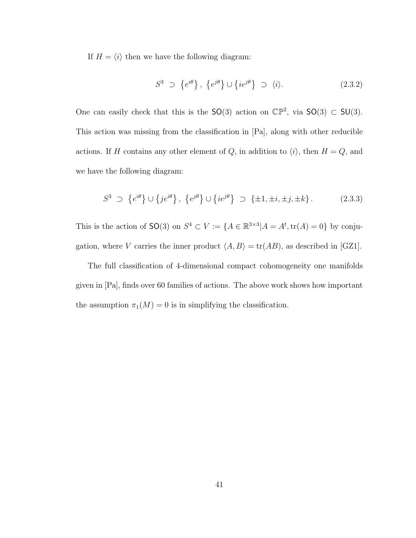If  $H = \langle i \rangle$  then we have the following diagram:

$$
S^3 \supset \{e^{i\theta}\}, \{e^{j\theta}\} \cup \{ie^{j\theta}\} \supset \langle i \rangle. \tag{2.3.2}
$$

One can easily check that this is the  $SO(3)$  action on  $\mathbb{CP}^2$ , via  $SO(3) \subset SU(3)$ . This action was missing from the classification in [Pa], along with other reducible actions. If H contains any other element of Q, in addition to  $\langle i \rangle$ , then  $H = Q$ , and we have the following diagram:

$$
S^3 \supset \{e^{i\theta}\} \cup \{je^{i\theta}\}, \{e^{j\theta}\} \cup \{ie^{j\theta}\} \supset \{\pm 1, \pm i, \pm j, \pm k\}.
$$
 (2.3.3)

This is the action of  $SO(3)$  on  $S^4 \subset V := \{A \in \mathbb{R}^{3 \times 3} | A = A^t, \text{tr}(A) = 0\}$  by conjugation, where V carries the inner product  $\langle A, B \rangle = \text{tr}(AB)$ , as described in [GZ1].

The full classification of 4-dimensional compact cohomogeneity one manifolds given in [Pa], finds over 60 families of actions. The above work shows how important the assumption  $\pi_1(M) = 0$  is in simplifying the classification.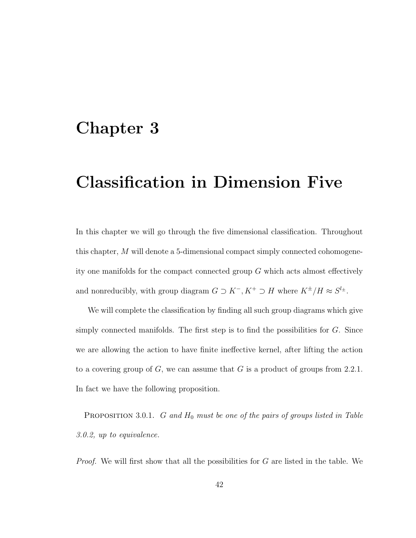# Chapter 3

# Classification in Dimension Five

In this chapter we will go through the five dimensional classification. Throughout this chapter, M will denote a 5-dimensional compact simply connected cohomogeneity one manifolds for the compact connected group G which acts almost effectively and nonreducibly, with group diagram  $G \supset K^-$ ,  $K^+ \supset H$  where  $K^{\pm}/H \approx S^{l_{\pm}}$ .

We will complete the classification by finding all such group diagrams which give simply connected manifolds. The first step is to find the possibilities for G. Since we are allowing the action to have finite ineffective kernel, after lifting the action to a covering group of  $G$ , we can assume that  $G$  is a product of groups from 2.2.1. In fact we have the following proposition.

PROPOSITION 3.0.1.  $G$  and  $H_0$  must be one of the pairs of groups listed in Table 3.0.2, up to equivalence.

Proof. We will first show that all the possibilities for G are listed in the table. We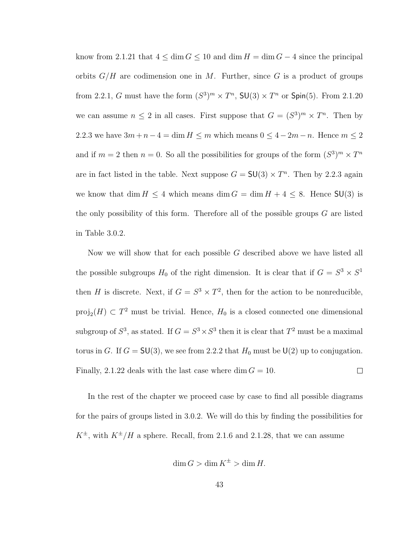know from 2.1.21 that  $4 \le \dim G \le 10$  and  $\dim H = \dim G - 4$  since the principal orbits  $G/H$  are codimension one in M. Further, since G is a product of groups from 2.2.1, G must have the form  $(S^3)^m \times T^n$ ,  $SU(3) \times T^n$  or  $Spin(5)$ . From 2.1.20 we can assume  $n \leq 2$  in all cases. First suppose that  $G = (S^3)^m \times T^n$ . Then by 2.2.3 we have  $3m + n - 4 = \dim H \le m$  which means  $0 \le 4 - 2m - n$ . Hence  $m \le 2$ and if  $m = 2$  then  $n = 0$ . So all the possibilities for groups of the form  $(S^3)^m \times T^n$ are in fact listed in the table. Next suppose  $G = SU(3) \times T^n$ . Then by 2.2.3 again we know that dim  $H \leq 4$  which means dim  $G = \dim H + 4 \leq 8$ . Hence  $SU(3)$  is the only possibility of this form. Therefore all of the possible groups  $G$  are listed in Table 3.0.2.

Now we will show that for each possible G described above we have listed all the possible subgroups  $H_0$  of the right dimension. It is clear that if  $G = S^3 \times S^1$ then H is discrete. Next, if  $G = S^3 \times T^2$ , then for the action to be nonreducible,  $proj_2(H) \subset T^2$  must be trivial. Hence,  $H_0$  is a closed connected one dimensional subgroup of  $S^3$ , as stated. If  $G = S^3 \times S^3$  then it is clear that  $T^2$  must be a maximal torus in G. If  $G = \mathsf{SU}(3)$ , we see from 2.2.2 that  $H_0$  must be  $\mathsf{U}(2)$  up to conjugation. Finally, 2.1.22 deals with the last case where dim  $G = 10$ .  $\Box$ 

In the rest of the chapter we proceed case by case to find all possible diagrams for the pairs of groups listed in 3.0.2. We will do this by finding the possibilities for  $K^{\pm}$ , with  $K^{\pm}/H$  a sphere. Recall, from 2.1.6 and 2.1.28, that we can assume

$$
\dim G > \dim K^{\pm} > \dim H.
$$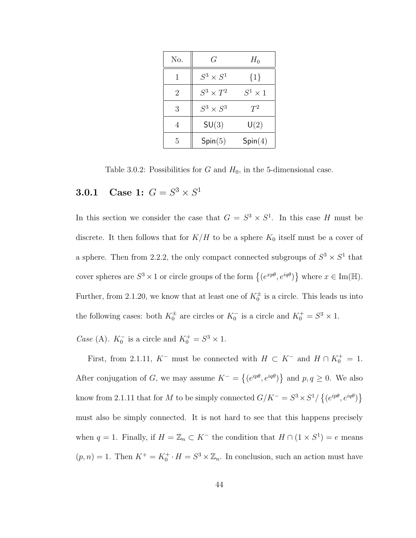| No.            | G                | $H_0$           |
|----------------|------------------|-----------------|
|                | $S^3\times S^1$  | $\{1\}$         |
| $\overline{2}$ | $S^3 \times T^2$ | $S^1 \times 1$  |
| 3              | $S^3 \times S^3$ | $T^2$           |
| 4              | SU(3)            | $\mathsf{U}(2)$ |
| 5              | Spin(5)          | Spin(4)         |

Table 3.0.2: Possibilities for  $G$  and  $H_0$ , in the 5-dimensional case.

## **3.0.1** Case 1:  $G = S^3 \times S^1$

In this section we consider the case that  $G = S^3 \times S^1$ . In this case H must be discrete. It then follows that for  $K/H$  to be a sphere  $K_0$  itself must be a cover of a sphere. Then from 2.2.2, the only compact connected subgroups of  $S^3 \times S^1$  that cover spheres are  $S^3 \times 1$  or circle groups of the form  $\{(e^{xp\theta}, e^{iq\theta})\}$ ª where  $x \in \text{Im}(\mathbb{H}).$ Further, from 2.1.20, we know that at least one of  $K_0^{\pm}$  is a circle. This leads us into the following cases: both  $K_0^{\pm}$  are circles or  $K_0^-$  is a circle and  $K_0^+ = S^3 \times 1$ .

*Case* (A).  $K_0^-$  is a circle and  $K_0^+ = S^3 \times 1$ .

First, from 2.1.11,  $K^-$  must be connected with  $H \subset K^-$  and  $H \cap K_0^+ = 1$ . After conjugation of G, we may assume  $K^-$  =  $\overline{a}$  $(e^{ip\theta}, e^{iq\theta})$ ª and  $p, q \geq 0$ . We also know from 2.1.11 that for M to be simply connected  $G/K^- = S^3 \times S^1$  $\overline{a}$  $(e^{ip\theta}, e^{iq\theta})$ ª must also be simply connected. It is not hard to see that this happens precisely when  $q = 1$ . Finally, if  $H = \mathbb{Z}_n \subset K^-$  the condition that  $H \cap (1 \times S^1) = e$  means  $(p, n) = 1$ . Then  $K^+ = K_0^+ \cdot H = S^3 \times \mathbb{Z}_n$ . In conclusion, such an action must have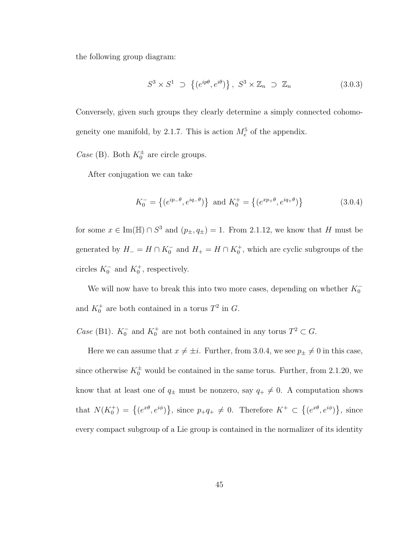the following group diagram:

$$
S^3 \times S^1 \supset \left\{ (e^{ip\theta}, e^{i\theta}) \right\}, \ S^3 \times \mathbb{Z}_n \supset \mathbb{Z}_n \tag{3.0.3}
$$

Conversely, given such groups they clearly determine a simply connected cohomogeneity one manifold, by 2.1.7. This is action  $M_e^5$  of the appendix.

*Case* (B). Both  $K_0^{\pm}$  are circle groups.

After conjugation we can take

$$
K_0^- = \{(e^{ip-\theta}, e^{iq-\theta})\} \text{ and } K_0^+ = \{(e^{xp+\theta}, e^{iq+\theta})\}
$$
 (3.0.4)

for some  $x \in \text{Im}(\mathbb{H}) \cap S^3$  and  $(p_{\pm}, q_{\pm}) = 1$ . From 2.1.12, we know that H must be generated by  $H_-=H\cap K_0^-$  and  $H_+=H\cap K_0^+$ , which are cyclic subgroups of the circles  $K_0^-$  and  $K_0^+$ , respectively.

We will now have to break this into two more cases, depending on whether  $K_0^$ and  $K_0^+$  are both contained in a torus  $T^2$  in G.

*Case* (B1).  $K_0^-$  and  $K_0^+$  are not both contained in any torus  $T^2 \subset G$ .

Here we can assume that  $x \neq \pm i$ . Further, from 3.0.4, we see  $p_{\pm} \neq 0$  in this case, since otherwise  $K_0^{\pm}$  would be contained in the same torus. Further, from 2.1.20, we know that at least one of  $q_{\pm}$  must be nonzero, say  $q_{+} \neq 0$ . A computation shows that  $N(K_0^+) = \{(e^{x\theta}, e^{i\phi})\}$ ª , since  $p_+q_+ \neq 0$ . Therefore  $K^+ \subset$  $\overline{a}$  $(e^{x\theta}, e^{i\phi})$ ª , since every compact subgroup of a Lie group is contained in the normalizer of its identity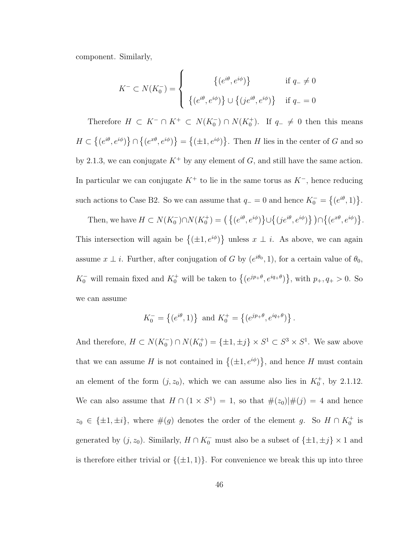component. Similarly,

$$
K^{-} \subset N(K_{0}^{-}) = \begin{cases} \left\{ (e^{i\theta}, e^{i\phi}) \right\} & \text{if } q_{-} \neq 0 \\ \left\{ (e^{i\theta}, e^{i\phi}) \right\} \cup \left\{ (je^{i\theta}, e^{i\phi}) \right\} & \text{if } q_{-} = 0 \end{cases}
$$

Therefore  $H \subset K^- \cap K^+ \subset N(K_0^-) \cap N(K_0^+)$ . If  $q_- \neq 0$  then this means  $H \subset$  $\overline{a}$  $(e^{i\theta}, e^{i\phi})$ ª ∩  $\overline{a}$  $(e^{x\theta}, e^{i\phi})$ ª =  $\overline{a}$  $(\pm 1, e^{i\phi})$ ª . Then  $H$  lies in the center of  $G$  and so by 2.1.3, we can conjugate  $K^+$  by any element of G, and still have the same action. In particular we can conjugate  $K^+$  to lie in the same torus as  $K^-$ , hence reducing such actions to Case B2. So we can assume that  $q_+ = 0$  and hence  $K_0^- =$  $\overline{a}$  $(e^{i\theta}, 1)$ .

Then, we have  $H \subset N(K_0^-) \cap N(K_0^+) = \left( \{ (e^{i\theta}, e^{i\phi}) \right)$ ª ∪  $\overline{a}$  $(j e^{i\theta}, e^{i\phi})\}) \cap \{$  $(e^{x\theta}, e^{i\phi})$ ª . This intersection will again be  $\{(\pm 1, e^{i\phi})\}$ ª unless  $x \perp i$ . As above, we can again assume  $x \perp i$ . Further, after conjugation of G by  $(e^{i\theta_0}, 1)$ , for a certain value of  $\theta_0$ ,  $K_0^-$  will remain fixed and  $K_0^+$  will be taken to  $\left\{ (e^{jp+\theta}, e^{iq+\theta}) \right\}$ ª , with  $p_+, q_+ > 0$ . So we can assume

$$
K_0^- = \{(e^{i\theta}, 1)\} \text{ and } K_0^+ = \{(e^{jp_+\theta}, e^{iq_+\theta})\}.
$$

And therefore,  $H \subset N(K_0^-) \cap N(K_0^+) = {\pm 1, \pm j} \times S^1 \subset S^3 \times S^1$ . We saw above that we can assume H is not contained in  $\{(\pm 1, e^{i\phi})\}$ ª , and hence  $H$  must contain an element of the form  $(j, z_0)$ , which we can assume also lies in  $K_0^+$ , by 2.1.12. We can also assume that  $H \cap (1 \times S^1) = 1$ , so that  $\#(z_0)|\#(j) = 4$  and hence  $z_0 \in {\pm 1, \pm i}$ , where  $\#(g)$  denotes the order of the element g. So  $H \cap K_0^+$  is generated by  $(j, z_0)$ . Similarly,  $H \cap K_0^-$  must also be a subset of  $\{\pm 1, \pm j\} \times 1$  and is therefore either trivial or  $\{(\pm 1, 1)\}$ . For convenience we break this up into three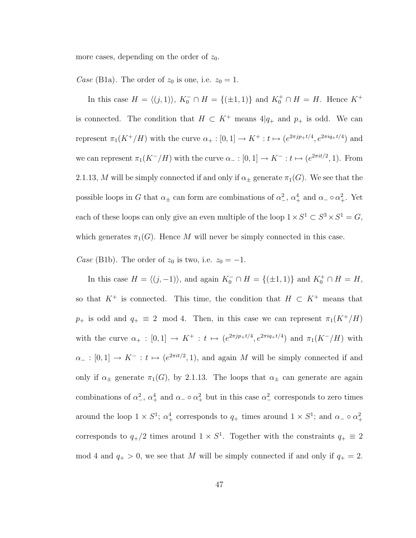more cases, depending on the order of  $z_0$ .

Case (B1a). The order of  $z_0$  is one, i.e.  $z_0 = 1$ .

In this case  $H = \langle (j, 1) \rangle$ ,  $K_0^- \cap H = \{(\pm 1, 1)\}\$ and  $K_0^+ \cap H = H$ . Hence  $K^+$ is connected. The condition that  $H \subset K^+$  means  $4|q_+$  and  $p_+$  is odd. We can represent  $\pi_1(K^+/H)$  with the curve  $\alpha_+ : [0,1] \to K^+ : t \mapsto (e^{2\pi i p_+ t/4}, e^{2\pi i q_+ t/4})$  and we can represent  $\pi_1(K^-/H)$  with the curve  $\alpha_- : [0,1] \to K^- : t \mapsto (e^{2\pi i t/2}, 1)$ . From 2.1.13, M will be simply connected if and only if  $\alpha_{\pm}$  generate  $\pi_1(G)$ . We see that the possible loops in G that  $\alpha_{\pm}$  can form are combinations of  $\alpha_{-}^2$ ,  $\alpha_{+}^4$  and  $\alpha_{-} \circ \alpha_{+}^2$ . Yet each of these loops can only give an even multiple of the loop  $1 \times S^1 \subset S^3 \times S^1 = G$ , which generates  $\pi_1(G)$ . Hence M will never be simply connected in this case.

Case (B1b). The order of  $z_0$  is two, i.e.  $z_0 = -1$ .

In this case  $H = \langle (j, -1) \rangle$ , and again  $K_0^- \cap H = \{(\pm 1, 1)\}\$  and  $K_0^+ \cap H = H$ , so that  $K^+$  is connected. This time, the condition that  $H \subset K^+$  means that  $p_+$  is odd and  $q_+ \equiv 2 \mod 4$ . Then, in this case we can represent  $\pi_1(K^+/H)$ with the curve  $\alpha_+ : [0,1] \to K^+ : t \mapsto (e^{2\pi i p_+ t/4}, e^{2\pi i q_+ t/4})$  and  $\pi_1(K^-/H)$  with  $\alpha_- : [0,1] \to K^- : t \mapsto (e^{2\pi i t/2}, 1)$ , and again M will be simply connected if and only if  $\alpha_{\pm}$  generate  $\pi_1(G)$ , by 2.1.13. The loops that  $\alpha_{\pm}$  can generate are again combinations of  $\alpha_-^2$ ,  $\alpha_+^4$  and  $\alpha_- \circ \alpha_+^2$  but in this case  $\alpha_-^2$  corresponds to zero times around the loop  $1 \times S^1$ ;  $\alpha_+^4$  corresponds to  $q_+$  times around  $1 \times S^1$ ; and  $\alpha_- \circ \alpha_+^2$ corresponds to  $q_+/2$  times around  $1 \times S^1$ . Together with the constraints  $q_+ \equiv 2$ mod 4 and  $q_{+} > 0$ , we see that M will be simply connected if and only if  $q_{+} = 2$ .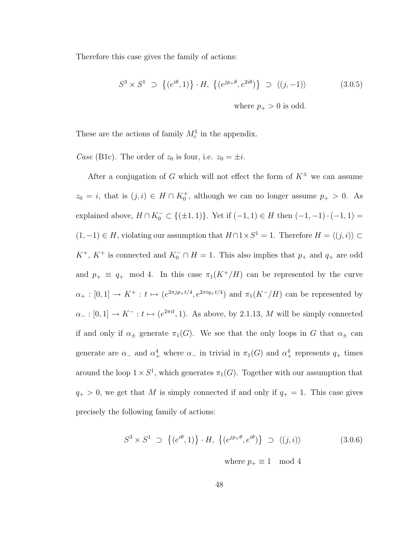Therefore this case gives the family of actions:

$$
S^3 \times S^1 \supset \left\{ (e^{i\theta}, 1) \right\} \cdot H, \left\{ (e^{jp_+\theta}, e^{2i\theta}) \right\} \supset \left\langle (j, -1) \right\rangle \tag{3.0.5}
$$

where  $p_{+} > 0$  is odd.

These are the actions of family  $M_c^5$  in the appendix.

Case (B1c). The order of  $z_0$  is four, i.e.  $z_0 = \pm i$ .

After a conjugation of G which will not effect the form of  $K^{\pm}$  we can assume  $z_0 = i$ , that is  $(j, i) \in H \cap K_0^+$ , although we can no longer assume  $p_+ > 0$ . As explained above,  $H \cap K_0^- \subset \{(\pm 1, 1)\}\.$  Yet if  $(-1, 1) \in H$  then  $(-1, -1) \cdot (-1, 1) =$  $(1, -1) \in H$ , violating our assumption that  $H \cap 1 \times S^1 = 1$ . Therefore  $H = \langle (j, i) \rangle \subset$  $K^+$ ,  $K^+$  is connected and  $K_0^- \cap H = 1$ . This also implies that  $p_+$  and  $q_+$  are odd and  $p_+ \equiv q_+ \mod 4$ . In this case  $\pi_1(K^+/H)$  can be represented by the curve  $\alpha_+:[0,1]\to K^+ : t\mapsto (e^{2\pi i p_+t/4},e^{2\pi i q_+t/4})$  and  $\pi_1(K^-/H)$  can be represented by  $\alpha_-:[0,1]\to K^-: t\mapsto (e^{2\pi it},1)$ . As above, by 2.1.13, M will be simply connected if and only if  $\alpha_{\pm}$  generate  $\pi_1(G)$ . We see that the only loops in G that  $\alpha_{\pm}$  can generate are  $\alpha_-\$  and  $\alpha_+^4$  where  $\alpha_-\$  in trivial in  $\pi_1(G)$  and  $\alpha_+^4$  represents  $q_+$  times around the loop  $1 \times S^1$ , which generates  $\pi_1(G)$ . Together with our assumption that  $q_{+} > 0$ , we get that M is simply connected if and only if  $q_{+} = 1$ . This case gives precisely the following family of actions:

$$
S^3 \times S^1 \supset \{(e^{i\theta}, 1)\} \cdot H, \{(e^{jp+\theta}, e^{i\theta})\} \supset \langle (j, i) \rangle \tag{3.0.6}
$$

where  $p_+ \equiv 1 \mod 4$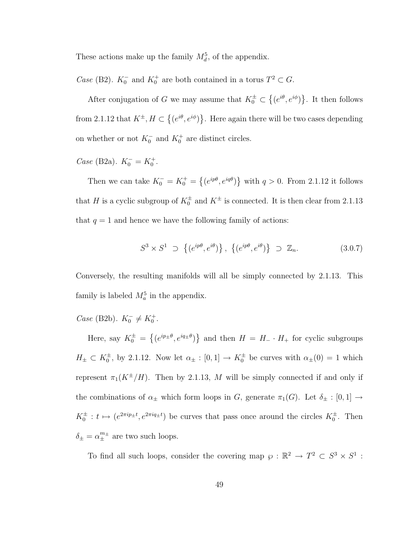These actions make up the family  $M_d^5$ , of the appendix.

*Case* (B2).  $K_0^-$  and  $K_0^+$  are both contained in a torus  $T^2 \subset G$ .

After conjugation of G we may assume that  $K_0^{\pm} \subset$  $\overline{a}$  $(e^{i\theta}, e^{i\phi})$ ª . It then follows from 2.1.12 that  $K^{\pm}$ ,  $H \subset$  $\overline{a}$  $(e^{i\theta}, e^{i\phi})$ ª . Here again there will be two cases depending on whether or not  $K_0^-$  and  $K_0^+$  are distinct circles.

Case (B2a).  $K_0^- = K_0^+$ .

Then we can take  $K_0^- = K_0^+ =$  $\overline{a}$  $(e^{ip\theta}, e^{iq\theta})$ ª with  $q > 0$ . From 2.1.12 it follows that H is a cyclic subgroup of  $K_0^{\pm}$  and  $K^{\pm}$  is connected. It is then clear from 2.1.13 that  $q = 1$  and hence we have the following family of actions:

$$
S^3 \times S^1 \supset \left\{ (e^{ip\theta}, e^{i\theta}) \right\}, \left\{ (e^{ip\theta}, e^{i\theta}) \right\} \supset \mathbb{Z}_n.
$$
 (3.0.7)

Conversely, the resulting manifolds will all be simply connected by 2.1.13. This family is labeled  $M_a^5$  in the appendix.

Case (B2b).  $K_0^- \neq K_0^+$ .

Here, say  $K_0^{\pm}$  =  $\overline{a}$  $(e^{ip_{\pm}\theta}, e^{iq_{\pm}\theta})$ ª and then  $H = H_+ \cdot H_+$  for cyclic subgroups  $H_{\pm} \subset K_0^{\pm}$ , by 2.1.12. Now let  $\alpha_{\pm} : [0,1] \to K_0^{\pm}$  be curves with  $\alpha_{\pm}(0) = 1$  which represent  $\pi_1(K^{\pm}/H)$ . Then by 2.1.13, M will be simply connected if and only if the combinations of  $\alpha_{\pm}$  which form loops in G, generate  $\pi_1(G)$ . Let  $\delta_{\pm} : [0,1] \rightarrow$  $K_0^{\pm}: t \mapsto (e^{2\pi i p_{\pm}t}, e^{2\pi i q_{\pm}t})$  be curves that pass once around the circles  $K_0^{\pm}$ . Then  $\delta_{\pm} = \alpha_{\pm}^{m_{\pm}}$  are two such loops.

To find all such loops, consider the covering map  $\varphi : \mathbb{R}^2 \to T^2 \subset S^3 \times S^1$ :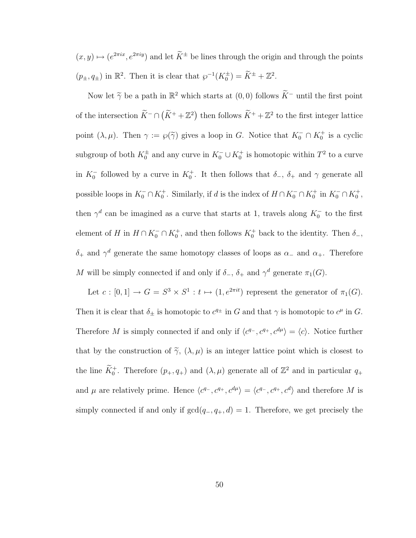$(x, y) \mapsto (e^{2\pi i x}, e^{2\pi i y})$  and let  $\widetilde{K}^{\pm}$  be lines through the origin and through the points  $(p_{\pm}, q_{\pm})$  in  $\mathbb{R}^2$ . Then it is clear that  $\wp^{-1}(K_0^{\pm}) = \widetilde{K}^{\pm} + \mathbb{Z}^2$ .

Now let  $\widetilde{\gamma}$  be a path in  $\mathbb{R}^2$  which starts at  $(0,0)$  follows  $\widetilde{K}^-$  until the first point of the intersection  $\widetilde{K}^- \cap (\widetilde{K}^+ + \mathbb{Z}^2)$  then follows  $\widetilde{K}^+ + \mathbb{Z}^2$  to the first integer lattice point  $(\lambda, \mu)$ . Then  $\gamma := \wp(\widetilde{\gamma})$  gives a loop in G. Notice that  $K_0^- \cap K_0^+$  is a cyclic subgroup of both  $K_0^{\pm}$  and any curve in  $K_0^- \cup K_0^+$  is homotopic within  $T^2$  to a curve in  $K_0^-$  followed by a curve in  $K_0^+$ . It then follows that  $\delta_-$ ,  $\delta_+$  and  $\gamma$  generate all possible loops in  $K_0^- \cap K_0^+$ . Similarly, if d is the index of  $H \cap K_0^- \cap K_0^+$  in  $K_0^- \cap K_0^+$ , then  $\gamma^d$  can be imagined as a curve that starts at 1, travels along  $K_0^-$  to the first element of H in  $H \cap K_0^- \cap K_0^+$ , and then follows  $K_0^+$  back to the identity. Then  $\delta_-,$  $\delta_+$  and  $\gamma^d$  generate the same homotopy classes of loops as  $\alpha_-$  and  $\alpha_+$ . Therefore M will be simply connected if and only if  $\delta_-, \delta_+$  and  $\gamma^d$  generate  $\pi_1(G)$ .

Let  $c: [0,1] \to G = S^3 \times S^1 : t \mapsto (1, e^{2\pi i t})$  represent the generator of  $\pi_1(G)$ . Then it is clear that  $\delta_{\pm}$  is homotopic to  $c^{q_{\pm}}$  in G and that  $\gamma$  is homotopic to  $c^{\mu}$  in G. Therefore M is simply connected if and only if  $\langle c^{q-}, c^{q+}, c^{d\mu} \rangle = \langle c \rangle$ . Notice further that by the construction of  $\tilde{\gamma}$ ,  $(\lambda, \mu)$  is an integer lattice point which is closest to the line  $\widetilde{K}_0^+$ . Therefore  $(p_+, q_+)$  and  $(\lambda, \mu)$  generate all of  $\mathbb{Z}^2$  and in particular  $q_+$ and  $\mu$  are relatively prime. Hence  $\langle c^{q-}, c^{q+}, c^{d\mu} \rangle = \langle c^{q-}, c^{q+}, c^{d} \rangle$  and therefore M is simply connected if and only if  $gcd(q_-, q_+, d) = 1$ . Therefore, we get precisely the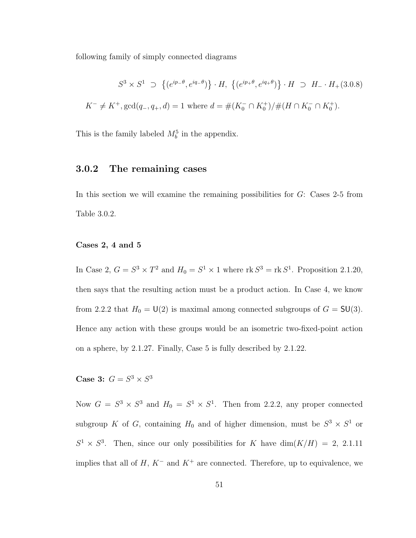following family of simply connected diagrams

$$
S^3 \times S^1 \supset \{ (e^{ip-\theta}, e^{iq-\theta}) \} \cdot H, \{ (e^{ip+\theta}, e^{iq+\theta}) \} \cdot H \supset H_{-} \cdot H_{+}(3.0.8)
$$
  

$$
K^{-} \neq K^{+}, \text{gcd}(q_{-}, q_{+}, d) = 1 \text{ where } d = \#(K_{0}^{-} \cap K_{0}^{+})/\#(H \cap K_{0}^{-} \cap K_{0}^{+}).
$$

This is the family labeled  $M_b^5$  in the appendix.

### 3.0.2 The remaining cases

In this section we will examine the remaining possibilities for  $G$ : Cases 2-5 from Table 3.0.2.

### Cases 2, 4 and 5

In Case 2,  $G = S^3 \times T^2$  and  $H_0 = S^1 \times 1$  where  $\text{rk } S^3 = \text{rk } S^1$ . Proposition 2.1.20, then says that the resulting action must be a product action. In Case 4, we know from 2.2.2 that  $H_0 = U(2)$  is maximal among connected subgroups of  $G = SU(3)$ . Hence any action with these groups would be an isometric two-fixed-point action on a sphere, by 2.1.27. Finally, Case 5 is fully described by 2.1.22.

Case 3:  $G = S^3 \times S^3$ 

Now  $G = S^3 \times S^3$  and  $H_0 = S^1 \times S^1$ . Then from 2.2.2, any proper connected subgroup K of G, containing  $H_0$  and of higher dimension, must be  $S^3 \times S^1$  or  $S^1 \times S^3$ . Then, since our only possibilities for K have  $\dim(K/H) = 2$ , 2.1.11 implies that all of  $H, K^-$  and  $K^+$  are connected. Therefore, up to equivalence, we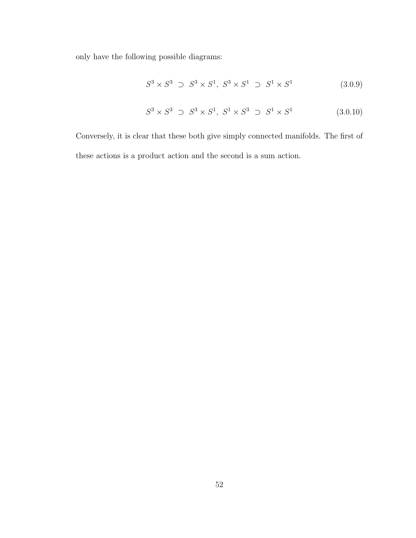only have the following possible diagrams:

$$
S^3 \times S^3 \supset S^3 \times S^1, \ S^3 \times S^1 \supset S^1 \times S^1 \tag{3.0.9}
$$

$$
S^3 \times S^3 \supset S^3 \times S^1, \ S^1 \times S^3 \supset S^1 \times S^1 \tag{3.0.10}
$$

Conversely, it is clear that these both give simply connected manifolds. The first of these actions is a product action and the second is a sum action.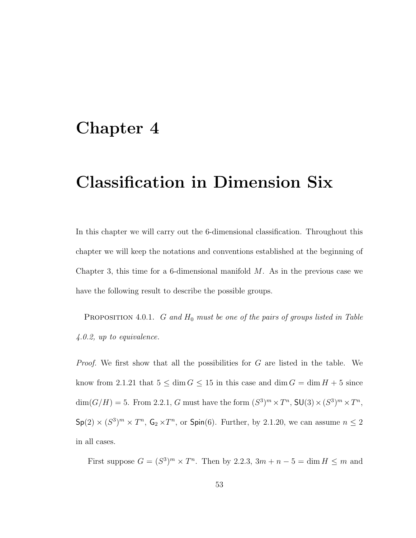# Chapter 4

# Classification in Dimension Six

In this chapter we will carry out the 6-dimensional classification. Throughout this chapter we will keep the notations and conventions established at the beginning of Chapter 3, this time for a 6-dimensional manifold  $M$ . As in the previous case we have the following result to describe the possible groups.

**PROPOSITION** 4.0.1. G and  $H_0$  must be one of the pairs of groups listed in Table 4.0.2, up to equivalence.

*Proof.* We first show that all the possibilities for  $G$  are listed in the table. We know from 2.1.21 that  $5 \le \dim G \le 15$  in this case and  $\dim G = \dim H + 5$  since  $\dim(G/H) = 5$ . From 2.2.1, G must have the form  $(S^3)^m \times T^n$ ,  $\mathsf{SU}(3) \times (S^3)^m \times T^n$ ,  $\mathsf{Sp}(2)\times (S^3)^m\times T^n$ ,  $\mathsf{G}_2\times T^n$ , or  $\mathsf{Spin}(6)$ . Further, by 2.1.20, we can assume  $n\leq 2$ in all cases.

First suppose  $G = (S^3)^m \times T^n$ . Then by 2.2.3,  $3m + n - 5 = \dim H \le m$  and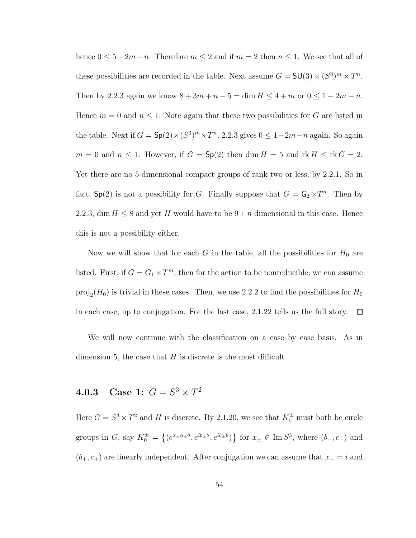hence  $0 \leq 5-2m-n$ . Therefore  $m \leq 2$  and if  $m = 2$  then  $n \leq 1$ . We see that all of these possibilities are recorded in the table. Next assume  $G = SU(3) \times (S^3)^m \times T^n$ . Then by 2.2.3 again we know  $8 + 3m + n - 5 = \dim H \le 4 + m$  or  $0 \le 1 - 2m - n$ . Hence  $m = 0$  and  $n \leq 1$ . Note again that these two possibilities for G are listed in the table. Next if  $G = Sp(2) \times (S^3)^m \times T^n$ , 2.2.3 gives  $0 \leq 1-2m-n$  again. So again  $m = 0$  and  $n \leq 1$ . However, if  $G = \mathsf{Sp}(2)$  then  $\dim H = 5$  and  $\mathrm{rk } H \leq \mathrm{rk } G = 2$ . Yet there are no 5-dimensional compact groups of rank two or less, by 2.2.1. So in fact,  $\mathsf{Sp}(2)$  is not a possibility for G. Finally suppose that  $G = \mathsf{G}_2 \times T^n$ . Then by 2.2.3, dim  $H \leq 8$  and yet H would have to be  $9 + n$  dimensional in this case. Hence this is not a possibility either.

Now we will show that for each G in the table, all the possibilities for  $H_0$  are listed. First, if  $G = G_1 \times T^m$ , then for the action to be nonreducible, we can assume  $proj_2(H_0)$  is trivial in these cases. Then, we use 2.2.2 to find the possibilities for  $H_0$ in each case, up to conjugation. For the last case, 2.1.22 tells us the full story.  $\Box$ 

We will now continue with the classification on a case by case basis. As in dimension 5, the case that  $H$  is discrete is the most difficult.

## **4.0.3** Case 1:  $G = S^3 \times T^2$

Here  $G = S^3 \times T^2$  and H is discrete. By 2.1.20, we see that  $K_0^{\pm}$  must both be circle groups in G, say  $K_0^{\pm}$  =  $\overline{a}$  $(e^{x_{\pm}a_{\pm}\theta}, e^{ib_{\pm}\theta}, e^{ic_{\pm}\theta})$ ª for  $x_{\pm} \in \text{Im } S^3$ , where  $(b_-, c_-)$  and  $(b_{+}, c_{+})$  are linearly independent. After conjugation we can assume that  $x_{-} = i$  and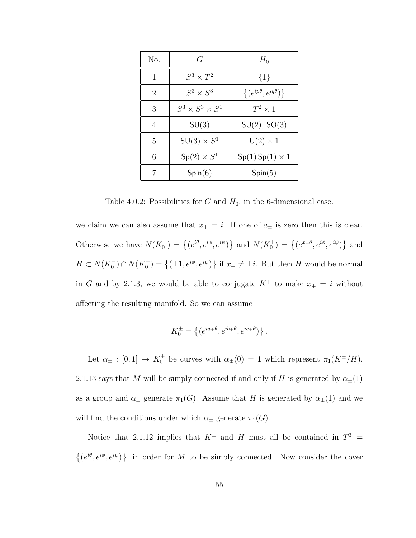| No.            | G                           | $H_0$                             |
|----------------|-----------------------------|-----------------------------------|
| 1              | $S^3 \times T^2$            | $\{1\}$                           |
| $\overline{2}$ | $S^3\times S^3$             | $\{(e^{ip\theta},e^{iq\theta})\}$ |
| 3              | $S^3 \times S^3 \times S^1$ | $T^2\times 1$                     |
| 4              | SU(3)                       | SU(2), SO(3)                      |
| 5              | $SU(3) \times S^1$          | $U(2) \times 1$                   |
| 6              | $Sp(2) \times S^1$          | $Sp(1)$ Sp $(1) \times 1$         |
|                | Spin(6)                     | Spin(5)                           |

Table 4.0.2: Possibilities for  $G$  and  $H_0$ , in the 6-dimensional case.

we claim we can also assume that  $x_+ = i$ . If one of  $a_{\pm}$  is zero then this is clear. Otherwise we have  $N(K_0^-) = \{(e^{i\theta}, e^{i\phi}, e^{i\psi})\}$ } and  $N(K_0^+) = \{(e^{x+\theta}, e^{i\phi}, e^{i\psi})\}$ ª and  $H \subset N(K_0^-) \cap N(K_0^+) = \left\{ (\pm 1, e^{i\phi}, e^{i\psi}) \right\}$ ª if  $x_+ \neq \pm i$ . But then H would be normal in G and by 2.1.3, we would be able to conjugate  $K^+$  to make  $x_+ = i$  without affecting the resulting manifold. So we can assume

$$
K_0^{\pm} = \left\{ (e^{ia_{\pm}\theta}, e^{ib_{\pm}\theta}, e^{ic_{\pm}\theta}) \right\}.
$$

Let  $\alpha_{\pm} : [0,1] \to K_0^{\pm}$  be curves with  $\alpha_{\pm}(0) = 1$  which represent  $\pi_1(K^{\pm}/H)$ . 2.1.13 says that M will be simply connected if and only if H is generated by  $\alpha_{\pm}(1)$ as a group and  $\alpha_{\pm}$  generate  $\pi_1(G)$ . Assume that H is generated by  $\alpha_{\pm}(1)$  and we will find the conditions under which  $\alpha_{\pm}$  generate  $\pi_1(G)$ .

Notice that 2.1.12 implies that  $K^{\pm}$  and H must all be contained in  $T^3$  = ©  $(e^{i\theta}, e^{i\phi}, e^{i\psi})$ ª , in order for M to be simply connected. Now consider the cover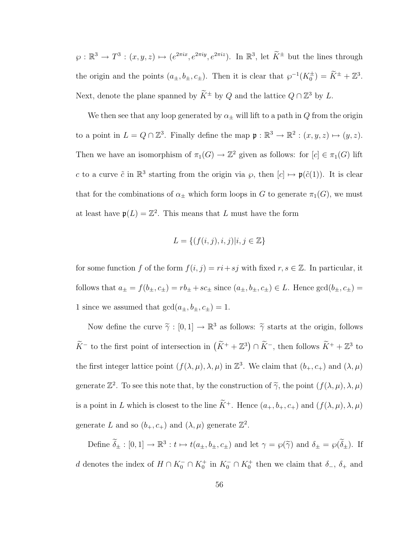$\varphi : \mathbb{R}^3 \to T^3 : (x, y, z) \mapsto (e^{2\pi i x}, e^{2\pi i y}, e^{2\pi i z})$ . In  $\mathbb{R}^3$ , let  $\widetilde{K}^{\pm}$  but the lines through the origin and the points  $(a_{\pm}, b_{\pm}, c_{\pm})$ . Then it is clear that  $\wp^{-1}(K_0^{\pm}) = \widetilde{K}^{\pm} + \mathbb{Z}^3$ . Next, denote the plane spanned by  $\widetilde{K}^{\pm}$  by Q and the lattice  $Q \cap \mathbb{Z}^3$  by L.

We then see that any loop generated by  $\alpha_{\pm}$  will lift to a path in Q from the origin to a point in  $L = Q \cap \mathbb{Z}^3$ . Finally define the map  $\mathfrak{p} : \mathbb{R}^3 \to \mathbb{R}^2 : (x, y, z) \mapsto (y, z)$ . Then we have an isomorphism of  $\pi_1(G) \to \mathbb{Z}^2$  given as follows: for  $[c] \in \pi_1(G)$  lift c to a curve  $\tilde{c}$  in  $\mathbb{R}^3$  starting from the origin via  $\varphi$ , then  $[c] \mapsto \mathfrak{p}(\tilde{c}(1))$ . It is clear that for the combinations of  $\alpha_{\pm}$  which form loops in G to generate  $\pi_1(G)$ , we must at least have  $\mathfrak{p}(L) = \mathbb{Z}^2$ . This means that L must have the form

$$
L = \{ (f(i,j), i, j) | i, j \in \mathbb{Z} \}
$$

for some function f of the form  $f(i, j) = ri + sj$  with fixed  $r, s \in \mathbb{Z}$ . In particular, it follows that  $a_{\pm} = f(b_{\pm}, c_{\pm}) = rb_{\pm} + sc_{\pm}$  since  $(a_{\pm}, b_{\pm}, c_{\pm}) \in L$ . Hence  $gcd(b_{\pm}, c_{\pm}) =$ 1 since we assumed that  $gcd(a_{\pm},b_{\pm},c_{\pm})=1.$ 

Now define the curve  $\tilde{\gamma} : [0, 1] \to \mathbb{R}^3$  as follows:  $\tilde{\gamma}$  starts at the origin, follows  $\widetilde{K}^-$  to the first point of intersection in  $(\widetilde{K}^+ + \mathbb{Z}^3) \cap \widetilde{K}^-$ , then follows  $\widetilde{K}^+ + \mathbb{Z}^3$  to the first integer lattice point  $(f(\lambda, \mu), \lambda, \mu)$  in  $\mathbb{Z}^3$ . We claim that  $(b_+, c_+)$  and  $(\lambda, \mu)$ generate  $\mathbb{Z}^2$ . To see this note that, by the construction of  $\widetilde{\gamma}$ , the point  $(f(\lambda,\mu),\lambda,\mu)$ is a point in L which is closest to the line  $\widetilde{K}^+$ . Hence  $(a_+, b_+, c_+)$  and  $(f(\lambda, \mu), \lambda, \mu)$ generate L and so  $(b_+, c_+)$  and  $(\lambda, \mu)$  generate  $\mathbb{Z}^2$ .

Define  $\widetilde{\delta}_{\pm} : [0,1] \to \mathbb{R}^3 : t \mapsto t(a_{\pm}, b_{\pm}, c_{\pm})$  and let  $\gamma = \wp(\widetilde{\gamma})$  and  $\delta_{\pm} = \wp(\widetilde{\delta}_{\pm})$ . If d denotes the index of  $H \cap K_0^- \cap K_0^+$  in  $K_0^- \cap K_0^+$  then we claim that  $\delta_-, \delta_+$  and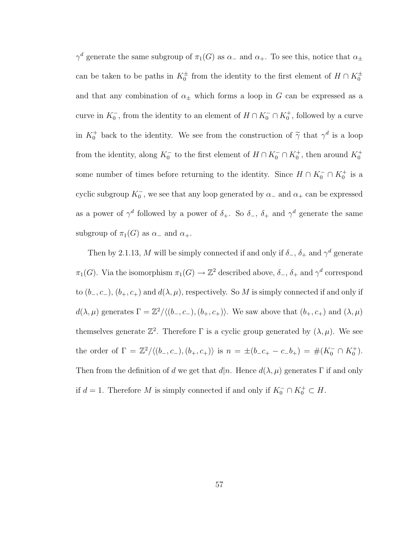$\gamma^d$  generate the same subgroup of  $\pi_1(G)$  as  $\alpha_-$  and  $\alpha_+$ . To see this, notice that  $\alpha_\pm$ can be taken to be paths in  $K_0^{\pm}$  from the identity to the first element of  $H \cap K_0^{\pm}$ and that any combination of  $\alpha_{\pm}$  which forms a loop in G can be expressed as a curve in  $K_0^-$ , from the identity to an element of  $H \cap K_0^- \cap K_0^+$ , followed by a curve in  $K_0^+$  back to the identity. We see from the construction of  $\tilde{\gamma}$  that  $\gamma^d$  is a loop from the identity, along  $K_0^-$  to the first element of  $H \cap K_0^- \cap K_0^+$ , then around  $K_0^+$ some number of times before returning to the identity. Since  $H \cap K_0^- \cap K_0^+$  is a cyclic subgroup  $K_0^{\perp}$ , we see that any loop generated by  $\alpha_{-}$  and  $\alpha_{+}$  can be expressed as a power of  $\gamma^d$  followed by a power of  $\delta_+$ . So  $\delta_-$ ,  $\delta_+$  and  $\gamma^d$  generate the same subgroup of  $\pi_1(G)$  as  $\alpha_-$  and  $\alpha_+$ .

Then by 2.1.13, M will be simply connected if and only if  $\delta_-, \delta_+$  and  $\gamma^d$  generate  $\pi_1(G)$ . Via the isomorphism  $\pi_1(G) \to \mathbb{Z}^2$  described above,  $\delta_-, \delta_+$  and  $\gamma^d$  correspond to  $(b_-, c_-), (b_+, c_+)$  and  $d(\lambda, \mu)$ , respectively. So M is simply connected if and only if  $d(\lambda, \mu)$  generates  $\Gamma = \mathbb{Z}^2/\langle (b_-, c_-), (b_+, c_+) \rangle$ . We saw above that  $(b_+, c_+)$  and  $(\lambda, \mu)$ themselves generate  $\mathbb{Z}^2$ . Therefore  $\Gamma$  is a cyclic group generated by  $(\lambda, \mu)$ . We see the order of  $\Gamma = \mathbb{Z}^2/\langle (b_-, c_-), (b_+, c_+) \rangle$  is  $n = \pm (b_- c_+ - c_- b_+) = \#(K_0^- \cap K_0^+).$ Then from the definition of d we get that  $d|n$ . Hence  $d(\lambda, \mu)$  generates Γ if and only if  $d = 1$ . Therefore M is simply connected if and only if  $K_0^- \cap K_0^+ \subset H$ .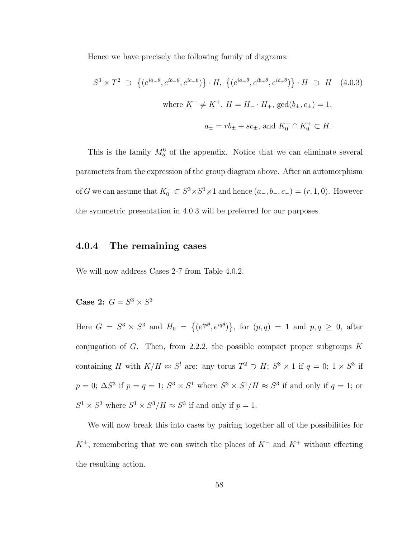Hence we have precisely the following family of diagrams:

$$
S^3 \times T^2 \supset \left\{ (e^{ia-\theta}, e^{ib-\theta}, e^{ic-\theta}) \right\} \cdot H, \left\{ (e^{ia+\theta}, e^{ib+\theta}, e^{ic+\theta}) \right\} \cdot H \supset H \quad (4.0.3)
$$
  
where  $K^- \neq K^+$ ,  $H = H_- \cdot H_+$ ,  $gcd(b_\pm, c_\pm) = 1$ ,  

$$
a_\pm = rb_\pm + sc_\pm, \text{ and } K_0^- \cap K_0^+ \subset H.
$$

This is the family  $M_5^6$  of the appendix. Notice that we can eliminate several parameters from the expression of the group diagram above. After an automorphism of G we can assume that  $K_0^- \subset S^3 \times S^1 \times 1$  and hence  $(a_-, b_-, c_-) = (r, 1, 0)$ . However the symmetric presentation in 4.0.3 will be preferred for our purposes.

### 4.0.4 The remaining cases

We will now address Cases 2-7 from Table 4.0.2.

Case 2:  $G = S^3 \times S^3$ 

Here  $G = S^3 \times S^3$  and  $H_0 =$  $\overline{a}$  $(e^{ip\theta}, e^{iq\theta})$ ª , for  $(p,q) = 1$  and  $p,q \geq 0$ , after conjugation of G. Then, from 2.2.2, the possible compact proper subgroups  $K$ containing H with  $K/H \approx S^l$  are: any torus  $T^2 \supset H$ ;  $S^3 \times 1$  if  $q = 0$ ;  $1 \times S^3$  if  $p = 0$ ;  $\Delta S^3$  if  $p = q = 1$ ;  $S^3 \times S^1$  where  $S^3 \times S^1/H \approx S^3$  if and only if  $q = 1$ ; or  $S^1 \times S^3$  where  $S^1 \times S^3 / H \approx S^3$  if and only if  $p = 1$ .

We will now break this into cases by pairing together all of the possibilities for  $K^{\pm}$ , remembering that we can switch the places of  $K^-$  and  $K^+$  without effecting the resulting action.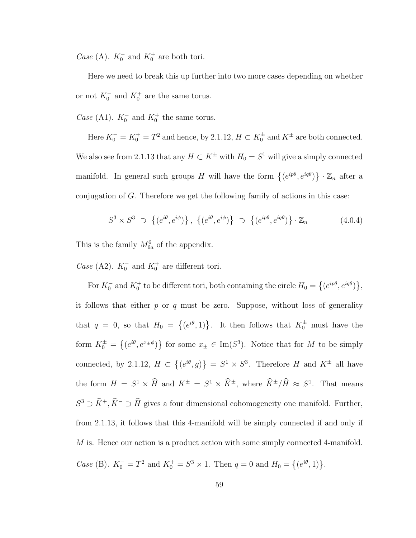*Case* (A).  $K_0^-$  and  $K_0^+$  are both tori.

Here we need to break this up further into two more cases depending on whether or not  $K_0^-$  and  $K_0^+$  are the same torus.

*Case* (A1).  $K_0^-$  and  $K_0^+$  the same torus.

Here  $K_0^- = K_0^+ = T^2$  and hence, by 2.1.12,  $H \subset K_0^{\pm}$  and  $K^{\pm}$  are both connected. We also see from 2.1.13 that any  $H \subset K^{\pm}$  with  $H_0 = S^1$  will give a simply connected manifold. In general such groups H will have the form  $\{(e^{ip\theta}, e^{iq\theta})\}$ ª  $\cdot$   $\mathbb{Z}_n$  after a conjugation of G. Therefore we get the following family of actions in this case:

$$
S^3 \times S^3 \supset \left\{ (e^{i\theta}, e^{i\phi}) \right\}, \left\{ (e^{i\theta}, e^{i\phi}) \right\} \supset \left\{ (e^{ip\theta}, e^{iq\theta}) \right\} \cdot \mathbb{Z}_n \tag{4.0.4}
$$

This is the family  $M_{6a}^6$  of the appendix.

*Case* (A2).  $K_0^-$  and  $K_0^+$  are different tori.

For  $K_0^-$  and  $K_0^+$  to be different tori, both containing the circle  $H_0 =$  $\overline{a}$  $(e^{ip\theta}, e^{iq\theta})$ ª , it follows that either  $p$  or  $q$  must be zero. Suppose, without loss of generality that  $q = 0$ , so that  $H_0 =$  $\overline{a}$  $(e^{i\theta}, 1)$ . It then follows that  $K_0^{\pm}$  must have the form  $K_0^{\pm}$  =  $\overline{a}$  $(e^{i\theta}, e^{x_\pm \phi})$ ª for some  $x_{\pm} \in \text{Im}(S^3)$ . Notice that for M to be simply connected, by 2.1.12,  $H \subset$  $\overline{a}$  $(e^{i\theta}, g)$ ª  $S^1 \times S^3$ . Therefore H and  $K^{\pm}$  all have the form  $H = S^1 \times \widehat{H}$  and  $K^{\pm} = S^1 \times \widehat{K}^{\pm}$ , where  $\widehat{K}^{\pm}/\widehat{H} \approx S^1$ . That means  $S^3 \supset \widehat{K}^+, \widehat{K}^- \supset \widehat{H}$  gives a four dimensional cohomogeneity one manifold. Further, from 2.1.13, it follows that this 4-manifold will be simply connected if and only if  $M$  is. Hence our action is a product action with some simply connected 4-manifold. *Case* (B).  $K_0^- = T^2$  and  $K_0^+ = S^3 \times 1$ . Then  $q = 0$  and  $H_0 =$  $\overline{a}$  $(e^{i\theta}, 1)$ .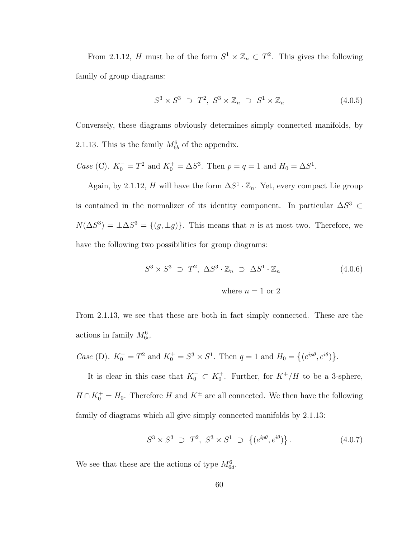From 2.1.12, H must be of the form  $S^1 \times \mathbb{Z}_n \subset T^2$ . This gives the following family of group diagrams:

$$
S^3 \times S^3 \supset T^2, \ S^3 \times \mathbb{Z}_n \supset S^1 \times \mathbb{Z}_n \tag{4.0.5}
$$

Conversely, these diagrams obviously determines simply connected manifolds, by 2.1.13. This is the family  $M_{6b}^6$  of the appendix.

*Case* (C).  $K_0^- = T^2$  and  $K_0^+ = \Delta S^3$ . Then  $p = q = 1$  and  $H_0 = \Delta S^1$ .

Again, by 2.1.12, H will have the form  $\Delta S^1 \cdot \mathbb{Z}_n$ . Yet, every compact Lie group is contained in the normalizer of its identity component. In particular  $\Delta S^3$  ⊂  $N(\Delta S^3) = \pm \Delta S^3 = \{(g, \pm g)\}.$  This means that *n* is at most two. Therefore, we have the following two possibilities for group diagrams:

$$
S^3 \times S^3 \supset T^2, \ \Delta S^3 \cdot \mathbb{Z}_n \supset \Delta S^1 \cdot \mathbb{Z}_n \tag{4.0.6}
$$
  
where  $n = 1$  or 2

From 2.1.13, we see that these are both in fact simply connected. These are the actions in family  $M_{6c}^6$ .

*Case* (D).  $K_0^- = T^2$  and  $K_0^+ = S^3 \times S^1$ . Then  $q = 1$  and  $H_0 =$  $\overline{a}$  $(e^{ip\theta}, e^{i\theta})$ ª .

It is clear in this case that  $K_0^- \subset K_0^+$ . Further, for  $K^+/H$  to be a 3-sphere,  $H \cap K_0^+ = H_0$ . Therefore H and  $K^{\pm}$  are all connected. We then have the following family of diagrams which all give simply connected manifolds by 2.1.13:

$$
S^3 \times S^3 \supset T^2, S^3 \times S^1 \supset \{(e^{ip\theta}, e^{i\theta})\}.
$$
 (4.0.7)

We see that these are the actions of type  $M_{6d}^6$ .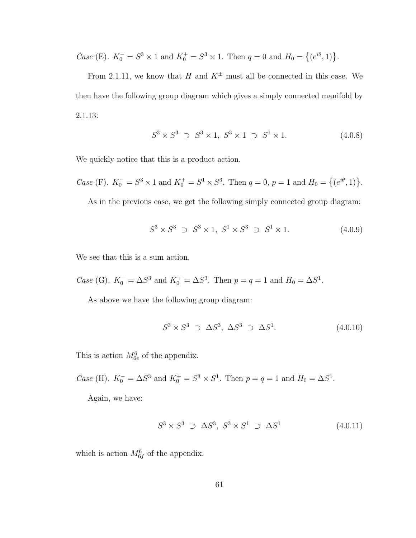*Case* (E).  $K_0^- = S^3 \times 1$  and  $K_0^+ = S^3 \times 1$ . Then  $q = 0$  and  $H_0 =$  $\overline{a}$  $(e^{i\theta}, 1)$ .

From 2.1.11, we know that H and  $K^{\pm}$  must all be connected in this case. We then have the following group diagram which gives a simply connected manifold by 2.1.13:

$$
S^3 \times S^3 \supset S^3 \times 1, \ S^3 \times 1 \supset S^1 \times 1. \tag{4.0.8}
$$

We quickly notice that this is a product action.

*Case* (F).  $K_0^- = S^3 \times 1$  and  $K_0^+ = S^1 \times S^3$ . Then  $q = 0$ ,  $p = 1$  and  $H_0 =$  $\overline{a}$  $(e^{i\theta}, 1)$ .

As in the previous case, we get the following simply connected group diagram:

$$
S^3 \times S^3 \supset S^3 \times 1, \ S^1 \times S^3 \supset S^1 \times 1. \tag{4.0.9}
$$

We see that this is a sum action.

*Case* (G).  $K_0^- = \Delta S^3$  and  $K_0^+ = \Delta S^3$ . Then  $p = q = 1$  and  $H_0 = \Delta S^1$ .

As above we have the following group diagram:

$$
S^3 \times S^3 \supset \Delta S^3, \Delta S^3 \supset \Delta S^1. \tag{4.0.10}
$$

This is action  $M_{6e}^6$  of the appendix.

*Case* (H).  $K_0^- = \Delta S^3$  and  $K_0^+ = S^3 \times S^1$ . Then  $p = q = 1$  and  $H_0 = \Delta S^1$ .

Again, we have:

$$
S^3 \times S^3 \supset \Delta S^3, \ S^3 \times S^1 \supset \Delta S^1 \tag{4.0.11}
$$

which is action  $M_{6f}^6$  of the appendix.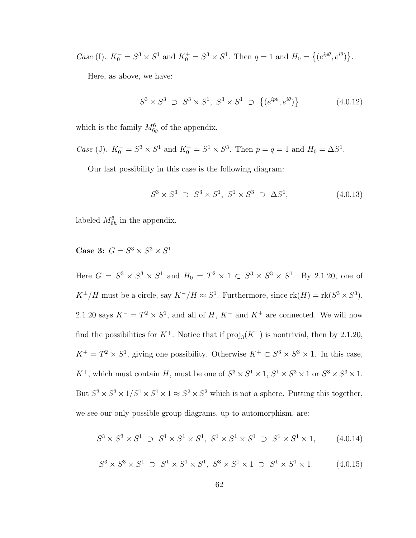*Case* (I).  $K_0^- = S^3 \times S^1$  and  $K_0^+ = S^3 \times S^1$ . Then  $q = 1$  and  $H_0 =$  $\overline{a}$  $(e^{ip\theta}, e^{i\theta})$ ª .

Here, as above, we have:

$$
S^3 \times S^3 \supset S^3 \times S^1, \ S^3 \times S^1 \supset \{(e^{ip\theta}, e^{i\theta})\}
$$
 (4.0.12)

which is the family  $M_{6g}^6$  of the appendix.

Case (J). 
$$
K_0^- = S^3 \times S^1
$$
 and  $K_0^+ = S^1 \times S^3$ . Then  $p = q = 1$  and  $H_0 = \Delta S^1$ .

Our last possibility in this case is the following diagram:

$$
S^3 \times S^3 \supset S^3 \times S^1, \ S^1 \times S^3 \supset \Delta S^1,\tag{4.0.13}
$$

labeled  $M_{6h}^6$  in the appendix.

Case 3:  $G = S^3 \times S^3 \times S^1$ 

Here  $G = S^3 \times S^3 \times S^1$  and  $H_0 = T^2 \times 1 \subset S^3 \times S^3 \times S^1$ . By 2.1.20, one of  $K^{\pm}/H$  must be a circle, say  $K^-/H \approx S^1$ . Furthermore, since  $\text{rk}(H) = \text{rk}(S^3 \times S^3)$ , 2.1.20 says  $K^- = T^2 \times S^1$ , and all of H,  $K^-$  and  $K^+$  are connected. We will now find the possibilities for  $K^+$ . Notice that if  $\text{proj}_3(K^+)$  is nontrivial, then by 2.1.20,  $K^+ = T^2 \times S^1$ , giving one possibility. Otherwise  $K^+ \subset S^3 \times S^3 \times 1$ . In this case,  $K^+$ , which must contain H, must be one of  $S^3 \times S^1 \times 1$ ,  $S^1 \times S^3 \times 1$  or  $S^3 \times S^3 \times 1$ . But  $S^3 \times S^3 \times 1/S^1 \times S^1 \times 1 \approx S^2 \times S^2$  which is not a sphere. Putting this together, we see our only possible group diagrams, up to automorphism, are:

$$
S^3 \times S^3 \times S^1 \supset S^1 \times S^1 \times S^1, \ S^1 \times S^1 \times S^1 \supset S^1 \times S^1 \times 1, \tag{4.0.14}
$$

$$
S^3 \times S^3 \times S^1 \supset S^1 \times S^1 \times S^1, \ S^3 \times S^1 \times 1 \supset S^1 \times S^1 \times 1. \tag{4.0.15}
$$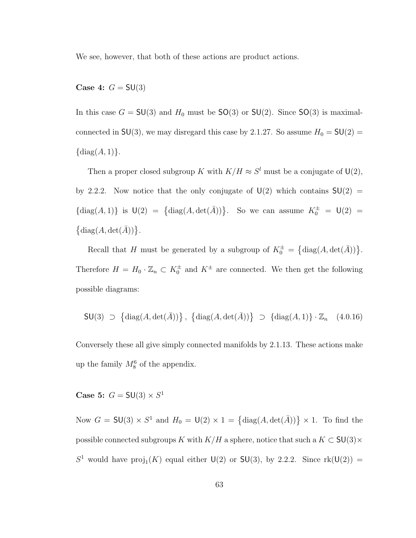We see, however, that both of these actions are product actions.

Case 4:  $G = SU(3)$ 

In this case  $G = SU(3)$  and  $H_0$  must be  $SO(3)$  or  $SU(2)$ . Since  $SO(3)$  is maximalconnected in SU(3), we may disregard this case by 2.1.27. So assume  $H_0 = SU(2) =$  $\{\text{diag}(A, 1)\}.$ 

Then a proper closed subgroup K with  $K/H \approx S^l$  must be a conjugate of  $\mathsf{U}(2)$ , by 2.2.2. Now notice that the only conjugate of  $U(2)$  which contains  $SU(2)$  =  ${\rm diag}(A,1)$  is  $\mathsf{U}(2) = {\rm diag}(A,\det(\overline{A}))$ . So we can assume  $K_0^{\pm} = \mathsf{U}(2) =$  $\{\text{diag}(A, \text{det}(\overline{A}))\}.$ 

Recall that H must be generated by a subgroup of  $K_0^{\pm}$  =  $\{\text{diag}(A, \text{det}(\overline{A}))\}.$ Therefore  $H = H_0 \cdot \mathbb{Z}_n \subset K_0^{\pm}$  and  $K^{\pm}$  are connected. We then get the following possible diagrams:

$$
\mathsf{SU}(3) \supset \left\{ \mathrm{diag}(A, \mathrm{det}(\bar{A})) \right\}, \left\{ \mathrm{diag}(A, \mathrm{det}(\bar{A})) \right\} \supset \left\{ \mathrm{diag}(A, 1) \right\} \cdot \mathbb{Z}_n \quad (4.0.16)
$$

Conversely these all give simply connected manifolds by 2.1.13. These actions make up the family  $M_8^6$  of the appendix.

Case 5:  $G = SU(3) \times S^1$ 

Now  $G = \mathsf{SU}(3) \times S^1$  and  $H_0 = \mathsf{U}(2) \times 1 = {\text{diag}(A, \det(\bar{A}))} \times 1$ . To find the possible connected subgroups K with  $K/H$  a sphere, notice that such a  $K \subset SU(3) \times$  $S^1$  would have  $proj_1(K)$  equal either  $U(2)$  or  $SU(3)$ , by 2.2.2. Since  $rk(U(2))$  =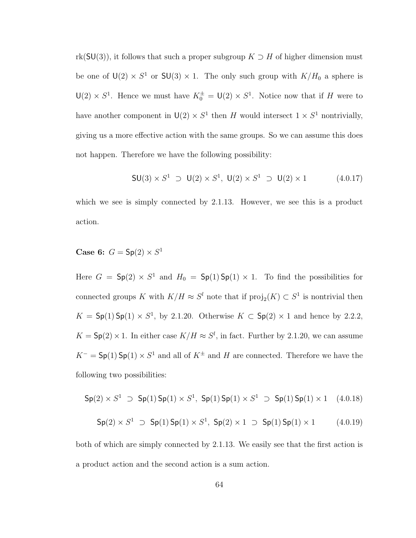rk(SU(3)), it follows that such a proper subgroup  $K \supset H$  of higher dimension must be one of  $U(2) \times S^1$  or  $SU(3) \times 1$ . The only such group with  $K/H_0$  a sphere is  $\mathsf{U}(2) \times S^1$ . Hence we must have  $K_0^{\pm} = \mathsf{U}(2) \times S^1$ . Notice now that if H were to have another component in  $U(2) \times S^1$  then H would intersect  $1 \times S^1$  nontrivially, giving us a more effective action with the same groups. So we can assume this does not happen. Therefore we have the following possibility:

$$
SU(3) \times S^1 \supset U(2) \times S^1, \ U(2) \times S^1 \supset U(2) \times 1 \tag{4.0.17}
$$

which we see is simply connected by 2.1.13. However, we see this is a product action.

Case 6:  $G = \mathsf{Sp}(2) \times S^1$ 

Here  $G = Sp(2) \times S^1$  and  $H_0 = Sp(1)Sp(1) \times 1$ . To find the possibilities for connected groups K with  $K/H \approx S^l$  note that if  $\text{proj}_2(K) \subset S^1$  is nontrivial then  $K = Sp(1)Sp(1) \times S<sup>1</sup>$ , by 2.1.20. Otherwise  $K \subset Sp(2) \times 1$  and hence by 2.2.2,  $K = Sp(2) \times 1$ . In either case  $K/H \approx S<sup>l</sup>$ , in fact. Further by 2.1.20, we can assume  $K^-$  =  $\mathsf{Sp}(1)\mathsf{Sp}(1)\times S^1$  and all of  $K^{\pm}$  and H are connected. Therefore we have the following two possibilities:

$$
\mathsf{Sp}(2) \times S^1 \supset \mathsf{Sp}(1) \, \mathsf{Sp}(1) \times S^1, \, \, \mathsf{Sp}(1) \, \mathsf{Sp}(1) \times S^1 \supset \mathsf{Sp}(1) \, \mathsf{Sp}(1) \times 1 \quad \, (4.0.18)
$$

$$
Sp(2) \times S^1 \supset Sp(1) \, Sp(1) \times S^1, \, Sp(2) \times 1 \supset Sp(1) \, Sp(1) \times 1 \qquad (4.0.19)
$$

both of which are simply connected by 2.1.13. We easily see that the first action is a product action and the second action is a sum action.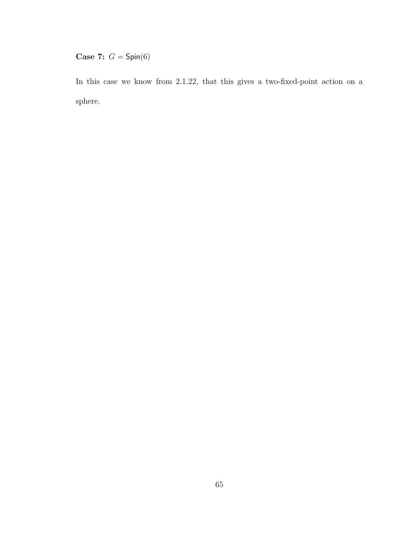Case 7:  $G =$  Spin(6)

In this case we know from 2.1.22, that this gives a two-fixed-point action on a sphere.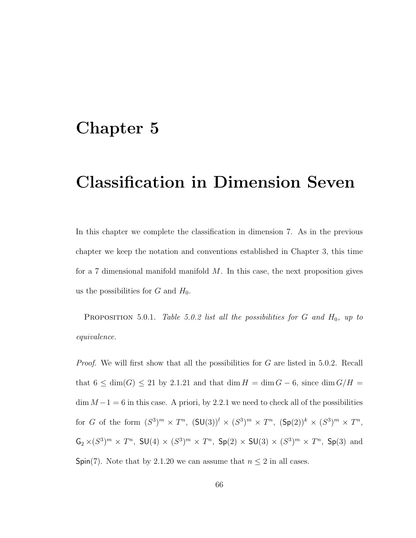# Chapter 5

# Classification in Dimension Seven

In this chapter we complete the classification in dimension 7. As in the previous chapter we keep the notation and conventions established in Chapter 3, this time for a 7 dimensional manifold manifold  $M$ . In this case, the next proposition gives us the possibilities for G and  $H_0$ .

PROPOSITION 5.0.1. Table 5.0.2 list all the possibilities for  $G$  and  $H_0$ , up to equivalence.

*Proof.* We will first show that all the possibilities for G are listed in 5.0.2. Recall that  $6 \le \dim(G) \le 21$  by 2.1.21 and that  $\dim H = \dim G - 6$ , since  $\dim G/H =$  $\dim M - 1 = 6$  in this case. A priori, by 2.2.1 we need to check all of the possibilities for G of the form  $(S^3)^m \times T^n$ ,  $(SU(3))^l \times (S^3)^m \times T^n$ ,  $(Sp(2))^k \times (S^3)^m \times T^n$ ,  $\mathsf{G}_2 \times (S^3)^m \times T^n$ ,  $\mathsf{SU}(4) \times (S^3)^m \times T^n$ ,  $\mathsf{Sp}(2) \times \mathsf{SU}(3) \times (S^3)^m \times T^n$ ,  $\mathsf{Sp}(3)$  and Spin(7). Note that by 2.1.20 we can assume that  $n \leq 2$  in all cases.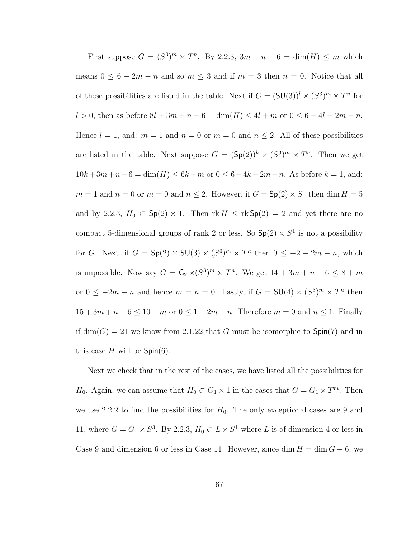First suppose  $G = (S^3)^m \times T^n$ . By 2.2.3,  $3m + n - 6 = \dim(H) \leq m$  which means  $0 \leq 6 - 2m - n$  and so  $m \leq 3$  and if  $m = 3$  then  $n = 0$ . Notice that all of these possibilities are listed in the table. Next if  $G = (SU(3))^l \times (S^3)^m \times T^n$  for l > 0, then as before  $8l + 3m + n - 6 = \dim(H) \le 4l + m$  or  $0 \le 6 - 4l - 2m - n$ . Hence  $l = 1$ , and:  $m = 1$  and  $n = 0$  or  $m = 0$  and  $n \leq 2$ . All of these possibilities are listed in the table. Next suppose  $G = (\text{Sp}(2))^k \times (S^3)^m \times T^n$ . Then we get  $10k + 3m + n - 6 = \dim(H) \le 6k + m$  or  $0 \le 6 - 4k - 2m - n$ . As before  $k = 1$ , and:  $m = 1$  and  $n = 0$  or  $m = 0$  and  $n \leq 2$ . However, if  $G = Sp(2) \times S^1$  then dim  $H = 5$ and by 2.2.3,  $H_0 \subset Sp(2) \times 1$ . Then  $rk H \leq rk Sp(2) = 2$  and yet there are no compact 5-dimensional groups of rank 2 or less. So  $\textsf{Sp}(2) \times S^1$  is not a possibility for G. Next, if  $G = \mathsf{Sp}(2) \times \mathsf{SU}(3) \times (S^3)^m \times T^n$  then  $0 \leq -2 - 2m - n$ , which is impossible. Now say  $G = \mathsf{G}_2 \times (S^3)^m \times T^n$ . We get  $14 + 3m + n - 6 \leq 8 + m$ or  $0 \leq -2m - n$  and hence  $m = n = 0$ . Lastly, if  $G = SU(4) \times (S^3)^m \times T^n$  then  $15 + 3m + n - 6 \le 10 + m$  or  $0 \le 1 - 2m - n$ . Therefore  $m = 0$  and  $n \le 1$ . Finally if  $dim(G) = 21$  we know from 2.1.22 that G must be isomorphic to  $Spin(7)$  and in this case H will be  $Spin(6)$ .

Next we check that in the rest of the cases, we have listed all the possibilities for  $H_0$ . Again, we can assume that  $H_0 \subset G_1 \times 1$  in the cases that  $G = G_1 \times T^m$ . Then we use 2.2.2 to find the possibilities for  $H_0$ . The only exceptional cases are 9 and 11, where  $G = G_1 \times S^3$ . By 2.2.3,  $H_0 \subset L \times S^1$  where L is of dimension 4 or less in Case 9 and dimension 6 or less in Case 11. However, since dim  $H = \dim G - 6$ , we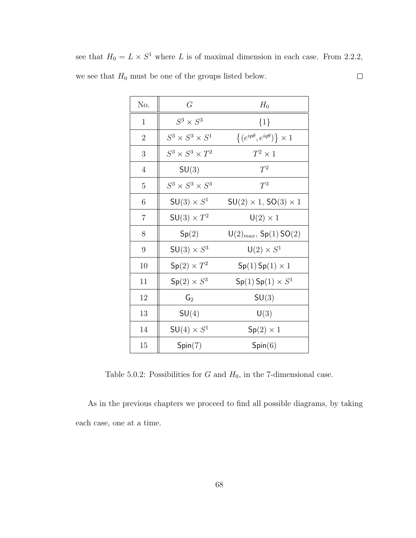| No.            | G                           | $H_0$                                      |
|----------------|-----------------------------|--------------------------------------------|
| $\mathbf{1}$   | $S^3 \times S^3$            | $\{1\}$                                    |
| $\overline{2}$ | $S^3 \times S^3 \times S^1$ | $\{(e^{ip\theta}, e^{iq\theta})\}\times 1$ |
| 3              | $S^3 \times S^3 \times T^2$ | $T^2\times 1$                              |
| $\overline{4}$ | SU(3)                       | $T^2$                                      |
| 5              | $S^3 \times S^3 \times S^3$ | $T^3$                                      |
| 6              | $SU(3) \times S^1$          | $SU(2) \times 1, SO(3) \times 1$           |
| $\overline{7}$ | $SU(3) \times T^2$          | $U(2) \times 1$                            |
| 8              | Sp(2)                       | $U(2)_{max}$ , Sp(1) SO(2)                 |
| 9              | $SU(3) \times S^3$          | $\mathsf{U}(2)\times S^1$                  |
| 10             | $Sp(2) \times T^2$          | $Sp(1)$ Sp $(1) \times 1$                  |
| 11             | $Sp(2) \times S^3$          | $Sp(1)$ Sp $(1) \times S^1$                |
| 12             | $\mathsf{G}_2$              | SU(3)                                      |
| 13             | SU(4)                       | U(3)                                       |
| 14             | $SU(4) \times S^1$          | $Sp(2) \times 1$                           |
| 15             | Spin(7)                     | Spin(6)                                    |

see that  $H_0 = L \times S^1$  where L is of maximal dimension in each case. From 2.2.2, we see that  $H_0$  must be one of the groups listed below.  $\Box$ 

Table 5.0.2: Possibilities for  $G$  and  $H_0$ , in the 7-dimensional case.

As in the previous chapters we proceed to find all possible diagrams, by taking each case, one at a time.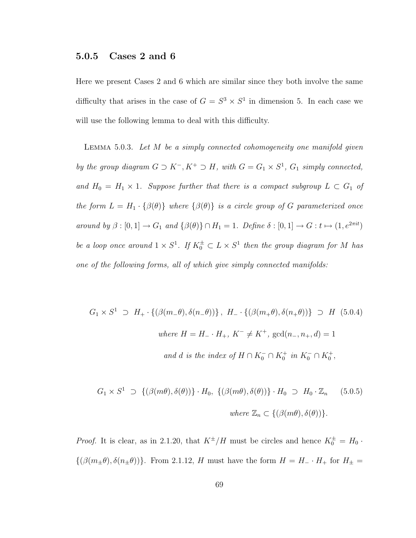### 5.0.5 Cases 2 and 6

Here we present Cases 2 and 6 which are similar since they both involve the same difficulty that arises in the case of  $G = S^3 \times S^1$  in dimension 5. In each case we will use the following lemma to deal with this difficulty.

LEMMA 5.0.3. Let  $M$  be a simply connected cohomogeneity one manifold given by the group diagram  $G \supset K^-$ ,  $K^+ \supset H$ , with  $G = G_1 \times S^1$ ,  $G_1$  simply connected, and  $H_0 = H_1 \times 1$ . Suppose further that there is a compact subgroup  $L \subset G_1$  of the form  $L = H_1 \cdot {\beta(\theta)}$  where  ${\beta(\theta)}$  is a circle group of G parameterized once around by  $\beta : [0, 1] \to G_1$  and  $\{\beta(\theta)\} \cap H_1 = 1$ . Define  $\delta : [0, 1] \to G : t \mapsto (1, e^{2\pi it})$ be a loop once around  $1 \times S^1$ . If  $K_0^{\pm} \subset L \times S^1$  then the group diagram for M has one of the following forms, all of which give simply connected manifolds:

$$
G_1 \times S^1 \supset H_+ \cdot \{ (\beta(m_-\theta), \delta(n_-\theta)) \}, H_- \cdot \{ (\beta(m_+\theta), \delta(n_+\theta)) \} \supset H \quad (5.0.4)
$$
  
where  $H = H_- \cdot H_+, K^- \neq K^+$ ,  $gcd(n_-, n_+, d) = 1$   
and d is the index of  $H \cap K_0^- \cap K_0^+$  in  $K_0^- \cap K_0^+$ ,

$$
G_1 \times S^1 \supset \{(\beta(m\theta), \delta(\theta))\} \cdot H_0, \{(\beta(m\theta), \delta(\theta))\} \cdot H_0 \supset H_0 \cdot \mathbb{Z}_n \qquad (5.0.5)
$$
  
where  $\mathbb{Z}_n \subset \{(\beta(m\theta), \delta(\theta))\}.$ 

*Proof.* It is clear, as in 2.1.20, that  $K^{\pm}/H$  must be circles and hence  $K_0^{\pm} = H_0$ .  $\{(\beta(m_{\pm}\theta),\delta(n_{\pm}\theta))\}$ . From 2.1.12, H must have the form  $H = H_{-}\cdot H_{+}$  for  $H_{\pm} =$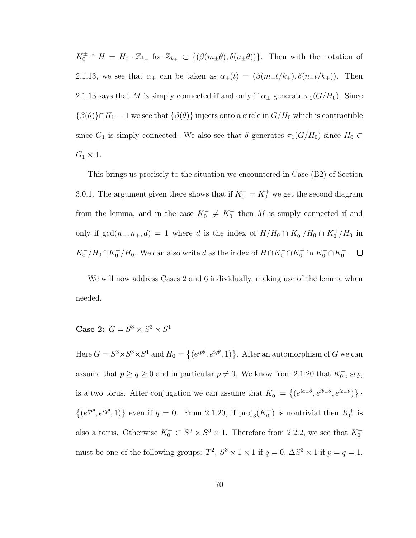$K_0^{\pm} \cap H = H_0 \cdot \mathbb{Z}_{k_{\pm}}$  for  $\mathbb{Z}_{k_{\pm}} \subset \{(\beta(m_{\pm}\theta), \delta(n_{\pm}\theta))\}\.$  Then with the notation of 2.1.13, we see that  $\alpha_{\pm}$  can be taken as  $\alpha_{\pm}(t) = (\beta(m_{\pm}t/k_{\pm}), \delta(n_{\pm}t/k_{\pm}))$ . Then 2.1.13 says that M is simply connected if and only if  $\alpha_{\pm}$  generate  $\pi_1(G/H_0)$ . Since  $\{\beta(\theta)\}\cap H_1 = 1$  we see that  $\{\beta(\theta)\}\$ injects onto a circle in  $G/H_0$  which is contractible since  $G_1$  is simply connected. We also see that  $\delta$  generates  $\pi_1(G/H_0)$  since  $H_0 \subset$  $G_1 \times 1$ .

This brings us precisely to the situation we encountered in Case (B2) of Section 3.0.1. The argument given there shows that if  $K_0^- = K_0^+$  we get the second diagram from the lemma, and in the case  $K_0^- \neq K_0^+$  then M is simply connected if and only if  $gcd(n_-, n_+, d) = 1$  where d is the index of  $H/H_0 \cap K_0^- / H_0 \cap K_0^+ / H_0$  in  $K_0^- / H_0 \cap K_0^+ / H_0$ . We can also write d as the index of  $H \cap K_0^- \cap K_0^+$  in  $K_0^- \cap K_0^+$ .

We will now address Cases 2 and 6 individually, making use of the lemma when needed.

Case 2:  $G = S^3 \times S^3 \times S^1$ 

Here  $G = S^3 \times S^3 \times S^1$  and  $H_0 =$  $\overline{a}$  $(e^{ip\theta}, e^{iq\theta}, 1)$ . After an automorphism of G we can assume that  $p \ge q \ge 0$  and in particular  $p \ne 0$ . We know from 2.1.20 that  $K_0^-$ , say, is a two torus. After conjugation we can assume that  $K_0^-$  =  $\overline{a}$  $(e^{ia_-\theta}, e^{ib_-\theta}, e^{ic_-\theta})$ ª ·  $\overline{a}$  $(e^{ip\theta}, e^{iq\theta}, 1)$ } even if  $q = 0$ . From 2.1.20, if  $\text{proj}_3(K_0^+)$  is nontrivial then  $K_0^+$  is also a torus. Otherwise  $K_0^+ \subset S^3 \times S^3 \times 1$ . Therefore from 2.2.2, we see that  $K_0^+$ must be one of the following groups:  $T^2$ ,  $S^3 \times 1 \times 1$  if  $q = 0$ ,  $\Delta S^3 \times 1$  if  $p = q = 1$ ,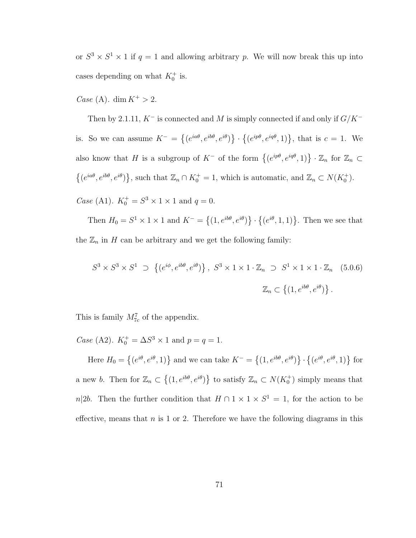or  $S^3 \times S^1 \times 1$  if  $q = 1$  and allowing arbitrary p. We will now break this up into cases depending on what  $K_0^+$  is.

*Case* (A). dim  $K^+ > 2$ .

Then by 2.1.11,  $K^-$  is connected and M is simply connected if and only if  $G/K^$ is. So we can assume  $K^-$  =  $\overline{a}$  $(e^{ia\theta}, e^{ib\theta}, e^{i\theta})$ ª ·  $\overline{a}$  $(e^{ip\theta}, e^{iq\theta}, 1)$ , that is  $c = 1$ . We also know that H is a subgroup of  $K^-$  of the form  $\{(e^{ip\theta}, e^{iq\theta}, 1)\}\cdot \mathbb{Z}_n$  for  $\mathbb{Z}_n \subset$  $\overline{a}$  $(e^{ia\theta}, e^{ib\theta}, e^{i\theta})$ }, such that  $\mathbb{Z}_n \cap K_0^+ = 1$ , which is automatic, and  $\mathbb{Z}_n \subset N(K_0^+)$ .

*Case* (A1).  $K_0^+ = S^3 \times 1 \times 1$  and  $q = 0$ .

Then  $H_0 = S^1 \times 1 \times 1$  and  $K^-$  =  $\overline{a}$  $(1, e^{ib\theta}, e^{i\theta})$ ª ·  $\overline{a}$  $(e^{i\theta}, 1, 1)$ . Then we see that the  $\mathbb{Z}_n$  in H can be arbitrary and we get the following family:

$$
S^3 \times S^3 \times S^1 \supset \{ (e^{i\phi}, e^{i b \theta}, e^{i \theta}) \}, S^3 \times 1 \times 1 \times \mathbb{Z}_n \supset S^1 \times 1 \times 1 \times \mathbb{Z}_n \quad (5.0.6)
$$
  

$$
\mathbb{Z}_n \subset \{ (1, e^{i b \theta}, e^{i \theta}) \}.
$$

This is family  $M_{7c}^7$  of the appendix.

*Case* (A2).  $K_0^+ = \Delta S^3 \times 1$  and  $p = q = 1$ .

Here  $H_0 =$  $\overline{a}$  $(e^{i\theta}, e^{i\theta}, 1)$ } and we can take  $K^-$  =  $\overline{a}$  $(1, e^{ib\theta}, e^{i\theta})$ ª ·  $\overline{a}$  $(e^{i\theta}, e^{i\theta}, 1)$ } for a new b. Then for  $\mathbb{Z}_n \subset$  $\overline{a}$  $(1, e^{ib\theta}, e^{i\theta})$ } to satisfy  $\mathbb{Z}_n \subset N(K_0^+)$  simply means that n|2b. Then the further condition that  $H \cap 1 \times 1 \times S^1 = 1$ , for the action to be effective, means that  $n$  is 1 or 2. Therefore we have the following diagrams in this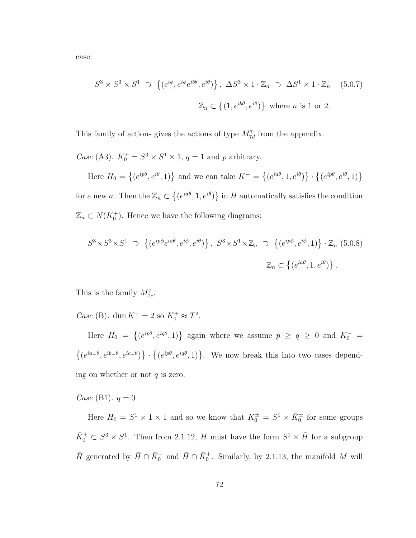case:

$$
S^3 \times S^3 \times S^1 \supset \{ (e^{i\phi}, e^{i\phi}e^{ib\theta}, e^{i\theta}) \}, \ \Delta S^3 \times 1 \cdot \mathbb{Z}_n \supset \Delta S^1 \times 1 \cdot \mathbb{Z}_n \quad (5.0.7)
$$
  

$$
\mathbb{Z}_n \subset \{ (1, e^{ib\theta}, e^{i\theta}) \} \text{ where } n \text{ is 1 or 2.}
$$

This family of actions gives the actions of type  $M_{7d}^7$  from the appendix.

Case (A3).  $K_0^+ = S^3 \times S^1 \times 1$ ,  $q = 1$  and p arbitrary.

Here  $H_0 =$  $\overline{a}$  $(e^{ip\theta}, e^{i\theta}, 1)$ } and we can take  $K^-$  =  $\overline{a}$  $(e^{ia\theta}, 1, e^{i\theta})$ ª ·  $\overline{a}$  $(e^{ip\theta}, e^{i\theta}, 1)$ for a new a. Then the  $\mathbb{Z}_n \subset$  $\overline{a}$  $(e^{ia\theta}, 1, e^{i\theta})$ ª in  $H$  automatically satisfies the condition  $\mathbb{Z}_n \subset N(K_0^+)$ . Hence we have the following diagrams:

$$
S^3 \times S^3 \times S^1 \supset \left\{ (e^{ip\phi}e^{ia\theta}, e^{i\phi}, e^{i\theta}) \right\}, \ S^3 \times S^1 \times \mathbb{Z}_n \supset \left\{ (e^{ip\phi}, e^{i\phi}, 1) \right\} \cdot \mathbb{Z}_n \ (5.0.8)
$$
  

$$
\mathbb{Z}_n \subset \left\{ (e^{ia\theta}, 1, e^{i\theta}) \right\}.
$$

This is the family  $M_{7e}^7$ .

Case (B). dim  $K^+ = 2$  so  $K_0^+ \approx T^2$ .

Here  $H_0 =$  $\overline{a}$  $(e^{ip\theta}, e^{iq\theta}, 1)$ } again where we assume  $p \ge q \ge 0$  and  $K_0^-$  =  $\overline{a}$  $(e^{ia-\theta}, e^{ib-\theta}, e^{ic-\theta})$ ª ·  $\overline{a}$  $(e^{ip\theta}, e^{iq\theta}, 1)$ . We now break this into two cases depending on whether or not  $q$  is zero.

*Case* (B1).  $q = 0$ 

Here  $H_0 = S^1 \times 1 \times 1$  and so we know that  $K_0^{\pm} = S^1 \times \bar{K}_0^{\pm}$  for some groups  $\bar{K}_0^{\pm} \subset S^3 \times S^1$ . Then from 2.1.12, H must have the form  $S^1 \times \bar{H}$  for a subgroup  $\bar{H}$  generated by  $\bar{H} \cap \bar{K}_0^-$  and  $\bar{H} \cap \bar{K}_0^+$ . Similarly, by 2.1.13, the manifold M will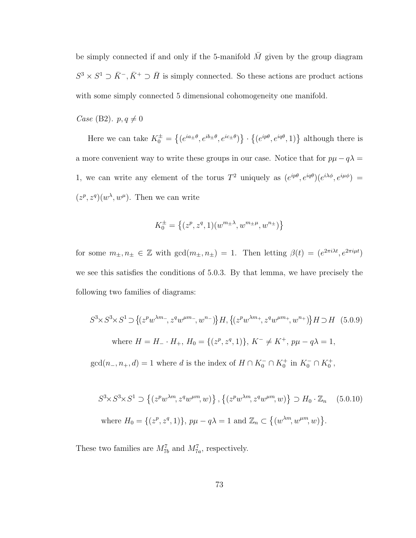be simply connected if and only if the 5-manifold  $\overline{M}$  given by the group diagram  $S^3 \times S^1 \supset \overline{K}^-$ ,  $\overline{K}^+ \supset \overline{H}$  is simply connected. So these actions are product actions with some simply connected 5 dimensional cohomogeneity one manifold.

Case (B2).  $p, q \neq 0$ 

Here we can take  $K_0^{\pm}$  =  $\overline{a}$  $(e^{ia_{\pm}\theta}, e^{ib_{\pm}\theta}, e^{ic_{\pm}\theta})$ ª ·  $\overline{a}$  $(e^{ip\theta}, e^{iq\theta}, 1)$ } although there is a more convenient way to write these groups in our case. Notice that for  $p\mu - q\lambda =$ 1, we can write any element of the torus  $T^2$  uniquely as  $(e^{ip\theta}, e^{iq\theta})(e^{i\lambda\phi}, e^{i\mu\phi}) =$  $(z^p, z^q)(w^{\lambda}, w^{\mu})$ . Then we can write

$$
K_0^{\pm} = \left\{ (z^p, z^q, 1)(w^{m_{\pm \lambda}}, w^{m_{\pm \mu}}, w^{n_{\pm}}) \right\}
$$

for some  $m_{\pm}, n_{\pm} \in \mathbb{Z}$  with  $gcd(m_{\pm}, n_{\pm}) = 1$ . Then letting  $\beta(t) = (e^{2\pi i \lambda t}, e^{2\pi i \mu t})$ we see this satisfies the conditions of 5.0.3. By that lemma, we have precisely the following two families of diagrams:

$$
S^3 \times S^3 \times S^1 \supset \{(z^p w^{\lambda m_-}, z^q w^{\mu m_-}, w^{n_-})\} H, \{(z^p w^{\lambda m_+}, z^q w^{\mu m_+}, w^{n_+})\} H \supset H \quad (5.0.9)
$$
  
where  $H = H_- \cdot H_+$ ,  $H_0 = \{(z^p, z^q, 1)\}$ ,  $K^- \neq K^+$ ,  $p\mu - q\lambda = 1$ ,  
 $gcd(n_-, n_+, d) = 1$  where d is the index of  $H \cap K_0^- \cap K_0^+$  in  $K_0^- \cap K_0^+$ ,

$$
S^3 \times S^3 \times S^1 \supset \left\{ (z^p w^{\lambda m}, z^q w^{\mu m}, w) \right\}, \left\{ (z^p w^{\lambda m}, z^q w^{\mu m}, w) \right\} \supset H_0 \cdot \mathbb{Z}_n \quad (5.0.10)
$$
  
where  $H_0 = \{ (z^p, z^q, 1) \}, p\mu - q\lambda = 1$  and  $\mathbb{Z}_n \subset \left\{ (w^{\lambda m}, w^{\mu m}, w) \right\}.$ 

These two families are  $M_{7b}^7$  and  $M_{7a}^7$ , respectively.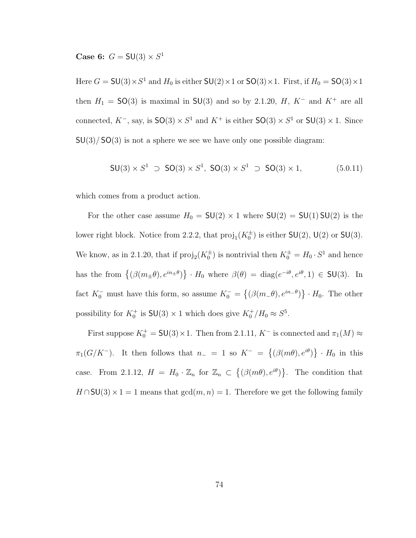Case 6:  $G = SU(3) \times S^1$ 

Here  $G = SU(3) \times S^1$  and  $H_0$  is either  $SU(2) \times 1$  or  $SO(3) \times 1$ . First, if  $H_0 = SO(3) \times 1$ then  $H_1 = SO(3)$  is maximal in SU(3) and so by 2.1.20, H, K<sup>-</sup> and K<sup>+</sup> are all connected,  $K^-$ , say, is  $SO(3) \times S^1$  and  $K^+$  is either  $SO(3) \times S^1$  or  $SU(3) \times 1$ . Since  $SU(3)/SO(3)$  is not a sphere we see we have only one possible diagram:

$$
SU(3) \times S^1 \supset SO(3) \times S^1, SO(3) \times S^1 \supset SO(3) \times 1,
$$
 (5.0.11)

which comes from a product action.

For the other case assume  $H_0 = SU(2) \times 1$  where  $SU(2) = SU(1) SU(2)$  is the lower right block. Notice from 2.2.2, that  $proj_1(K_0^{\pm})$  is either  $SU(2)$ ,  $U(2)$  or  $SU(3)$ . We know, as in 2.1.20, that if  $\text{proj}_2(K_0^{\pm})$  is nontrivial then  $K_0^{\pm} = H_0 \cdot S^1$  and hence has the from  $\{(\beta(m_\pm \theta), e^{in_\pm \theta})\}$ ª  $\cdot H_0$  where  $\beta(\theta) = \text{diag}(e^{-i\theta}, e^{i\theta}, 1) \in \mathsf{SU}(3)$ . In fact  $K_0^-$  must have this form, so assume  $K_0^-$  =  $\overline{a}$  $(\beta(m_-\theta), e^{in_-\theta})$ ª  $\cdot H_0$ . The other possibility for  $K_0^+$  is  $\mathsf{SU}(3)\times 1$  which does give  $K_0^+/H_0\approx S^5$ .

First suppose  $K_0^+ = \mathsf{SU}(3) \times 1$ . Then from 2.1.11,  $K^-$  is connected and  $\pi_1(M) \approx$  $\pi_1(G/K^-)$ . It then follows that  $n_-=1$  so  $K^-$  =  $\overline{a}$  $(\beta(m\theta), e^{i\theta})$ ª  $\cdot$  H<sub>0</sub> in this case. From 2.1.12,  $H = H_0 \cdot \mathbb{Z}_n$  for  $\mathbb{Z}_n \subset$  $\overline{a}$  $(\beta(m\theta), e^{i\theta})$ ª . The condition that  $H \cap SU(3) \times 1 = 1$  means that  $gcd(m, n) = 1$ . Therefore we get the following family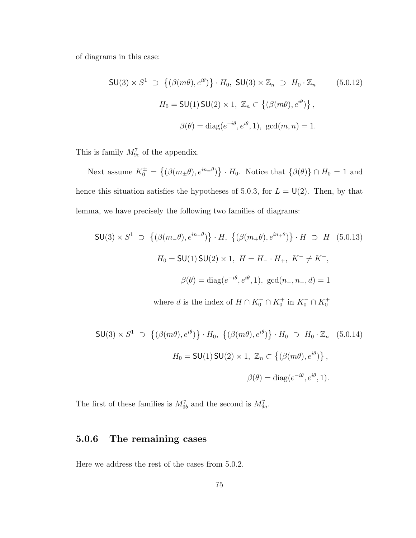of diagrams in this case:

$$
\mathsf{SU}(3) \times S^1 \supset \{(\beta(m\theta), e^{i\theta})\} \cdot H_0, \ \mathsf{SU}(3) \times \mathbb{Z}_n \supset H_0 \cdot \mathbb{Z}_n \tag{5.0.12}
$$
\n
$$
H_0 = \mathsf{SU}(1) \mathsf{SU}(2) \times 1, \ \mathbb{Z}_n \subset \{(\beta(m\theta), e^{i\theta})\},
$$
\n
$$
\beta(\theta) = \text{diag}(e^{-i\theta}, e^{i\theta}, 1), \ \text{gcd}(m, n) = 1.
$$

This is family  $M_{9c}^7$  of the appendix.

Next assume  $K_0^{\pm}$  =  $\overline{a}$  $(\beta(m_\pm \theta), e^{in_\pm \theta})$ ª  $\cdot H_0$ . Notice that  $\{\beta(\theta)\}\cap H_0=1$  and hence this situation satisfies the hypotheses of 5.0.3, for  $L = \mathsf{U}(2)$ . Then, by that lemma, we have precisely the following two families of diagrams:

$$
SU(3) \times S^1 \supset \{ (\beta(m_-\theta), e^{in_-\theta}) \} \cdot H, \{ (\beta(m_+\theta), e^{in_+\theta}) \} \cdot H \supset H \quad (5.0.13)
$$
  

$$
H_0 = SU(1) SU(2) \times 1, H = H_-, H_+, K^- \neq K^+,
$$
  

$$
\beta(\theta) = diag(e^{-i\theta}, e^{i\theta}, 1), gcd(n_-, n_+, d) = 1
$$

where d is the index of  $H \cap K_0^- \cap K_0^+$  in  $K_0^- \cap K_0^+$ 

$$
\mathsf{SU}(3) \times S^1 \supset \{(\beta(m\theta), e^{i\theta})\} \cdot H_0, \{(\beta(m\theta), e^{i\theta})\} \cdot H_0 \supset H_0 \cdot \mathbb{Z}_n \quad (5.0.14)
$$

$$
H_0 = \mathsf{SU}(1) \mathsf{SU}(2) \times 1, \ \mathbb{Z}_n \subset \{(\beta(m\theta), e^{i\theta})\},
$$

$$
\beta(\theta) = \text{diag}(e^{-i\theta}, e^{i\theta}, 1).
$$

The first of these families is  $M_{9b}^7$  and the second is  $M_{9a}^7$ .

### 5.0.6 The remaining cases

Here we address the rest of the cases from 5.0.2.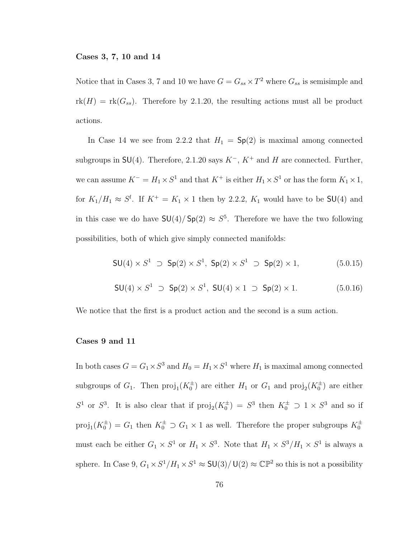#### Cases 3, 7, 10 and 14

Notice that in Cases 3, 7 and 10 we have  $G = G_{ss} \times T^2$  where  $G_{ss}$  is semisimple and  $rk(H) = rk(G_{ss})$ . Therefore by 2.1.20, the resulting actions must all be product actions.

In Case 14 we see from 2.2.2 that  $H_1 = Sp(2)$  is maximal among connected subgroups in  $SU(4)$ . Therefore, 2.1.20 says  $K^-$ ,  $K^+$  and H are connected. Further, we can assume  $K^- = H_1 \times S^1$  and that  $K^+$  is either  $H_1 \times S^1$  or has the form  $K_1 \times 1$ , for  $K_1/H_1 \approx S^l$ . If  $K^+ = K_1 \times 1$  then by 2.2.2,  $K_1$  would have to be  $SU(4)$  and in this case we do have  $SU(4)/Sp(2) \approx S^5$ . Therefore we have the two following possibilities, both of which give simply connected manifolds:

$$
SU(4) \times S^1 \supset Sp(2) \times S^1, Sp(2) \times S^1 \supset Sp(2) \times 1,
$$
 (5.0.15)

$$
\mathsf{SU}(4) \times S^1 \supset \mathsf{Sp}(2) \times S^1, \ \mathsf{SU}(4) \times 1 \supset \mathsf{Sp}(2) \times 1. \tag{5.0.16}
$$

We notice that the first is a product action and the second is a sum action.

#### Cases 9 and 11

In both cases  $G = G_1 \times S^3$  and  $H_0 = H_1 \times S^1$  where  $H_1$  is maximal among connected subgroups of  $G_1$ . Then  $\text{proj}_1(K_0^{\pm})$  are either  $H_1$  or  $G_1$  and  $\text{proj}_2(K_0^{\pm})$  are either  $S^1$  or  $S^3$ . It is also clear that if  $\text{proj}_2(K_0^{\pm}) = S^3$  then  $K_0^{\pm} \supset 1 \times S^3$  and so if  $proj_1(K_0^{\pm}) = G_1$  then  $K_0^{\pm} \supset G_1 \times 1$  as well. Therefore the proper subgroups  $K_0^{\pm}$ must each be either  $G_1 \times S^1$  or  $H_1 \times S^3$ . Note that  $H_1 \times S^3/H_1 \times S^1$  is always a sphere. In Case 9,  $G_1 \times S^1/H_1 \times S^1 \approx \mathsf{SU}(3)/\mathsf{U}(2) \approx \mathbb{CP}^2$  so this is not a possibility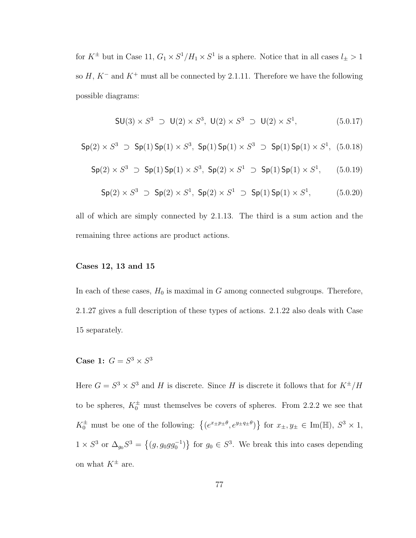for  $K^{\pm}$  but in Case 11,  $G_1 \times S^1/H_1 \times S^1$  is a sphere. Notice that in all cases  $l_{\pm} > 1$ so  $H, K^-$  and  $K^+$  must all be connected by 2.1.11. Therefore we have the following possible diagrams:

$$
SU(3) \times S^3 \supset U(2) \times S^3, \ U(2) \times S^3 \supset U(2) \times S^1, \tag{5.0.17}
$$

$$
\mathsf{Sp}(2)\times S^3\;\supset\; \mathsf{Sp}(1)\,\mathsf{Sp}(1)\times S^3,\;\mathsf{Sp}(1)\,\mathsf{Sp}(1)\times S^3\;\supset\; \mathsf{Sp}(1)\,\mathsf{Sp}(1)\times S^1,\;\; (5.0.18)
$$

$$
\mathsf{Sp}(2) \times S^3 \supset \mathsf{Sp}(1) \mathsf{Sp}(1) \times S^3, \ \mathsf{Sp}(2) \times S^1 \supset \mathsf{Sp}(1) \mathsf{Sp}(1) \times S^1, \qquad (5.0.19)
$$

$$
Sp(2) \times S^3 \supset Sp(2) \times S^1, Sp(2) \times S^1 \supset Sp(1) \text{ Sp}(1) \times S^1, \tag{5.0.20}
$$

all of which are simply connected by 2.1.13. The third is a sum action and the remaining three actions are product actions.

#### Cases 12, 13 and 15

In each of these cases,  $H_0$  is maximal in G among connected subgroups. Therefore, 2.1.27 gives a full description of these types of actions. 2.1.22 also deals with Case 15 separately.

Case 1:  $G = S^3 \times S^3$ 

Here  $G = S^3 \times S^3$  and H is discrete. Since H is discrete it follows that for  $K^{\pm}/H$ to be spheres,  $K_0^{\pm}$  must themselves be covers of spheres. From 2.2.2 we see that  $K_0^{\pm}$  must be one of the following:  $\{(e^{x_{\pm}p_{\pm}\theta}, e^{y_{\pm}q_{\pm}\theta})\}$ ª for  $x_{\pm}, y_{\pm} \in \text{Im}(\mathbb{H}), S^3 \times 1,$  $1 \times S^3$  or  $\Delta_{g_0} S^3 =$  $\{(g, g_0gg_0^{-1})$ ª for  $g_0 \in S^3$ . We break this into cases depending on what  $K^{\pm}$  are.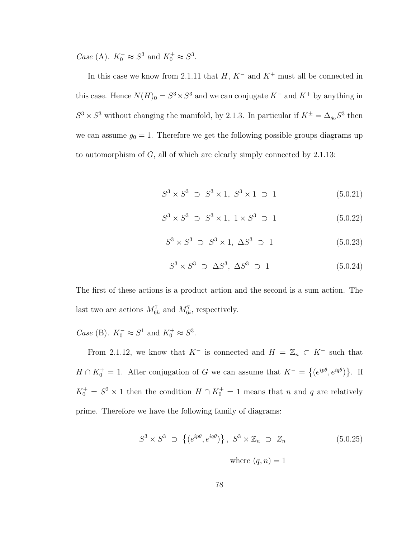*Case* (A).  $K_0^- \approx S^3$  and  $K_0^+ \approx S^3$ .

In this case we know from 2.1.11 that  $H, K^-$  and  $K^+$  must all be connected in this case. Hence  $N(H)_{0} = S^{3} \times S^{3}$  and we can conjugate  $K^{-}$  and  $K^{+}$  by anything in  $S^3 \times S^3$  without changing the manifold, by 2.1.3. In particular if  $K^{\pm} = \Delta_{g_0} S^3$  then we can assume  $g_0 = 1$ . Therefore we get the following possible groups diagrams up to automorphism of G, all of which are clearly simply connected by 2.1.13:

$$
S^3 \times S^3 \supset S^3 \times 1, \ S^3 \times 1 \supset 1 \tag{5.0.21}
$$

$$
S^3 \times S^3 \supset S^3 \times 1, \ 1 \times S^3 \supset 1 \tag{5.0.22}
$$

$$
S^3 \times S^3 \supset S^3 \times 1, \ \Delta S^3 \supset 1 \tag{5.0.23}
$$

$$
S^3 \times S^3 \supset \Delta S^3, \Delta S^3 \supset 1 \tag{5.0.24}
$$

The first of these actions is a product action and the second is a sum action. The last two are actions  $M_{6h}^7$  and  $M_{6i}^7$ , respectively.

*Case* (B).  $K_0^- \approx S^1$  and  $K_0^+ \approx S^3$ .

From 2.1.12, we know that  $K^-$  is connected and  $H = \mathbb{Z}_n \subset K^-$  such that  $H \cap K_0^+ = 1$ . After conjugation of G we can assume that  $K^- =$  $\overline{a}$  $(e^{ip\theta}, e^{iq\theta})$ ª . If  $K_0^+ = S^3 \times 1$  then the condition  $H \cap K_0^+ = 1$  means that n and q are relatively prime. Therefore we have the following family of diagrams:

$$
S^3 \times S^3 \supset \left\{ (e^{ip\theta}, e^{iq\theta}) \right\}, S^3 \times \mathbb{Z}_n \supset Z_n \qquad (5.0.25)
$$
  
where  $(q, n) = 1$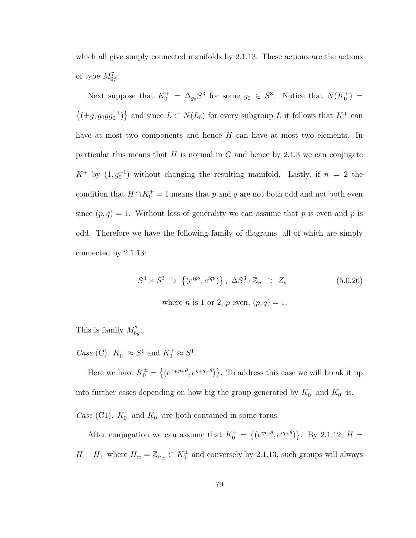which all give simply connected manifolds by 2.1.13. These actions are the actions of type  $M_{6f}^7$ .

Next suppose that  $K_0^+ = \Delta_{g_0} S^3$  for some  $g_0 \in S^3$ . Notice that  $N(K_0^+) =$  $\{(\pm g, g_0gg_0^{-1})$ ª and since  $L \subset N(L_0)$  for every subgroup L it follows that  $K^+$  can have at most two components and hence H can have at most two elements. In particular this means that  $H$  is normal in  $G$  and hence by 2.1.3 we can conjugate  $K^+$  by  $(1, g_0^{-1})$  without changing the resulting manifold. Lastly, if  $n = 2$  the condition that  $H \cap K_0^+ = 1$  means that p and q are not both odd and not both even since  $(p, q) = 1$ . Without loss of generality we can assume that p is even and p is odd. Therefore we have the following family of diagrams, all of which are simply connected by 2.1.13:

$$
S^3 \times S^3 \supset \left\{ (e^{ip\theta}, e^{iq\theta}) \right\}, \ \Delta S^3 \cdot \mathbb{Z}_n \supset Z_n \tag{5.0.26}
$$

where *n* is 1 or 2, *p* even,  $(p, q) = 1$ .

This is family  $M_{6g}^7$ .

Case (C).  $K_0^- \approx S^1$  and  $K_0^+ \approx S^1$ .

Here we have  $K_0^{\pm} =$  $\overline{a}$  $(e^{x \pm p \pm \theta}, e^{y \pm q \pm \theta})$ ª . To address this case we will break it up into further cases depending on how big the group generated by  $K_0^-$  and  $K_0^-$  is. Case (C1).  $K_0^-$  and  $K_0^+$  are both contained in some torus.

After conjugation we can assume that  $K_0^{\pm}$  =  $\overline{a}$  $(e^{ip_{\pm}\theta},e^{iq_{\pm}\theta})$ ª . By 2.1.12,  $H =$  $H_-\cdot H_+$  where  $H_{\pm}=\mathbb{Z}_{n_{\pm}}\subset K_0^{\pm}$  and conversely by 2.1.13, such groups will always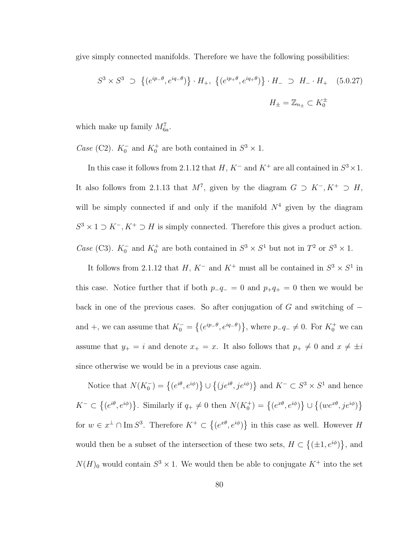give simply connected manifolds. Therefore we have the following possibilities:

$$
S^{3} \times S^{3} \supset \{ (e^{ip_{-}\theta}, e^{iq_{-}\theta}) \} \cdot H_{+}, \{ (e^{ip_{+}\theta}, e^{iq_{+}\theta}) \} \cdot H_{-} \supset H_{-} \cdot H_{+} \quad (5.0.27)
$$
  

$$
H_{\pm} = \mathbb{Z}_{n_{\pm}} \subset K_{0}^{\pm}
$$

which make up family  $M_{6a}^7$ .

*Case* (C2).  $K_0^-$  and  $K_0^+$  are both contained in  $S^3 \times 1$ .

In this case it follows from 2.1.12 that  $H, K^-$  and  $K^+$  are all contained in  $S^3 \times 1$ . It also follows from 2.1.13 that  $M^7$ , given by the diagram  $G \supset K^-$ ,  $K^+ \supset H$ , will be simply connected if and only if the manifold  $N^4$  given by the diagram  $S^3 \times 1 \supset K^-$ ,  $K^+ \supset H$  is simply connected. Therefore this gives a product action. Case (C3).  $K_0^-$  and  $K_0^+$  are both contained in  $S^3 \times S^1$  but not in  $T^2$  or  $S^3 \times 1$ .

It follows from 2.1.12 that  $H, K^-$  and  $K^+$  must all be contained in  $S^3 \times S^1$  in this case. Notice further that if both  $p_{-}q_{-} = 0$  and  $p_{+}q_{+} = 0$  then we would be back in one of the previous cases. So after conjugation of  $G$  and switching of  $$ and +, we can assume that  $K_0^-$  =  $\overline{a}$  $(e^{ip_{-}\theta}, e^{iq_{-}\theta})$ }, where  $p_{-}q_{-} \neq 0$ . For  $K_0^+$  we can assume that  $y_+ = i$  and denote  $x_+ = x$ . It also follows that  $p_+ \neq 0$  and  $x \neq \pm i$ since otherwise we would be in a previous case again.

Notice that  $N(K_0^-)=\{(e^{i\theta},e^{i\phi})\}$ ª ∪  $\overline{a}$  $(j e^{i\theta}, j e^{i\phi})$ ª and  $K^- \subset S^3 \times S^1$  and hence  $K^- \subset$  $\overline{a}$  $(e^{i\theta}, e^{i\phi})$ }. Similarly if  $q_+ \neq 0$  then  $N(K_0^+) = \{(e^{x\theta}, e^{i\phi})\}$ ª ∪  $\overline{a}$  $(we^{x\theta}, je^{i\phi})$ ª for  $w \in x^{\perp} \cap \text{Im } S^3$ . Therefore  $K^+ \subset$  $\overline{a}$  $(e^{x\theta}, e^{i\phi})$ ª in this case as well. However H would then be a subset of the intersection of these two sets,  $H \subset$  $\overline{a}$  $(\pm 1, e^{i\phi})$ ª , and  $N(H)$ <sub>0</sub> would contain  $S^3 \times 1$ . We would then be able to conjugate  $K^+$  into the set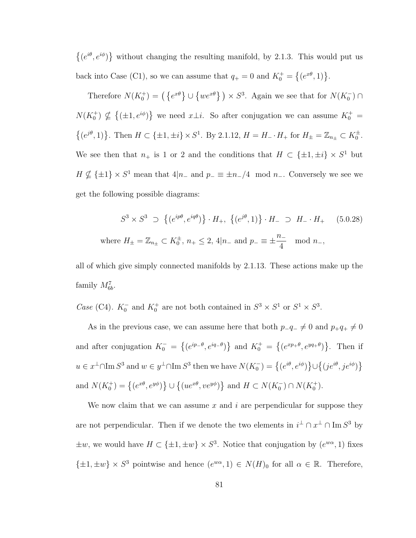$\overline{a}$  $(e^{i\theta}, e^{i\phi})$ ª without changing the resulting manifold, by 2.1.3. This would put us back into Case (C1), so we can assume that  $q_+ = 0$  and  $K_0^+ =$  $\overline{a}$  $(e^{x\theta}, 1)$ .

Therefore  $N(K_0^+) = \left(\{e^{x\theta}\}\right) \cup$  $\{we^{x\theta}\}\}\times S^3$ . Again we see that for  $N(K_0^-)\cap$  $N(K_0^+) \nsubseteq$  $\overline{a}$  $(\pm 1, e^{i\phi})$ } we need  $x \perp i$ . So after conjugation we can assume  $K_0^+$  =  $\overline{a}$  $(e^{j\theta}, 1)$ . Then  $H \subset \{\pm 1, \pm i\} \times S^1$ . By 2.1.12,  $H = H_{-} \cdot H_{+}$  for  $H_{\pm} = \mathbb{Z}_{n_{\pm}} \subset K_0^{\pm}$ . We see then that  $n_+$  is 1 or 2 and the conditions that  $H \subset \{\pm 1, \pm i\} \times S^1$  but  $H \nsubseteq {\pm 1} \times S^1$  mean that  $4|n_-$  and  $p_-\equiv \pm n_-/4 \mod n_-$ . Conversely we see we get the following possible diagrams:

$$
S^3 \times S^3 \supset \{ (e^{ip\theta}, e^{iq\theta}) \} \cdot H_+, \{ (e^{j\theta}, 1) \} \cdot H_- \supset H_- \cdot H_+ \quad (5.0.28)
$$
  
where  $H_{\pm} = \mathbb{Z}_{n_{\pm}} \subset K_0^{\pm}, n_{+} \le 2, 4 | n_{-} \text{ and } p_{-} \equiv \pm \frac{n_{-}}{4} \mod n_{-},$ 

all of which give simply connected manifolds by 2.1.13. These actions make up the family  $M_{6b}^7$ .

Case (C4).  $K_0^-$  and  $K_0^+$  are not both contained in  $S^3 \times S^1$  or  $S^1 \times S^3$ .

As in the previous case, we can assume here that both  $p_{-}q_{-} \neq 0$  and  $p_{+}q_{+} \neq 0$ and after conjugation  $K_0^-$  =  $\overline{a}$  $(e^{ip_{-}\theta}, e^{iq_{-}\theta})$ } and  $K_0^+$  =  $\overline{a}$  $(e^{xp+\theta}, e^{yq+\theta})$ ª . Then if  $u \in x^{\perp} \cap \text{Im } S^3$  and  $w \in y^{\perp} \cap \text{Im } S^3$  then we have  $N(K_0^-) = \big\{(e^{i\theta}, e^{i\phi})\big\}$ ª ∪  $\overline{a}$  $(j e^{i\theta}, j e^{i\phi})$ ª and  $N(K_0^+) = \{(e^{x\theta}, e^{y\phi})\}$ ª ∪  $\overline{a}$  $(ue^{x\theta}, v e^{y\phi})$ } and  $H \subset N(K_0^-) \cap N(K_0^+)$ .

We now claim that we can assume x and i are perpendicular for suppose they are not perpendicular. Then if we denote the two elements in  $i^{\perp} \cap x^{\perp} \cap \text{Im } S^3$  by  $\pm w$ , we would have  $H \subset {\pm 1, \pm w} \times S^3$ . Notice that conjugation by  $(e^{w\alpha}, 1)$  fixes  $\{\pm 1, \pm w\} \times S^3$  pointwise and hence  $(e^{w\alpha}, 1) \in N(H)_0$  for all  $\alpha \in \mathbb{R}$ . Therefore,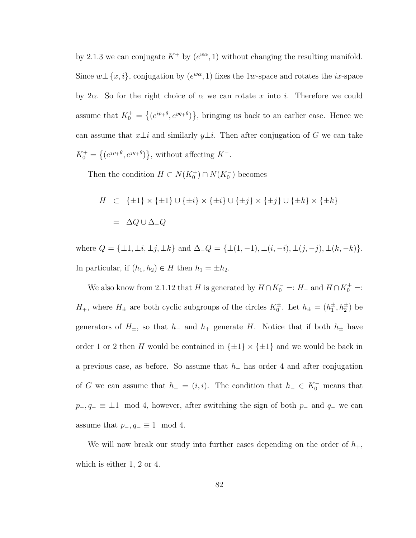by 2.1.3 we can conjugate  $K^+$  by  $(e^{w\alpha}, 1)$  without changing the resulting manifold. Since  $w \perp \{x, i\}$ , conjugation by  $(e^{w\alpha}, 1)$  fixes the 1w-space and rotates the *ix*-space by 2 $\alpha$ . So for the right choice of  $\alpha$  we can rotate x into i. Therefore we could assume that  $K_0^+$  =  $\overline{a}$  $(e^{ip_{+}\theta}, e^{yq_{+}\theta})$ ª , bringing us back to an earlier case. Hence we can assume that  $x\bot i$  and similarly  $y\bot i$ . Then after conjugation of G we can take  $K_0^+ =$  $\overline{a}$  $(e^{jp+\theta}, e^{jq+\theta})$ ª , without affecting  $K^-$ .

Then the condition  $H \subset N(K_0^+) \cap N(K_0^-)$  becomes

$$
H \quad \subset \quad \{\pm 1\} \times \{\pm 1\} \cup \{\pm i\} \times \{\pm i\} \cup \{\pm j\} \times \{\pm j\} \cup \{\pm k\} \times \{\pm k\}
$$
\n
$$
= \quad \Delta Q \cup \Delta_{-} Q
$$

where  $Q = {\pm 1, \pm i, \pm j, \pm k}$  and  $\Delta_{-}Q = {\pm (1, -1), \pm (i, -i), \pm (j, -j), \pm (k, -k)}$ . In particular, if  $(h_1, h_2) \in H$  then  $h_1 = \pm h_2$ .

We also know from 2.1.12 that H is generated by  $H \cap K_0^- =: H_-$  and  $H \cap K_0^+ =:$  $H_+$ , where  $H_{\pm}$  are both cyclic subgroups of the circles  $K_0^{\pm}$ . Let  $h_{\pm} = (h_1^{\pm}, h_2^{\pm})$  be generators of  $H_{\pm}$ , so that  $h_{-}$  and  $h_{+}$  generate H. Notice that if both  $h_{\pm}$  have order 1 or 2 then H would be contained in  $\{\pm 1\} \times \{\pm 1\}$  and we would be back in a previous case, as before. So assume that  $h_-\$  has order 4 and after conjugation of G we can assume that  $h = (i, i)$ . The condition that  $h = \in K_0^-$  means that  $p_-, q_-\equiv \pm 1 \mod 4$ , however, after switching the sign of both  $p_-\text{ and } q_-\text{ we can}$ assume that  $p_-, q_-\equiv 1 \mod 4$ .

We will now break our study into further cases depending on the order of  $h_{+}$ , which is either 1, 2 or 4.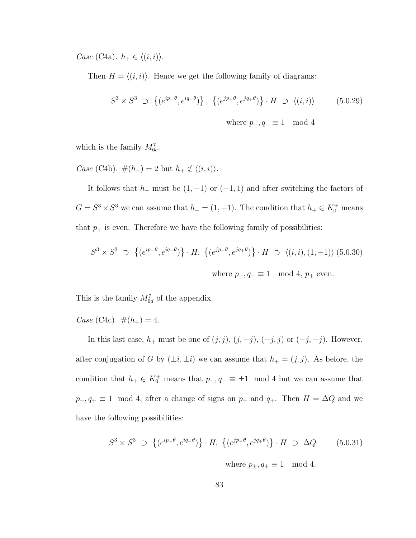Case (C4a).  $h_+ \in \langle (i, i) \rangle$ .

Then  $H = \langle (i, i) \rangle$ . Hence we get the following family of diagrams:

$$
S^3 \times S^3 \supset \left\{ (e^{ip-\theta}, e^{iq-\theta}) \right\}, \left\{ (e^{jp+\theta}, e^{jq+\theta}) \right\} \cdot H \supset \left\langle (i,i) \right\rangle \tag{5.0.29}
$$

where  $p_-, q_- \equiv 1 \mod 4$ 

which is the family  $M_{6c}^7$ .

Case (C4b).  $#(h_+) = 2$  but  $h_+ \notin \langle (i, i) \rangle$ .

It follows that  $h_+$  must be  $(1, -1)$  or  $(-1, 1)$  and after switching the factors of  $G = S^3 \times S^3$  we can assume that  $h_+ = (1, -1)$ . The condition that  $h_+ \in K_0^+$  means that  $p_+$  is even. Therefore we have the following family of possibilities:

$$
S^3 \times S^3 \supset \{ (e^{ip-\theta}, e^{iq-\theta}) \} \cdot H, \{ (e^{jp+\theta}, e^{jq+\theta}) \} \cdot H \supset \langle (i, i), (1, -1) \rangle \; (5.0.30)
$$
  
where  $p_-, q_- \equiv 1 \mod 4$ ,  $p_+$  even.

This is the family  $M_{6d}^7$  of the appendix.

Case (C4c).  $\#(h_+) = 4$ .

In this last case,  $h_+$  must be one of  $(j, j)$ ,  $(j, -j)$ ,  $(-j, j)$  or  $(-j, -j)$ . However, after conjugation of G by  $(\pm i, \pm i)$  we can assume that  $h_{+} = (j, j)$ . As before, the condition that  $h_+ \in K_0^+$  means that  $p_+, q_+ \equiv \pm 1 \mod 4$  but we can assume that  $p_+, q_+ \equiv 1 \mod 4$ , after a change of signs on  $p_+$  and  $q_+$ . Then  $H = \Delta Q$  and we have the following possibilities:

$$
S^3 \times S^3 \supset \left\{ (e^{ip-\theta}, e^{iq-\theta}) \right\} \cdot H, \left\{ (e^{jp+\theta}, e^{jq+\theta}) \right\} \cdot H \supset \Delta Q \quad (5.0.31)
$$

where  $p_{\pm}, q_{\pm} \equiv 1 \mod 4$ .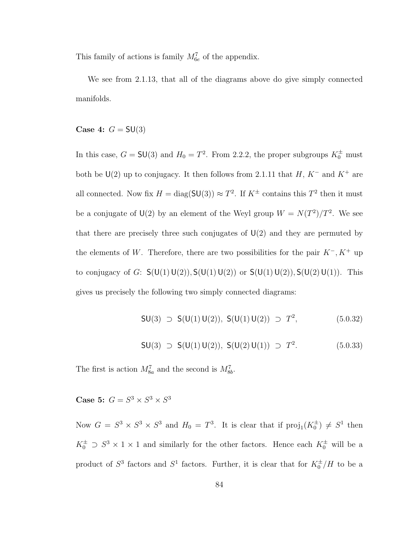This family of actions is family  $M_{6e}^7$  of the appendix.

We see from 2.1.13, that all of the diagrams above do give simply connected manifolds.

Case 4:  $G = SU(3)$ 

In this case,  $G = SU(3)$  and  $H_0 = T^2$ . From 2.2.2, the proper subgroups  $K_0^{\pm}$  must both be U(2) up to conjugacy. It then follows from 2.1.11 that  $H, K^-$  and  $K^+$  are all connected. Now fix  $H = \text{diag}(\mathsf{SU}(3)) \approx T^2$ . If  $K^{\pm}$  contains this  $T^2$  then it must be a conjugate of  $U(2)$  by an element of the Weyl group  $W = N(T^2)/T^2$ . We see that there are precisely three such conjugates of  $U(2)$  and they are permuted by the elements of W. Therefore, there are two possibilities for the pair  $K^-, K^+$  up to conjugacy of G:  $S(U(1)U(2)), S(U(1)U(2))$  or  $S(U(1)U(2)), S(U(2)U(1))$ . This gives us precisely the following two simply connected diagrams:

$$
SU(3) \supset S(U(1) U(2)), S(U(1) U(2)) \supset T^2, \tag{5.0.32}
$$

$$
SU(3) \supset S(U(1)U(2)), S(U(2)U(1)) \supset T^2.
$$
 (5.0.33)

The first is action  $M_{8a}^7$  and the second is  $M_{8b}^7$ .

Case 5:  $G = S^3 \times S^3 \times S^3$ 

Now  $G = S^3 \times S^3 \times S^3$  and  $H_0 = T^3$ . It is clear that if  $proj_1(K_0^{\pm}) \neq S^1$  then  $K_0^{\pm} \supset S^3 \times 1 \times 1$  and similarly for the other factors. Hence each  $K_0^{\pm}$  will be a product of  $S^3$  factors and  $S^1$  factors. Further, it is clear that for  $K_0^{\pm}/H$  to be a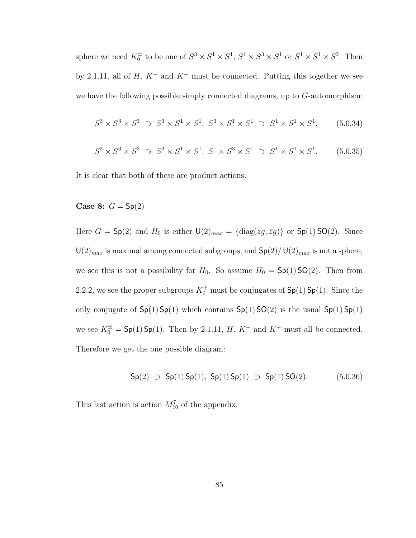sphere we need  $K_0^{\pm}$  to be one of  $S^3 \times S^1 \times S^1$ ,  $S^1 \times S^3 \times S^1$  or  $S^1 \times S^1 \times S^3$ . Then by 2.1.11, all of  $H, K^-$  and  $K^+$  must be connected. Putting this together we see we have the following possible simply connected diagrams, up to  $G$ -automorphism:

$$
S^3 \times S^3 \times S^3 \supset S^3 \times S^1 \times S^1, \ S^3 \times S^1 \times S^1 \supset S^1 \times S^1 \times S^1, \tag{5.0.34}
$$

$$
S^3 \times S^3 \times S^3 \supset S^3 \times S^1 \times S^1, \ S^1 \times S^3 \times S^1 \supset S^1 \times S^1 \times S^1. \tag{5.0.35}
$$

It is clear that both of these are product actions.

Case 8:  $G = \mathsf{Sp}(2)$ 

Here  $G = Sp(2)$  and  $H_0$  is either  $\mathsf{U}(2)_{max} = {\text{diag}(zg,\bar{z}g)}$  or  $Sp(1)SO(2)$ . Since  $U(2)_{max}$  is maximal among connected subgroups, and  $\mathsf{Sp}(2)/\mathsf{U}(2)_{max}$  is not a sphere, we see this is not a possibility for  $H_0$ . So assume  $H_0 = Sp(1)SO(2)$ . Then from 2.2.2, we see the proper subgroups  $K_0^{\pm}$  must be conjugates of  $\mathsf{Sp}(1)$   $\mathsf{Sp}(1)$ . Since the only conjugate of  $Sp(1) Sp(1)$  which contains  $Sp(1) SO(2)$  is the usual  $Sp(1) Sp(1)$ we see  $K_0^{\pm} = \mathsf{Sp}(1)\mathsf{Sp}(1)$ . Then by 2.1.11, H, K<sup>-</sup> and K<sup>+</sup> must all be connected. Therefore we get the one possible diagram:

$$
Sp(2) \supset Sp(1) Sp(1), Sp(1) Sp(1) \supset Sp(1) SO(2). \tag{5.0.36}
$$

This last action is action  $M_{10}^7$  of the appendix.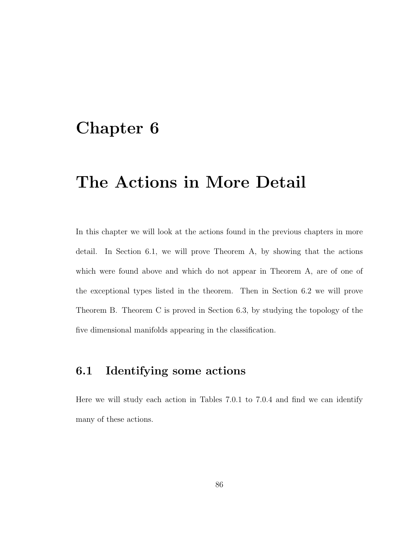# Chapter 6

# The Actions in More Detail

In this chapter we will look at the actions found in the previous chapters in more detail. In Section 6.1, we will prove Theorem A, by showing that the actions which were found above and which do not appear in Theorem A, are of one of the exceptional types listed in the theorem. Then in Section 6.2 we will prove Theorem B. Theorem C is proved in Section 6.3, by studying the topology of the five dimensional manifolds appearing in the classification.

## 6.1 Identifying some actions

Here we will study each action in Tables 7.0.1 to 7.0.4 and find we can identify many of these actions.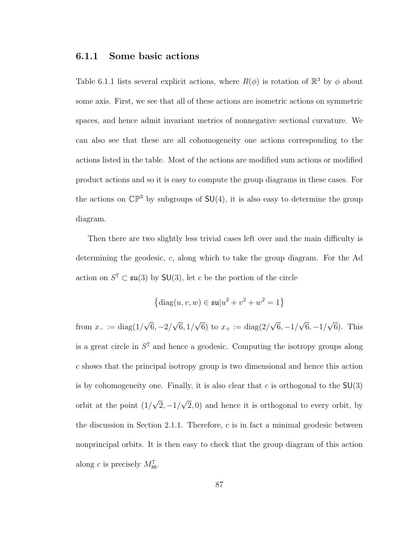### 6.1.1 Some basic actions

Table 6.1.1 lists several explicit actions, where  $R(\phi)$  is rotation of  $\mathbb{R}^3$  by  $\phi$  about some axis. First, we see that all of these actions are isometric actions on symmetric spaces, and hence admit invariant metrics of nonnegative sectional curvature. We can also see that these are all cohomogeneity one actions corresponding to the actions listed in the table. Most of the actions are modified sum actions or modified product actions and so it is easy to compute the group diagrams in these cases. For the actions on  $\mathbb{CP}^3$  by subgroups of  $SU(4)$ , it is also easy to determine the group diagram.

Then there are two slightly less trivial cases left over and the main difficulty is determining the geodesic, c, along which to take the group diagram. For the Ad action on  $S^7 \subset \mathfrak{su}(3)$  by  $SU(3)$ , let c be the portion of the circle

$$
\{ \text{diag}(u, v, w) \in \mathfrak{su}|u^2 + v^2 + w^2 = 1 \}
$$

from  $x_ - := \text{diag}(1/$ √  $6, -2/$ √  $6, 1/$ √ 6) to  $x_{+} := \text{diag}(2)$ √  $6, -1/$ √  $6, -1/$ √ 6). This is a great circle in  $S<sup>7</sup>$  and hence a geodesic. Computing the isotropy groups along c shows that the principal isotropy group is two dimensional and hence this action is by cohomogeneity one. Finally, it is also clear that c is orthogonal to the  $SU(3)$ orbit at the point (1/ √  $\overline{2}, -1/$ √  $(2, 0)$  and hence it is orthogonal to every orbit, by the discussion in Section 2.1.1. Therefore,  $c$  is in fact a minimal geodesic between nonprincipal orbits. It is then easy to check that the group diagram of this action along c is precisely  $M_{8b}^7$ .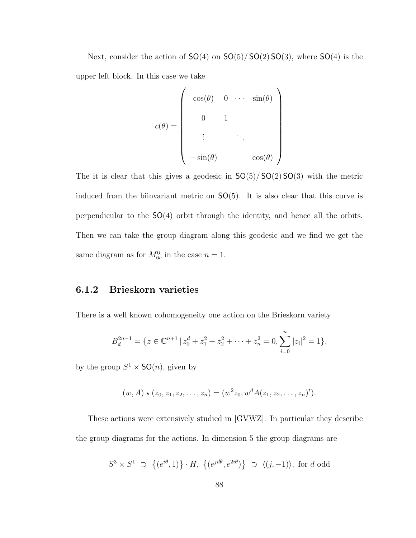Next, consider the action of  $SO(4)$  on  $SO(5)/SO(2)SO(3)$ , where  $SO(4)$  is the upper left block. In this case we take

$$
c(\theta) = \begin{pmatrix} \cos(\theta) & 0 & \cdots & \sin(\theta) \\ 0 & 1 & & \\ \vdots & & \ddots & \\ -\sin(\theta) & & & \cos(\theta) \end{pmatrix}
$$

The it is clear that this gives a geodesic in  $SO(5)/SO(2)SO(3)$  with the metric induced from the biinvariant metric on SO(5). It is also clear that this curve is perpendicular to the SO(4) orbit through the identity, and hence all the orbits. Then we can take the group diagram along this geodesic and we find we get the same diagram as for  $M_{6c}^6$  in the case  $n = 1$ .

### 6.1.2 Brieskorn varieties

There is a well known cohomogeneity one action on the Brieskorn variety

$$
B_d^{2n-1} = \{ z \in \mathbb{C}^{n+1} \mid z_0^d + z_1^2 + z_2^2 + \dots + z_n^2 = 0, \sum_{i=0}^n |z_i|^2 = 1 \},\
$$

by the group  $S^1 \times SO(n)$ , given by

$$
(w, A) \star (z_0, z_1, z_2, \dots, z_n) = (w^2 z_0, w^d A(z_1, z_2, \dots, z_n)^t).
$$

These actions were extensively studied in [GVWZ]. In particular they describe the group diagrams for the actions. In dimension 5 the group diagrams are

$$
S^3 \times S^1 \supset \{(e^{i\theta}, 1)\} \cdot H, \{(e^{jd\theta}, e^{2i\theta})\} \supset \langle (j, -1) \rangle, \text{ for } d \text{ odd}
$$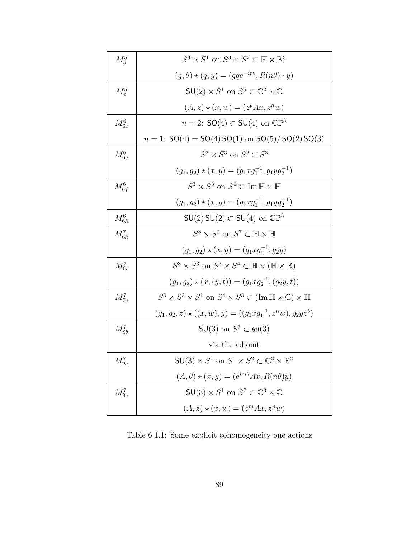| $M_a^5$       | $S^3 \times S^1$ on $S^3 \times S^2 \subset \mathbb{H} \times \mathbb{R}^3$                                         |  |
|---------------|---------------------------------------------------------------------------------------------------------------------|--|
|               | $(g, \theta) \star (q, y) = (gqe^{-ip\theta}, R(n\theta) \cdot y)$                                                  |  |
| $M_{\rm e}^5$ | $SU(2) \times S^1$ on $S^5 \subset \mathbb{C}^2 \times \mathbb{C}$                                                  |  |
|               | $(A, z) \star (x, w) = (zp Ax, zn w)$                                                                               |  |
| $M_{6c}^6$    | $n = 2$ : SO(4) $\subset$ SU(4) on $\mathbb{CP}^3$                                                                  |  |
|               | $n = 1$ : $SO(4) = SO(4) SO(1)$ on $SO(5)/SO(2) SO(3)$                                                              |  |
| $M_{6e}^6$    | $S^3 \times S^3$ on $S^3 \times S^3$                                                                                |  |
|               | $(g_1, g_2) \star (x, y) = (g_1 x g_1^{-1}, g_1 y g_2^{-1})$                                                        |  |
| $M_{6f}^6$    | $S^3 \times S^3$ on $S^6 \subset \text{Im} \mathbb{H} \times \mathbb{H}$                                            |  |
|               | $(g_1, g_2) \star (x, y) = (g_1 x g_1^{-1}, g_1 y g_2^{-1})$                                                        |  |
| $M_{6h}^6$    | $SU(2)$ SU(2) $\subset SU(4)$ on $\mathbb{CP}^3$                                                                    |  |
| $M_{6h}^7$    | $S^3 \times S^3$ on $S^7 \subset \mathbb{H} \times \mathbb{H}$                                                      |  |
|               | $(g_1, g_2) \star (x, y) = (g_1 x g_2^{-1}, g_2 y)$                                                                 |  |
| $M_{6i}^7$    | $S^3 \times S^3$ on $S^3 \times S^4 \subset \mathbb{H} \times (\mathbb{H} \times \mathbb{R})$                       |  |
|               | $(g_1, g_2) \star (x, (y, t)) = (g_1 x g_2^{-1}, (g_2 y, t))$                                                       |  |
| $M_{7c}^7$    | $S^3 \times S^3 \times S^1$ on $S^4 \times S^3 \subset (\text{Im } \mathbb{H} \times \mathbb{C}) \times \mathbb{H}$ |  |
|               | $(g_1, g_2, z) \star ((x, w), y) = ((g_1 x g_1^{-1}, z^n w), g_2 y \overline{z}^b)$                                 |  |
| $M_{8b}^7$    | $SU(3)$ on $S^7 \subset \mathfrak{su}(3)$                                                                           |  |
|               | via the adjoint                                                                                                     |  |
| $M_{9a}^7$    | $SU(3) \times S^1$ on $S^5 \times S^2 \subset \mathbb{C}^3 \times \mathbb{R}^3$                                     |  |
|               | $(A, \theta) \star (x, y) = (e^{im\theta}Ax, R(n\theta)y)$                                                          |  |
| $M_{9c}^7$    | $SU(3) \times S^1$ on $S^7 \subset \mathbb{C}^3 \times \mathbb{C}$                                                  |  |
|               | $(A, z) \star (x, w) = (zm Ax, zn w)$                                                                               |  |

Table 6.1.1: Some explicit cohomogeneity one actions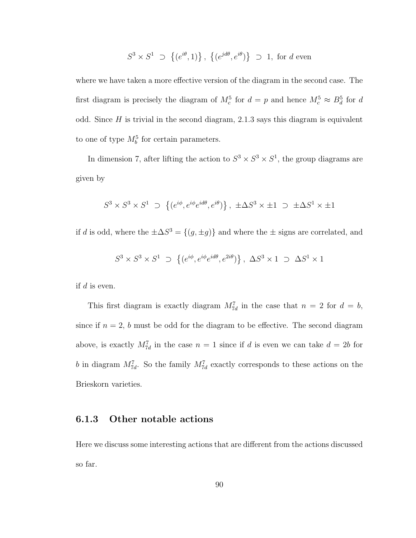$$
S^3 \times S^1 \supset \{(e^{i\theta}, 1)\}, \{(e^{jd\theta}, e^{i\theta})\} \supset 1
$$
, for d even

where we have taken a more effective version of the diagram in the second case. The first diagram is precisely the diagram of  $M_c^5$  for  $d = p$  and hence  $M_c^5 \approx B_d^5$  for d odd. Since  $H$  is trivial in the second diagram, 2.1.3 says this diagram is equivalent to one of type  $M_b^5$  for certain parameters.

In dimension 7, after lifting the action to  $S^3 \times S^3 \times S^1$ , the group diagrams are given by

$$
S^3 \times S^3 \times S^1 \supset \{(e^{i\phi}, e^{i\phi}e^{id\theta}, e^{i\theta})\}, \pm \Delta S^3 \times \pm 1 \supset \pm \Delta S^1 \times \pm 1
$$

if d is odd, where the  $\pm \Delta S^3 = \{(g, \pm g)\}\$ and where the  $\pm$  signs are correlated, and

$$
S^3 \times S^3 \times S^1 \supset \{(e^{i\phi}, e^{i\phi}e^{id\theta}, e^{2i\theta})\}, \ \Delta S^3 \times 1 \supset \Delta S^1 \times 1
$$

if  $d$  is even.

This first diagram is exactly diagram  $M_{7d}^7$  in the case that  $n = 2$  for  $d = b$ , since if  $n = 2$ , b must be odd for the diagram to be effective. The second diagram above, is exactly  $M_{7d}^7$  in the case  $n = 1$  since if d is even we can take  $d = 2b$  for b in diagram  $M_{7d}^7$ . So the family  $M_{7d}^7$  exactly corresponds to these actions on the Brieskorn varieties.

### 6.1.3 Other notable actions

Here we discuss some interesting actions that are different from the actions discussed so far.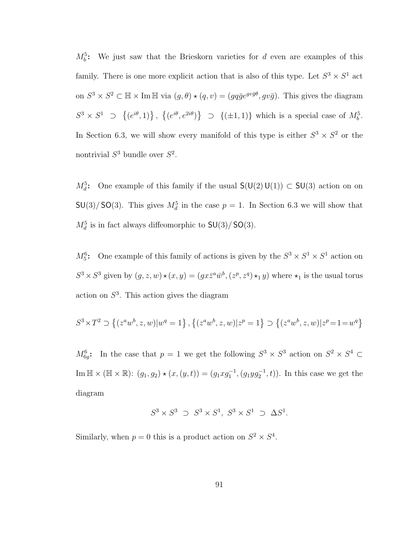$M_b^5$ : We just saw that the Brieskorn varieties for d even are examples of this family. There is one more explicit action that is also of this type. Let  $S^3 \times S^1$  act on  $S^3 \times S^2 \subset \mathbb{H} \times \text{Im } \mathbb{H}$  via  $(g, \theta) \star (g, v) = (gq\bar{g}e^{gv\bar{g}\theta}, gv\bar{g})$ . This gives the diagram  $S^3 \times S^1$  ⊃  $\overline{a}$  $(e^{i\theta}, 1)$ ,  $\overline{a}$  $(e^{i\theta}, e^{2i\theta})$ ª  $\supset \{(\pm 1, 1)\}$  which is a special case of  $M_b^5$ . In Section 6.3, we will show every manifold of this type is either  $S^3 \times S^2$  or the nontrivial  $S^3$  bundle over  $S^2$ .

 $M_d^5$ : One example of this family if the usual  $\mathsf{S}(\mathsf{U}(2) \mathsf{U}(1)) \subset \mathsf{SU}(3)$  action on on  $SU(3)/SO(3)$ . This gives  $M_d^5$  in the case  $p=1$ . In Section 6.3 we will show that  $M_d^5$  is in fact always diffeomorphic to  $SU(3)/SO(3)$ .

 $M_5^6$ : One example of this family of actions is given by the  $S^3 \times S^1 \times S^1$  action on  $S^3 \times S^3$  given by  $(g, z, w) \star (x, y) = (gx\overline{z}^a \overline{w}^b, (z^p, z^q) \star_1 y)$  where  $\star_1$  is the usual torus action on  $S<sup>3</sup>$ . This action gives the diagram

$$
S^3 \times T^2 \supset \left\{ (z^a w^b, z, w) | w^q = 1 \right\}, \left\{ (z^a w^b, z, w) | z^p = 1 \right\} \supset \left\{ (z^a w^b, z, w) | z^p = 1 = w^q \right\}
$$

 $M_{6g}^6$ : In the case that  $p=1$  we get the following  $S^3 \times S^3$  action on  $S^2 \times S^4$   $\subset$ Im  $\mathbb{H} \times (\mathbb{H} \times \mathbb{R})$ :  $(g_1, g_2) \star (x, (y, t)) = (g_1 x g_1^{-1}, (g_1 y g_2^{-1}, t))$ . In this case we get the diagram

$$
S^3 \times S^3 \supset S^3 \times S^1, S^3 \times S^1 \supset \Delta S^1.
$$

Similarly, when  $p = 0$  this is a product action on  $S^2 \times S^4$ .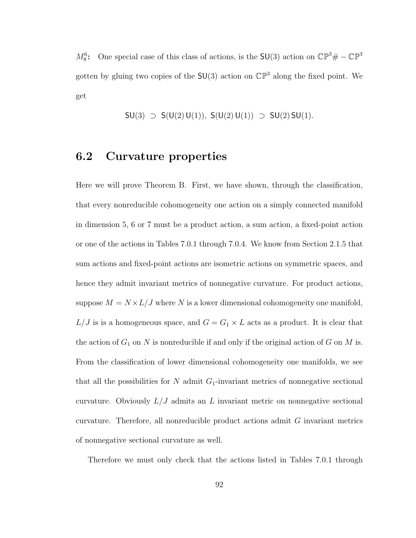$M_8^6$ : One special case of this class of actions, is the SU(3) action on  $\mathbb{CP}^3 \# - \mathbb{CP}^3$ gotten by gluing two copies of the  $SU(3)$  action on  $\mathbb{CP}^3$  along the fixed point. We get

$$
SU(3) \supset S(U(2) U(1)), S(U(2) U(1)) \supset SU(2) SU(1).
$$

### 6.2 Curvature properties

Here we will prove Theorem B. First, we have shown, through the classification, that every nonreducible cohomogeneity one action on a simply connected manifold in dimension 5, 6 or 7 must be a product action, a sum action, a fixed-point action or one of the actions in Tables 7.0.1 through 7.0.4. We know from Section 2.1.5 that sum actions and fixed-point actions are isometric actions on symmetric spaces, and hence they admit invariant metrics of nonnegative curvature. For product actions, suppose  $M = N \times L/J$  where N is a lower dimensional cohomogeneity one manifold,  $L/J$  is is a homogeneous space, and  $G = G_1 \times L$  acts as a product. It is clear that the action of  $G_1$  on N is nonreducible if and only if the original action of G on M is. From the classification of lower dimensional cohomogeneity one manifolds, we see that all the possibilities for  $N$  admit  $G_1$ -invariant metrics of nonnegative sectional curvature. Obviously  $L/J$  admits an L invariant metric on nonnegative sectional curvature. Therefore, all nonreducible product actions admit G invariant metrics of nonnegative sectional curvature as well.

Therefore we must only check that the actions listed in Tables 7.0.1 through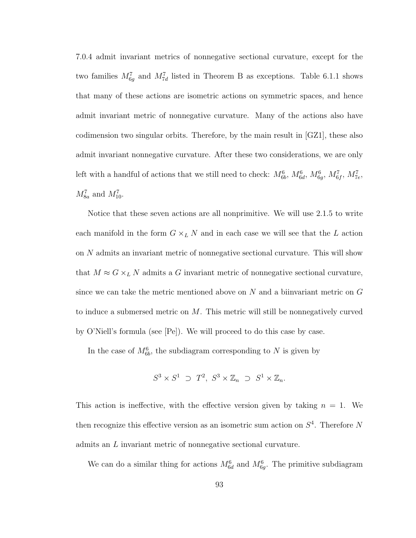7.0.4 admit invariant metrics of nonnegative sectional curvature, except for the two families  $M_{6g}^7$  and  $M_{7d}^7$  listed in Theorem B as exceptions. Table 6.1.1 shows that many of these actions are isometric actions on symmetric spaces, and hence admit invariant metric of nonnegative curvature. Many of the actions also have codimension two singular orbits. Therefore, by the main result in [GZ1], these also admit invariant nonnegative curvature. After these two considerations, we are only left with a handful of actions that we still need to check:  $M_{6b}^6$ ,  $M_{6d}^6$ ,  $M_{6g}^6$ ,  $M_{6f}^7$ ,  $M_{7e}^7$ ,  $M_{8a}^7$  and  $M_{10}^7$ .

Notice that these seven actions are all nonprimitive. We will use 2.1.5 to write each manifold in the form  $G \times_L N$  and in each case we will see that the  $L$  action on N admits an invariant metric of nonnegative sectional curvature. This will show that  $M \approx G \times_L N$  admits a G invariant metric of nonnegative sectional curvature, since we can take the metric mentioned above on  $N$  and a biinvariant metric on  $G$ to induce a submersed metric on M. This metric will still be nonnegatively curved by O'Niell's formula (see [Pe]). We will proceed to do this case by case.

In the case of  $M_{6b}^6$ , the subdiagram corresponding to N is given by

$$
S^3 \times S^1 \supset T^2, S^3 \times \mathbb{Z}_n \supset S^1 \times \mathbb{Z}_n.
$$

This action is ineffective, with the effective version given by taking  $n = 1$ . We then recognize this effective version as an isometric sum action on  $S<sup>4</sup>$ . Therefore N admits an L invariant metric of nonnegative sectional curvature.

We can do a similar thing for actions  $M_{6d}^6$  and  $M_{6g}^6$ . The primitive subdiagram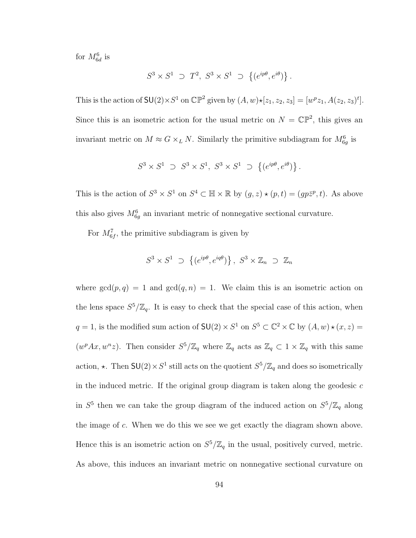for  $M_{6d}^6$  is

$$
S^3 \times S^1 \supset T^2
$$
,  $S^3 \times S^1 \supset \{(e^{ip\theta}, e^{i\theta})\}$ .

This is the action of  $\mathsf{SU}(2)\times S^1$  on  $\mathbb{CP}^2$  given by  $(A, w) \star [z_1, z_2, z_3] = [w^p z_1, A(z_2, z_3)^t]$ . Since this is an isometric action for the usual metric on  $N = \mathbb{CP}^2$ , this gives an invariant metric on  $M \approx G \times_L N$ . Similarly the primitive subdiagram for  $M_{6g}^6$  is

$$
S^3 \times S^1 \supset S^3 \times S^1, S^3 \times S^1 \supset \{(e^{ip\theta}, e^{i\theta})\}.
$$

This is the action of  $S^3 \times S^1$  on  $S^4 \subset \mathbb{H} \times \mathbb{R}$  by  $(g, z) \star (p, t) = (gp\overline{z}^p, t)$ . As above this also gives  $M_{6g}^6$  an invariant metric of nonnegative sectional curvature.

For  $M_{6f}^7$ , the primitive subdiagram is given by

$$
S^3 \times S^1 \supset \{(e^{ip\theta}, e^{iq\theta})\}, S^3 \times \mathbb{Z}_n \supset \mathbb{Z}_n
$$

where  $gcd(p, q) = 1$  and  $gcd(q, n) = 1$ . We claim this is an isometric action on the lens space  $S^5/\mathbb{Z}_q$ . It is easy to check that the special case of this action, when  $q = 1$ , is the modified sum action of  $SU(2) \times S^1$  on  $S^5 \subset \mathbb{C}^2 \times \mathbb{C}$  by  $(A, w) \star (x, z) =$  $(w^p A x, w^n z)$ . Then consider  $S^5/\mathbb{Z}_q$  where  $\mathbb{Z}_q$  acts as  $\mathbb{Z}_q \subset 1 \times \mathbb{Z}_q$  with this same action,  $\star$ . Then  $SU(2) \times S^1$  still acts on the quotient  $S^5/\mathbb{Z}_q$  and does so isometrically in the induced metric. If the original group diagram is taken along the geodesic  $c$ in  $S^5$  then we can take the group diagram of the induced action on  $S^5/\mathbb{Z}_q$  along the image of c. When we do this we see we get exactly the diagram shown above. Hence this is an isometric action on  $S^5/\mathbb{Z}_q$  in the usual, positively curved, metric. As above, this induces an invariant metric on nonnegative sectional curvature on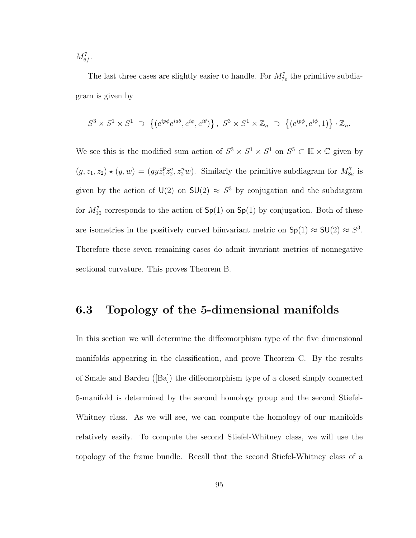$M_{6f}^{7}$ .

The last three cases are slightly easier to handle. For  $M_{7e}^7$  the primitive subdiagram is given by

$$
S^3 \times S^1 \times S^1 \supset \{ (e^{ip\phi}e^{ia\theta}, e^{i\phi}, e^{i\theta}) \}, S^3 \times S^1 \times \mathbb{Z}_n \supset \{ (e^{ip\phi}, e^{i\phi}, 1) \} \cdot \mathbb{Z}_n.
$$

We see this is the modified sum action of  $S^3 \times S^1 \times S^1$  on  $S^5 \subset \mathbb{H} \times \mathbb{C}$  given by  $(g, z_1, z_2) \star (y, w) = (gy\bar{z}_1^p)$  $_{1}^{p}z_{2}^{a}, z_{2}^{n}w$ ). Similarly the primitive subdiagram for  $M_{8a}^{7}$  is given by the action of  $U(2)$  on  $SU(2) \approx S^3$  by conjugation and the subdiagram for  $M_{10}^7$  corresponds to the action of  $Sp(1)$  on  $Sp(1)$  by conjugation. Both of these are isometries in the positively curved biinvariant metric on  $\text{Sp}(1) \approx \text{SU}(2) \approx S^3$ . Therefore these seven remaining cases do admit invariant metrics of nonnegative sectional curvature. This proves Theorem B.

### 6.3 Topology of the 5-dimensional manifolds

In this section we will determine the diffeomorphism type of the five dimensional manifolds appearing in the classification, and prove Theorem C. By the results of Smale and Barden ([Ba]) the diffeomorphism type of a closed simply connected 5-manifold is determined by the second homology group and the second Stiefel-Whitney class. As we will see, we can compute the homology of our manifolds relatively easily. To compute the second Stiefel-Whitney class, we will use the topology of the frame bundle. Recall that the second Stiefel-Whitney class of a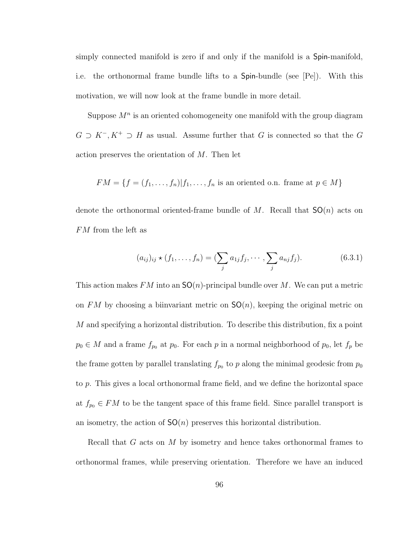simply connected manifold is zero if and only if the manifold is a Spin-manifold, i.e. the orthonormal frame bundle lifts to a Spin-bundle (see [Pe]). With this motivation, we will now look at the frame bundle in more detail.

Suppose  $M^n$  is an oriented cohomogeneity one manifold with the group diagram  $G \supset K^{-}$ ,  $K^{+} \supset H$  as usual. Assume further that G is connected so that the G action preserves the orientation of M. Then let

$$
FM = \{f = (f_1, \ldots, f_n)|f_1, \ldots, f_n \text{ is an oriented o.n. frame at } p \in M\}
$$

denote the orthonormal oriented-frame bundle of M. Recall that  $SO(n)$  acts on FM from the left as

$$
(a_{ij})_{ij} \star (f_1, \ldots, f_n) = (\sum_j a_{1j} f_j, \cdots, \sum_j a_{nj} f_j).
$$
 (6.3.1)

This action makes FM into an  $SO(n)$ -principal bundle over M. We can put a metric on FM by choosing a biinvariant metric on  $SO(n)$ , keeping the original metric on M and specifying a horizontal distribution. To describe this distribution, fix a point  $p_0 \in M$  and a frame  $f_{p_0}$  at  $p_0$ . For each p in a normal neighborhood of  $p_0$ , let  $f_p$  be the frame gotten by parallel translating  $f_{p_0}$  to p along the minimal geodesic from  $p_0$ to p. This gives a local orthonormal frame field, and we define the horizontal space at  $f_{p_0} \in FM$  to be the tangent space of this frame field. Since parallel transport is an isometry, the action of  $SO(n)$  preserves this horizontal distribution.

Recall that G acts on M by isometry and hence takes orthonormal frames to orthonormal frames, while preserving orientation. Therefore we have an induced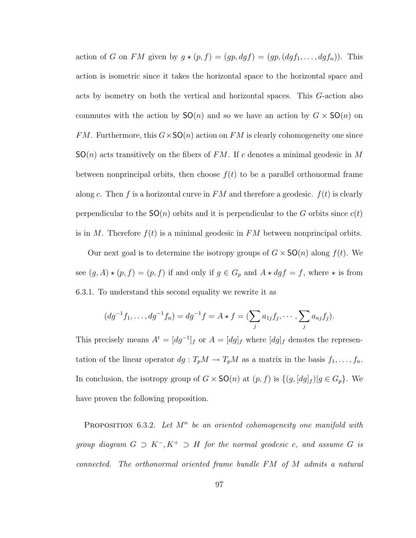action of G on FM given by  $g \star (p, f) = (gp, dgf) = (gp, (dgf_1, \ldots, dgf_n))$ . This action is isometric since it takes the horizontal space to the horizontal space and acts by isometry on both the vertical and horizontal spaces. This G-action also commutes with the action by  $SO(n)$  and so we have an action by  $G \times SO(n)$  on FM. Furthermore, this  $G \times SO(n)$  action on FM is clearly cohomogeneity one since  $SO(n)$  acts transitively on the fibers of FM. If c denotes a minimal geodesic in M between nonprincipal orbits, then choose  $f(t)$  to be a parallel orthonormal frame along c. Then f is a horizontal curve in  $FM$  and therefore a geodesic.  $f(t)$  is clearly perpendicular to the  $SO(n)$  orbits and it is perpendicular to the G orbits since  $c(t)$ is in M. Therefore  $f(t)$  is a minimal geodesic in FM between nonprincipal orbits.

Our next goal is to determine the isotropy groups of  $G \times SO(n)$  along  $f(t)$ . We see  $(g, A) \star (p, f) = (p, f)$  if and only if  $g \in G_p$  and  $A \star dg f = f$ , where  $\star$  is from 6.3.1. To understand this second equality we rewrite it as

$$
(dg^{-1}f_1, ..., dg^{-1}f_n) = dg^{-1}f = A \star f = (\sum_j a_{1j}f_j, ..., \sum_j a_{nj}f_j).
$$

This precisely means  $A^t = [dg^{-1}]_f$  or  $A = [dg]_f$  where  $[dg]_f$  denotes the representation of the linear operator  $dg: T_pM \to T_pM$  as a matrix in the basis  $f_1, \ldots, f_n$ . In conclusion, the isotropy group of  $G \times SO(n)$  at  $(p, f)$  is  $\{(g, [dg]_f)|g \in G_p\}$ . We have proven the following proposition.

**PROPOSITION** 6.3.2. Let  $M^n$  be an oriented cohomogeneity one manifold with group diagram  $G \supset K^-, K^+ \supset H$  for the normal geodesic c, and assume G is connected. The orthonormal oriented frame bundle FM of M admits a natural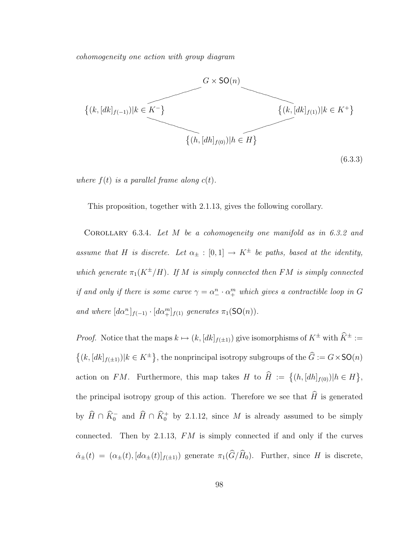cohomogeneity one action with group diagram



where  $f(t)$  is a parallel frame along  $c(t)$ .

This proposition, together with 2.1.13, gives the following corollary.

COROLLARY 6.3.4. Let M be a cohomogeneity one manifold as in 6.3.2 and assume that H is discrete. Let  $\alpha_{\pm} : [0,1] \rightarrow K^{\pm}$  be paths, based at the identity, which generate  $\pi_1(K^{\pm}/H)$ . If M is simply connected then FM is simply connected if and only if there is some curve  $\gamma = \alpha_-^n \cdot \alpha_+^m$  which gives a contractible loop in G and where  $[d\alpha_{-}^{n}]_{f(-1)} \cdot [d\alpha_{+}^{m}]_{f(1)}$  generates  $\pi_1(SO(n))$ .

*Proof.* Notice that the maps  $k \mapsto (k, [dk]_{f(\pm 1)})$  give isomorphisms of  $K^{\pm}$  with  $\widehat{K}^{\pm} :=$  $\overline{a}$  $(k, [dk]_{f(\pm 1)})|k \in K^{\pm}$ }, the nonprincipal isotropy subgroups of the  $\hat{G} := G \times \mathsf{SO}(n)$ action on FM. Furthermore, this map takes H to  $\widehat{H} := \{(h, [dh]_{f(0)}) | h \in H\}$ ª , the principal isotropy group of this action. Therefore we see that  $\widehat{H}$  is generated by  $\widehat{H} \cap \widehat{K}_0^-$  and  $\widehat{H} \cap \widehat{K}_0^+$  by 2.1.12, since M is already assumed to be simply connected. Then by 2.1.13,  $FM$  is simply connected if and only if the curves  $\hat{\alpha}_{\pm}(t) = (\alpha_{\pm}(t), [d\alpha_{\pm}(t)]_{f(\pm 1)})$  generate  $\pi_1(\widehat{G}/\widehat{H}_0)$ . Further, since H is discrete,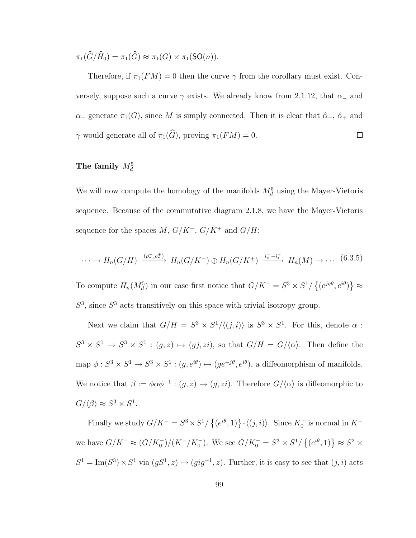$\pi_1(\widehat{G}/\widehat{H}_0) = \pi_1(\widehat{G}) \approx \pi_1(G) \times \pi_1(\text{SO}(n)).$ 

Therefore, if  $\pi_1(FM) = 0$  then the curve  $\gamma$  from the corollary must exist. Conversely, suppose such a curve  $\gamma$  exists. We already know from 2.1.12, that  $\alpha_-\$  and  $\alpha_+$  generate  $\pi_1(G)$ , since M is simply connected. Then it is clear that  $\hat{\alpha}_-$ ,  $\hat{\alpha}_+$  and  $\gamma$  would generate all of  $\pi_1(\widehat{G})$ , proving  $\pi_1(FM) = 0$ .  $\Box$ 

### The family  $M_d^5$

We will now compute the homology of the manifolds  $M_d^5$  using the Mayer-Vietoris sequence. Because of the commutative diagram 2.1.8, we have the Mayer-Vietoris sequence for the spaces  $M,\,G/K^-, \,G/K^+$  and  $G/H\!$ 

$$
\cdots \to H_n(G/H) \xrightarrow{(\rho_*^-, \rho_*^+)} H_n(G/K^-) \oplus H_n(G/K^+) \xrightarrow{i_*^- - i_*^+} H_n(M) \to \cdots \tag{6.3.5}
$$

To compute  $H_n(M_d^5)$  in our case first notice that  $G/K^+ = S^3 \times S^1/$  $\overline{a}$  $(e^{jq\theta}, e^{i\theta})$ ª ≈  $S<sup>3</sup>$ , since  $S<sup>3</sup>$  acts transitively on this space with trivial isotropy group.

Next we claim that  $G/H = S^3 \times S^1/\langle (j,i) \rangle$  is  $S^3 \times S^1$ . For this, denote  $\alpha$ :  $S^3 \times S^1 \to S^3 \times S^1$ :  $(g, z) \mapsto (gj, zi)$ , so that  $G/H = G/\langle \alpha \rangle$ . Then define the map  $\phi: S^3 \times S^1 \to S^3 \times S^1 : (g, e^{i\theta}) \mapsto (ge^{-j\theta}, e^{i\theta})$ , a diffeomorphism of manifolds. We notice that  $\beta := \phi \alpha \phi^{-1} : (g, z) \mapsto (g, zi)$ . Therefore  $G/\langle \alpha \rangle$  is diffeomorphic to  $G/\langle \beta \rangle \approx S^3 \times S^1$ .

Finally we study  $G/K^- = S^3 \times S^1$  $\overline{a}$  $(e^{i\theta}, 1) \} \cdot \langle (j, i) \rangle$ . Since  $K_0^-$  is normal in  $K^$ we have  $G/K^{-} \approx (G/K_{0}^{-})/(K^{-}/K_{0}^{-})$ . We see  $G/K_{0}^{-} = S^{3} \times S^{1}/S_{0}^{-}$  $\overline{a}$  $(e^{i\theta}, 1) \approx S^2 \times$  $S^1 = \text{Im}(S^3) \times S^1$  via  $(gS^1, z) \mapsto (gig^{-1}, z)$ . Further, it is easy to see that  $(j, i)$  acts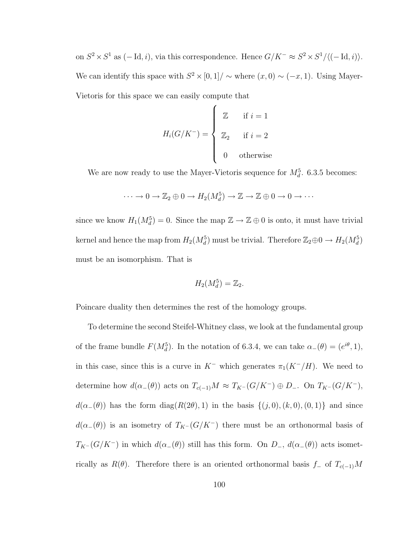on  $S^2 \times S^1$  as  $(-\text{Id}, i)$ , via this correspondence. Hence  $G/K^- \approx S^2 \times S^1/ \langle (-\text{Id}, i) \rangle$ . We can identify this space with  $S^2 \times [0,1] / \sim$  where  $(x,0) \sim (-x,1)$ . Using Mayer-Vietoris for this space we can easily compute that  $\overline{a}$ 

$$
H_i(G/K^-) = \begin{cases} \mathbb{Z} & \text{if } i = 1 \\ \mathbb{Z}_2 & \text{if } i = 2 \\ 0 & \text{otherwise} \end{cases}
$$

We are now ready to use the Mayer-Vietoris sequence for  $M_d^5$ . 6.3.5 becomes:

$$
\cdots \to 0 \to \mathbb{Z}_2 \oplus 0 \to H_2(M_d^5) \to \mathbb{Z} \to \mathbb{Z} \oplus 0 \to 0 \to \cdots
$$

since we know  $H_1(M_d^5) = 0$ . Since the map  $\mathbb{Z} \to \mathbb{Z} \oplus 0$  is onto, it must have trivial kernel and hence the map from  $H_2(M_d^5)$  must be trivial. Therefore  $\mathbb{Z}_2 \oplus 0 \to H_2(M_d^5)$ must be an isomorphism. That is

$$
H_2(M_d^5) = \mathbb{Z}_2.
$$

Poincare duality then determines the rest of the homology groups.

To determine the second Steifel-Whitney class, we look at the fundamental group of the frame bundle  $F(M_d^5)$ . In the notation of 6.3.4, we can take  $\alpha_-(\theta) = (e^{i\theta}, 1)$ , in this case, since this is a curve in  $K^-$  which generates  $\pi_1(K^-/H)$ . We need to determine how  $d(\alpha_{-}(\theta))$  acts on  $T_{c(-1)}M \approx T_{K^-}(G/K^-) \oplus D_-.$  On  $T_{K^-}(G/K^-)$ ,  $d(\alpha_{-}(\theta))$  has the form diag( $R(2\theta), 1$ ) in the basis  $\{(j, 0), (k, 0), (0, 1)\}$  and since  $d(\alpha_{-}(\theta))$  is an isometry of  $T_{K}-(G/K^-)$  there must be an orthonormal basis of  $T_{K^-}(G/K^-)$  in which  $d(\alpha_-(\theta))$  still has this form. On  $D_-, d(\alpha_-(\theta))$  acts isometrically as  $R(\theta)$ . Therefore there is an oriented orthonormal basis f– of  $T_{c(-1)}M$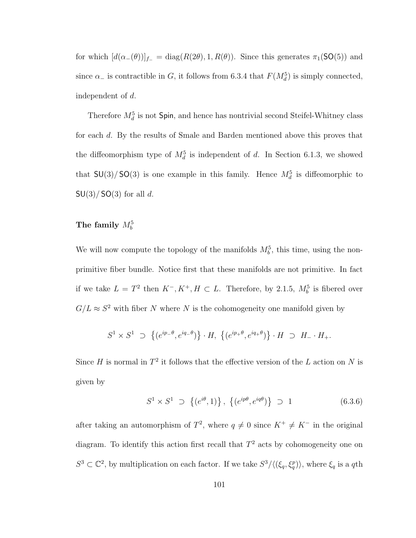for which  $[d(\alpha_{-}(\theta))]_{f_{-}} = \text{diag}(R(2\theta), 1, R(\theta))$ . Since this generates  $\pi_1(\text{SO}(5))$  and since  $\alpha$ <sub>-</sub> is contractible in G, it follows from 6.3.4 that  $F(M_d^5)$  is simply connected, independent of d.

Therefore  $M_d^5$  is not  $Spin$ , and hence has nontrivial second Steifel-Whitney class for each d. By the results of Smale and Barden mentioned above this proves that the diffeomorphism type of  $M_d^5$  is independent of d. In Section 6.1.3, we showed that  $SU(3)/SO(3)$  is one example in this family. Hence  $M_d^5$  is diffeomorphic to  $SU(3)/SO(3)$  for all d.

## The family  $M_b^5$

We will now compute the topology of the manifolds  $M_b^5$ , this time, using the nonprimitive fiber bundle. Notice first that these manifolds are not primitive. In fact if we take  $L = T^2$  then  $K^-, K^+, H \subset L$ . Therefore, by 2.1.5,  $M_b^5$  is fibered over  $G/L \approx S^2$  with fiber N where N is the cohomogeneity one manifold given by

$$
S^1 \times S^1 \supset \{(e^{ip_-\theta}, e^{iq_-\theta})\} \cdot H, \{(e^{ip_+\theta}, e^{iq_+\theta})\} \cdot H \supset H_- \cdot H_+.
$$

Since H is normal in  $T^2$  it follows that the effective version of the L action on N is given by

$$
S^{1} \times S^{1} \supset \{(e^{i\theta}, 1)\}, \{(e^{ip\theta}, e^{iq\theta})\} \supset 1
$$
 (6.3.6)

after taking an automorphism of  $T^2$ , where  $q \neq 0$  since  $K^+ \neq K^-$  in the original diagram. To identify this action first recall that  $T<sup>2</sup>$  acts by cohomogeneity one on  $S^3 \subset \mathbb{C}^2$ , by multiplication on each factor. If we take  $S^3/\langle(\xi_q, \xi_q^p)\rangle$ , where  $\xi_q$  is a qth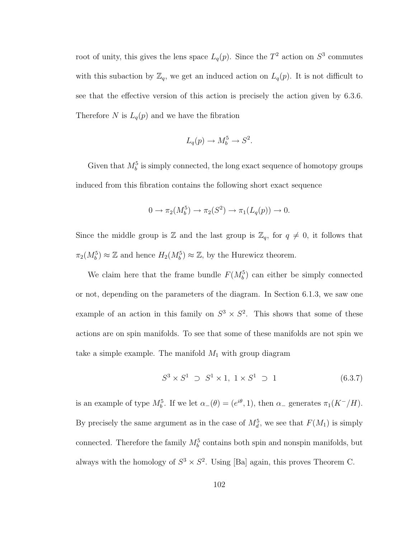root of unity, this gives the lens space  $L_q(p)$ . Since the  $T^2$  action on  $S^3$  commutes with this subaction by  $\mathbb{Z}_q$ , we get an induced action on  $L_q(p)$ . It is not difficult to see that the effective version of this action is precisely the action given by 6.3.6. Therefore N is  $L_q(p)$  and we have the fibration

$$
L_q(p) \to M_b^5 \to S^2.
$$

Given that  $M_b^5$  is simply connected, the long exact sequence of homotopy groups induced from this fibration contains the following short exact sequence

$$
0 \to \pi_2(M_b^5) \to \pi_2(S^2) \to \pi_1(L_q(p)) \to 0.
$$

Since the middle group is  $\mathbb{Z}$  and the last group is  $\mathbb{Z}_q$ , for  $q \neq 0$ , it follows that  $\pi_2(M_b^5) \approx \mathbb{Z}$  and hence  $H_2(M_b^5) \approx \mathbb{Z}$ , by the Hurewicz theorem.

We claim here that the frame bundle  $F(M_b^5)$  can either be simply connected or not, depending on the parameters of the diagram. In Section 6.1.3, we saw one example of an action in this family on  $S^3 \times S^2$ . This shows that some of these actions are on spin manifolds. To see that some of these manifolds are not spin we take a simple example. The manifold  $M_1$  with group diagram

$$
S^3 \times S^1 \supset S^1 \times 1, \ 1 \times S^1 \supset 1 \tag{6.3.7}
$$

is an example of type  $M_b^5$ . If we let  $\alpha_-(\theta) = (e^{i\theta}, 1)$ , then  $\alpha_-$  generates  $\pi_1(K^-/H)$ . By precisely the same argument as in the case of  $M_d^5$ , we see that  $F(M_1)$  is simply connected. Therefore the family  $M_b^5$  contains both spin and nonspin manifolds, but always with the homology of  $S^3 \times S^2$ . Using [Ba] again, this proves Theorem C.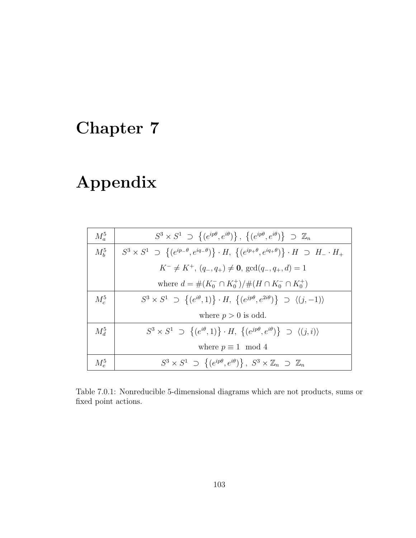## Chapter 7

## Appendix

| $M_a^5$       | $S^3 \times S^1 \supset \{(e^{ip\theta}, e^{i\theta})\}, \{(e^{ip\theta}, e^{i\theta})\} \supset \mathbb{Z}_n$                          |
|---------------|-----------------------------------------------------------------------------------------------------------------------------------------|
| $M_h^5$       | $S^3 \times S^1 \supset \{(e^{ip-\theta}, e^{iq-\theta})\}\cdot H, \{(e^{ip+\theta}, e^{iq+\theta})\}\cdot H \supset H_{-} \cdot H_{+}$ |
|               | $K^{-} \neq K^{+}$ , $(q_{-}, q_{+}) \neq 0$ , $gcd(q_{-}, q_{+}, d) = 1$                                                               |
|               | where $d = \#(K_0^- \cap K_0^+)/\#(H \cap K_0^- \cap K_0^+)$                                                                            |
| $M_c^5$       | $S^3 \times S^1 \supset \{(e^{i\theta}, 1)\} \cdot H, \{(e^{jp\theta}, e^{2i\theta})\} \supset \langle (j, -1) \rangle$                 |
|               | where $p > 0$ is odd.                                                                                                                   |
| $M_{d}^{5}$   | $S^3 \times S^1 \supset \{(e^{i\theta}, 1)\} \cdot H, \{(e^{jp\theta}, e^{i\theta})\} \supset \langle (j, i) \rangle$                   |
|               | where $p \equiv 1 \mod 4$                                                                                                               |
| $M_{\rm e}^5$ | $S^3 \times S^1 \supset \{(e^{ip\theta}, e^{i\theta})\}, S^3 \times \mathbb{Z}_n \supset \mathbb{Z}_n$                                  |

Table 7.0.1: Nonreducible 5-dimensional diagrams which are not products, sums or fixed point actions.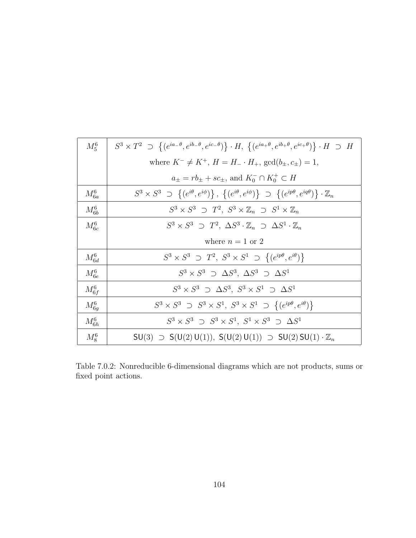| $M_5^6$    | $S^3 \times T^2 \supset \{(e^{ia-\theta}, e^{ib-\theta}, e^{ic-\theta})\} \cdot H, \{(e^{ia+\theta}, e^{ib+\theta}, e^{ic+\theta})\} \cdot H \supset H$ |
|------------|---------------------------------------------------------------------------------------------------------------------------------------------------------|
|            | where $K^- \neq K^+$ , $H = H_- \cdot H_+$ , $gcd(b_\pm, c_\pm) = 1$ ,                                                                                  |
|            | $a_{\pm} = rb_{\pm} + sc_{\pm}$ , and $K_0^- \cap K_0^+ \subset H$                                                                                      |
| $M_{6a}^6$ | $S^3 \times S^3 \supset \{(e^{i\theta}, e^{i\phi})\}, \{(e^{i\theta}, e^{i\phi})\} \supset \{(e^{ip\theta}, e^{iq\theta})\} \cdot \mathbb{Z}_n$         |
| $M_{6b}^6$ | $S^3 \times S^3 \supset T^2$ , $S^3 \times \mathbb{Z}_n \supset S^1 \times \mathbb{Z}_n$                                                                |
| $M_{6c}^6$ | $S^3 \times S^3 \supset T^2$ , $\Delta S^3 \cdot \mathbb{Z}_n \supset \Delta S^1 \cdot \mathbb{Z}_n$                                                    |
|            | where $n = 1$ or 2                                                                                                                                      |
| $M_{6d}^6$ | $S^3 \times S^3 \supset T^2$ , $S^3 \times S^1 \supset \{(e^{ip\theta}, e^{i\theta})\}$                                                                 |
| $M_{6e}^6$ | $S^3 \times S^3$ $\supset \Delta S^3$ , $\Delta S^3$ $\supset \Delta S^1$                                                                               |
| $M_{6f}^6$ | $S^3 \times S^3$ $\supset \Delta S^3$ , $S^3 \times S^1$ $\supset \Delta S^1$                                                                           |
| $M_{6g}^6$ | $S^3 \times S^3 \supseteq S^3 \times S^1$ , $S^3 \times S^1 \supseteq \{(e^{ip\theta}, e^{i\theta})\}$                                                  |
| $M_{6h}^6$ | $S^3 \times S^3 \supset S^3 \times S^1$ , $S^1 \times S^3 \supset \Delta S^1$                                                                           |
| $M_8^6$    | $SU(3) \supset SU(2) U(1)$ , $S(U(2) U(1)) \supset SU(2) SU(1) \cdot \mathbb{Z}_n$                                                                      |

Table 7.0.2: Nonreducible 6-dimensional diagrams which are not products, sums or fixed point actions.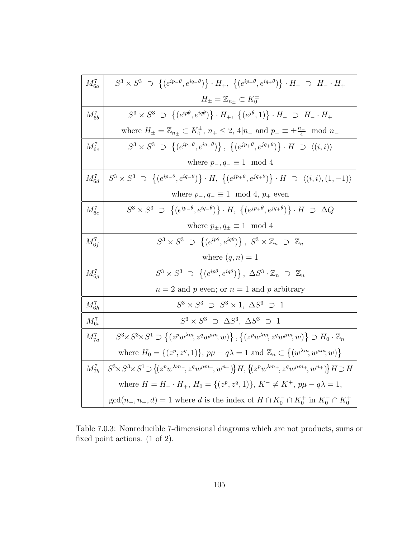| $M_{6a}^7$ | $S^3 \times S^3 \supset \{ (e^{ip_-\theta}, e^{iq_-\theta}) \} \cdot H_+, \ \{ (e^{ip_+\theta}, e^{iq_+\theta}) \} \cdot H_- \supset H_- \cdot H_+$                                                              |
|------------|------------------------------------------------------------------------------------------------------------------------------------------------------------------------------------------------------------------|
|            | $H_{\pm} = \mathbb{Z}_{n_{\pm}} \subset K_0^{\pm}$                                                                                                                                                               |
| $M_{6b}^7$ | $S^3 \times S^3 \supset \{(e^{ip\theta}, e^{iq\theta})\}\cdot H_+$ , $\{(e^{j\theta}, 1)\}\cdot H_- \supset H_- \cdot H_+$                                                                                       |
|            | where $H_{\pm} = \mathbb{Z}_{n_{\pm}} \subset K_0^{\pm}$ , $n_{+} \leq 2$ , $4 n_{-}$ and $p_{-} \equiv \pm \frac{n_{-}}{4} \mod n_{-}$                                                                          |
| $M_{6c}^7$ | $S^3 \times S^3 \supset \{(e^{ip-\theta}, e^{iq-\theta})\}, \{(e^{jp+\theta}, e^{jq+\theta})\} \cdot H \supset \langle (i,i) \rangle$                                                                            |
|            | where $p_-, q_- \equiv 1 \mod 4$                                                                                                                                                                                 |
| $M_{6d}^7$ | $S^3\times S^3 \,\, \supset \,\, \left\{ (e^{ip_-\theta},e^{iq_-\theta})\right\} \cdot H, \,\, \left\{ (e^{jp_+\theta},e^{jq_+\theta})\right\} \cdot H \,\, \supset \,\, \left\langle (i,i),(1,-1)\right\rangle$ |
|            | where $p_-, q_- \equiv 1 \mod 4$ , $p_+$ even                                                                                                                                                                    |
| $M_{6e}^7$ | $S^3 \times S^3 \supset \{(e^{ip-\theta}, e^{iq-\theta})\} \cdot H, \{(e^{jp+\theta}, e^{jq+\theta})\} \cdot H \supset \Delta Q$                                                                                 |
|            | where $p_{\pm}, q_{\pm} \equiv 1 \mod 4$                                                                                                                                                                         |
| $M_{6f}^7$ | $S^3 \times S^3 \supset \{(e^{ip\theta}, e^{iq\theta})\}, S^3 \times \mathbb{Z}_n \supset \mathbb{Z}_n$                                                                                                          |
|            | where $(q, n) = 1$                                                                                                                                                                                               |
| $M_{6q}^7$ | $S^3 \times S^3 \supset \{(e^{ip\theta}, e^{iq\theta})\}, \Delta S^3 \cdot \mathbb{Z}_n \supset \mathbb{Z}_n$                                                                                                    |
|            | $n=2$ and p even; or $n=1$ and p arbitrary                                                                                                                                                                       |
| $M_{6h}^7$ | $S^3 \times S^3 \supset S^3 \times 1, \ \Delta S^3 \supset 1$                                                                                                                                                    |
| $M_{6i}^7$ | $S^3 \times S^3$ $\supset \Delta S^3$ , $\Delta S^3$ $\supset 1$                                                                                                                                                 |
| $M_{7a}^7$ | $S^3 \times S^3 \times S^1 \supset \{(z^p w^{\lambda m}, z^q w^{\mu m}, w)\}, \{(z^p w^{\lambda m}, z^q w^{\mu m}, w)\} \supset H_0 \cdot \mathbb{Z}_n$                                                          |
|            | where $H_0 = \{(z^p, z^q, 1)\}, p\mu - q\lambda = 1$ and $\mathbb{Z}_n \subset \{(w^{\lambda m}, w^{\mu m}, w)\}\$                                                                                               |
| $M_{7b}^7$ | $S^3 \times S^3 \times S^1 \supset \{(z^p w^{\lambda m-}, z^q w^{\mu m-}, w^{n-})\} H, \{(z^p w^{\lambda m+}, z^q w^{\mu m+}, w^{n+})\} H \supset H$                                                             |
|            | where $H = H_{-} \cdot H_{+}$ , $H_{0} = \{(z^{p}, z^{q}, 1)\}, K^{-} \neq K^{+}$ , $p\mu - q\lambda = 1$ ,                                                                                                      |
|            | $gcd(n_-, n_+, d) = 1$ where d is the index of $H \cap K_0^- \cap K_0^+$ in $K_0^- \cap K_0^+$                                                                                                                   |

Table 7.0.3: Nonreducible 7-dimensional diagrams which are not products, sums or fixed point actions. (1 of 2).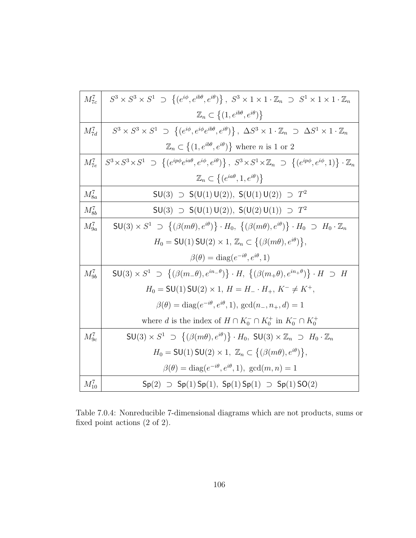| $M_{7c}^7$ | $S^3 \times S^3 \times S^1 \supset \{(e^{i\phi}, e^{ib\theta}, e^{i\theta})\}, S^3 \times 1 \times 1 \cdot \mathbb{Z}_n \supset S^1 \times 1 \times 1 \cdot \mathbb{Z}_n$                    |
|------------|----------------------------------------------------------------------------------------------------------------------------------------------------------------------------------------------|
|            | $\mathbb{Z}_n \subset \{(1, e^{ib\theta}, e^{i\theta})\}\$                                                                                                                                   |
| $M_{7d}^7$ | $S^3 \times S^3 \times S^1 \supset \{(e^{i\phi}, e^{i\phi}e^{i b\theta}, e^{i\theta})\}, \ \Delta S^3 \times 1 \cdot \mathbb{Z}_n \supset \Delta S^1 \times 1 \cdot \mathbb{Z}_n$            |
|            | $\mathbb{Z}_n \subset \{(1, e^{ib\theta}, e^{i\theta})\}$ where <i>n</i> is 1 or 2                                                                                                           |
| $M_{7e}^7$ | $\left\{S^3 \times S^3 \times S^1 \supset \{(e^{ip\phi}e^{ia\theta}, e^{i\phi}, e^{i\theta})\}, S^3 \times S^1 \times \mathbb{Z}_n \supset \{(e^{ip\phi}, e^{i\phi}, 1)\}\cdot \mathbb{Z}_n$ |
|            | $\mathbb{Z}_n \subset \{(e^{ia\theta}, 1, e^{i\theta})\}$                                                                                                                                    |
| $M^7_{8a}$ | $SU(3) \supset SU(1) U(2)$ , $S(U(1) U(2)) \supset T^2$                                                                                                                                      |
| $M_{8b}^7$ | $SU(3) \supset SU(1) U(2)$ , $S(U(2) U(1)) \supset T^2$                                                                                                                                      |
| $M_{9a}^7$ | $SU(3) \times S^1 \supset \{(\beta(m\theta), e^{i\theta})\} \cdot H_0, \{(\beta(m\theta), e^{i\theta})\} \cdot H_0 \supset H_0 \cdot \mathbb{Z}_n$                                           |
|            | $H_0 = \mathsf{SU}(1) \mathsf{SU}(2) \times 1, \mathbb{Z}_n \subset \{(\beta(m\theta), e^{i\theta})\},\$                                                                                     |
|            | $\beta(\theta) = \text{diag}(e^{-i\theta}, e^{i\theta}, 1)$                                                                                                                                  |
| $M_{9b}^7$ | $SU(3) \times S^1 \supset \{(\beta(m_-\theta), e^{in_-\theta})\} \cdot H, \{(\beta(m_+\theta), e^{in_+\theta})\} \cdot H \supset H$                                                          |
|            | $H_0 = SU(1) SU(2) \times 1, H = H_- \cdot H_+, K^- \neq K^+,$                                                                                                                               |
|            | $\beta(\theta) = \text{diag}(e^{-i\theta}, e^{i\theta}, 1), \text{gcd}(n_-, n_+, d) = 1$                                                                                                     |
|            | where d is the index of $H \cap K_0^- \cap K_0^+$ in $K_0^- \cap K_0^+$                                                                                                                      |
| $M_{9c}^7$ | $SU(3) \times S^1 \supset \{(\beta(m\theta), e^{i\theta})\} \cdot H_0$ , $SU(3) \times \mathbb{Z}_n \supset H_0 \cdot \mathbb{Z}_n$                                                          |
|            | $H_0 = \mathsf{SU}(1)\,\mathsf{SU}(2)\times 1, \ \mathbb{Z}_n \subset \{(\beta(m\theta),e^{i\theta})\},\$                                                                                    |
|            | $\beta(\theta) = \text{diag}(e^{-i\theta}, e^{i\theta}, 1), \text{ gcd}(m, n) = 1$                                                                                                           |
| $M_{10}^7$ | $Sp(2) \supset Sp(1)$ $Sp(1)$ , $Sp(1)$ $Sp(1) \supset Sp(1)$ $SO(2)$                                                                                                                        |

Table 7.0.4: Nonreducible 7-dimensional diagrams which are not products, sums or fixed point actions (2 of 2).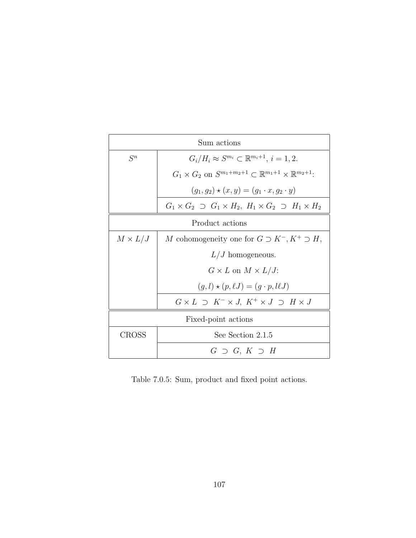| Sum actions         |                                                                                            |  |  |  |
|---------------------|--------------------------------------------------------------------------------------------|--|--|--|
| $S^n$               | $G_i/H_i \approx S^{m_i} \subset \mathbb{R}^{m_i+1}, i = 1, 2.$                            |  |  |  |
|                     | $G_1 \times G_2$ on $S^{m_1+m_2+1} \subset \mathbb{R}^{m_1+1} \times \mathbb{R}^{m_2+1}$ : |  |  |  |
|                     | $(q_1, q_2) \star (x, y) = (q_1 \cdot x, q_2 \cdot y)$                                     |  |  |  |
|                     | $G_1 \times G_2 \supset G_1 \times H_2$ , $H_1 \times G_2 \supset H_1 \times H_2$          |  |  |  |
| Product actions     |                                                                                            |  |  |  |
| $M \times L/J$      | M cohomogeneity one for $G \supset K^-$ , $K^+ \supset H$ ,                                |  |  |  |
|                     | $L/J$ homogeneous.                                                                         |  |  |  |
|                     | $G \times L$ on $M \times L/J$ :                                                           |  |  |  |
|                     | $(g, l) \star (p, \ell J) = (q \cdot p, l \ell J)$                                         |  |  |  |
|                     | $G \times L \supset K^- \times J$ , $K^+ \times J \supset H \times J$                      |  |  |  |
| Fixed-point actions |                                                                                            |  |  |  |
| CROSS               | See Section 2.1.5                                                                          |  |  |  |
|                     | $G \supset G, K \supset H$                                                                 |  |  |  |

Table 7.0.5: Sum, product and fixed point actions.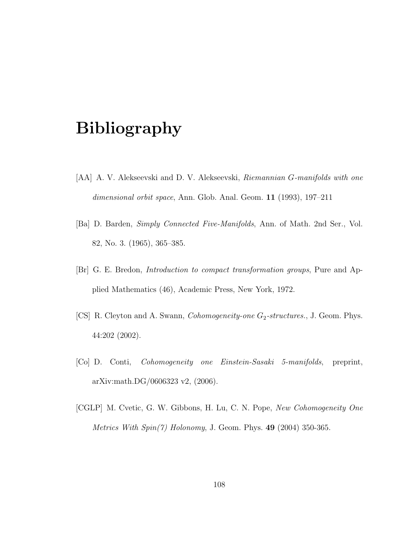## Bibliography

- [AA] A. V. Alekseevski and D. V. Alekseevski, Riemannian G-manifolds with one dimensional orbit space, Ann. Glob. Anal. Geom. **11** (1993), 197–211
- [Ba] D. Barden, Simply Connected Five-Manifolds, Ann. of Math. 2nd Ser., Vol. 82, No. 3. (1965), 365–385.
- [Br] G. E. Bredon, Introduction to compact transformation groups, Pure and Applied Mathematics (46), Academic Press, New York, 1972.
- [CS] R. Cleyton and A. Swann, *Cohomogeneity-one*  $G_2$ -structures., J. Geom. Phys. 44:202 (2002).
- [Co] D. Conti, Cohomogeneity one Einstein-Sasaki 5-manifolds, preprint, arXiv:math.DG/0606323 v2, (2006).
- [CGLP] M. Cvetic, G. W. Gibbons, H. Lu, C. N. Pope, New Cohomogeneity One *Metrics With Spin(7) Holonomy*, J. Geom. Phys.  $49$  (2004) 350-365.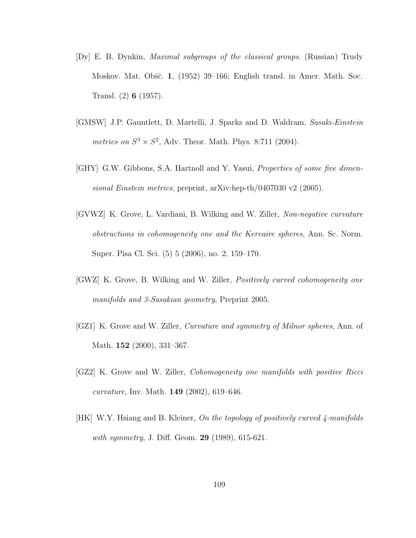- [Dy] E. B. Dynkin, Maximal subgroups of the classical groups. (Russian) Trudy Moskov. Mat. Obšč. 1, (1952) 39–166; English transl. in Amer. Math. Soc. Transl. (2) 6 (1957).
- [GMSW] J.P. Gauntlett, D. Martelli, J. Sparks and D. Waldram, Sasaki-Einstein metrics on  $S^3 \times S^2$ , Adv. Theor. Math. Phys. 8:711 (2004).
- [GHY] G.W. Gibbons, S.A. Hartnoll and Y. Yasui, *Properties of some five dimen*sional Einstein metrics, preprint, arXiv:hep-th/0407030 v2 (2005).
- [GVWZ] K. Grove, L. Vardiani, B. Wilking and W. Ziller, Non-negative curvature obstructions in cohomogeneity one and the Kervaire spheres, Ann. Sc. Norm. Super. Pisa Cl. Sci. (5) 5 (2006), no. 2, 159–170.
- [GWZ] K. Grove, B. Wilking and W. Ziller, Positively curved cohomogeneity one manifolds and 3-Sasakian geometry, Preprint 2005.
- [GZ1] K. Grove and W. Ziller, Curvature and symmetry of Milnor spheres, Ann. of Math. **152** (2000), 331–367.
- [GZ2] K. Grove and W. Ziller, Cohomogeneity one manifolds with positive Ricci curvature, Inv. Math. 149 (2002), 619–646.
- [HK] W.Y. Hsiang and B. Kleiner, On the topology of positively curved  $\mu$ -manifolds with symmetry, J. Diff. Geom. **29** (1989), 615-621.